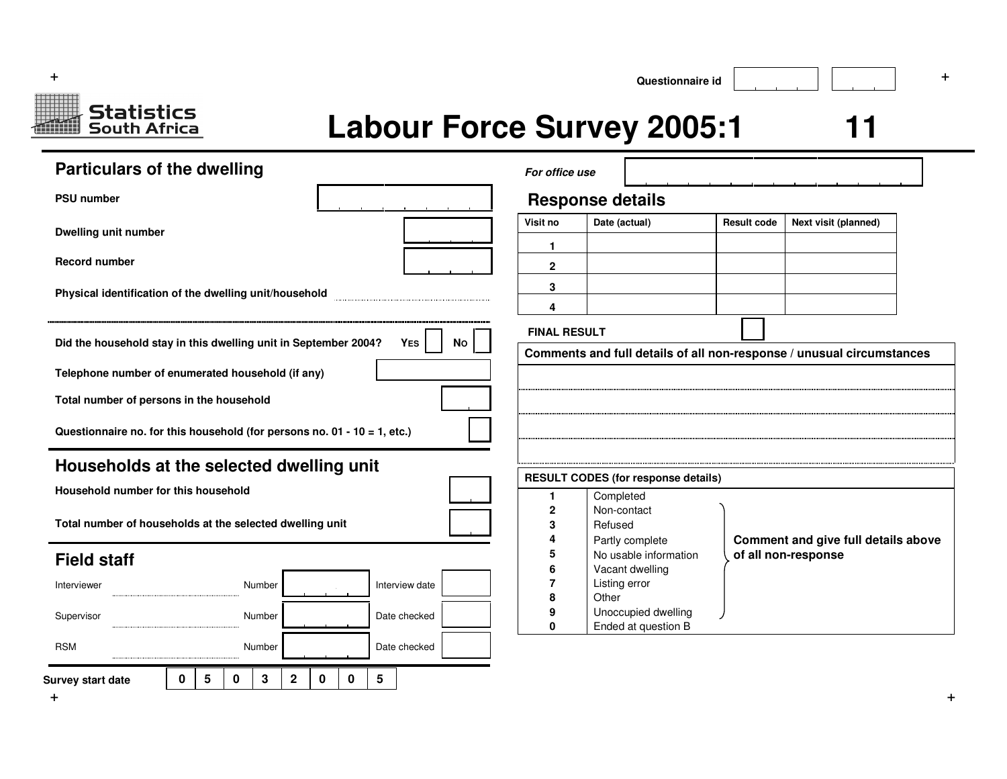

**+**

# **Labour Force Survey 2005:1 11**

| <b>Particulars of the dwelling</b>                                                                                                                                                                                                  | For office use      |                                                                       |                    |                                                            |  |
|-------------------------------------------------------------------------------------------------------------------------------------------------------------------------------------------------------------------------------------|---------------------|-----------------------------------------------------------------------|--------------------|------------------------------------------------------------|--|
| <b>PSU number</b>                                                                                                                                                                                                                   |                     | <b>Response details</b>                                               |                    |                                                            |  |
| Dwelling unit number                                                                                                                                                                                                                | Visit no            | Date (actual)                                                         | <b>Result code</b> | Next visit (planned)                                       |  |
|                                                                                                                                                                                                                                     | 1                   |                                                                       |                    |                                                            |  |
| <b>Record number</b>                                                                                                                                                                                                                | $\mathbf{2}$        |                                                                       |                    |                                                            |  |
| Physical identification of the dwelling unit/household <b>manufation</b> contains the system of the system of the system of the system of the system of the system of the system of the system of the system of the system of the s | 3                   |                                                                       |                    |                                                            |  |
|                                                                                                                                                                                                                                     | 4                   |                                                                       |                    |                                                            |  |
|                                                                                                                                                                                                                                     | <b>FINAL RESULT</b> |                                                                       |                    |                                                            |  |
| Did the household stay in this dwelling unit in September 2004?<br><b>YES</b><br>No <sub>1</sub>                                                                                                                                    |                     | Comments and full details of all non-response / unusual circumstances |                    |                                                            |  |
| Telephone number of enumerated household (if any)                                                                                                                                                                                   |                     |                                                                       |                    |                                                            |  |
| Total number of persons in the household                                                                                                                                                                                            |                     |                                                                       |                    |                                                            |  |
| Questionnaire no. for this household (for persons no. $01 - 10 = 1$ , etc.)                                                                                                                                                         |                     |                                                                       |                    |                                                            |  |
|                                                                                                                                                                                                                                     |                     |                                                                       |                    |                                                            |  |
| Households at the selected dwelling unit                                                                                                                                                                                            |                     | <b>RESULT CODES (for response details)</b>                            |                    |                                                            |  |
| Household number for this household                                                                                                                                                                                                 | -1                  | Completed                                                             |                    |                                                            |  |
|                                                                                                                                                                                                                                     | $\mathbf{2}$        | Non-contact                                                           |                    |                                                            |  |
| Total number of households at the selected dwelling unit                                                                                                                                                                            | 3<br>4              | Refused                                                               |                    |                                                            |  |
|                                                                                                                                                                                                                                     | 5                   | Partly complete<br>No usable information                              |                    | Comment and give full details above<br>of all non-response |  |
| <b>Field staff</b>                                                                                                                                                                                                                  | 6                   | Vacant dwelling                                                       |                    |                                                            |  |
| Interview date<br>Number<br>Interviewer                                                                                                                                                                                             | 7                   | Listing error                                                         |                    |                                                            |  |
|                                                                                                                                                                                                                                     | 8                   | Other                                                                 |                    |                                                            |  |
| Supervisor<br>Number<br>Date checked                                                                                                                                                                                                | 9                   | Unoccupied dwelling                                                   |                    |                                                            |  |
|                                                                                                                                                                                                                                     | 0                   | Ended at question B                                                   |                    |                                                            |  |
| <b>RSM</b><br>Date checked<br>Number                                                                                                                                                                                                |                     |                                                                       |                    |                                                            |  |
|                                                                                                                                                                                                                                     |                     |                                                                       |                    |                                                            |  |
| 5<br>3<br>$\mathbf 2$<br>0<br>0<br>5<br>0<br>0<br>Survey start date<br>÷.                                                                                                                                                           |                     |                                                                       |                    |                                                            |  |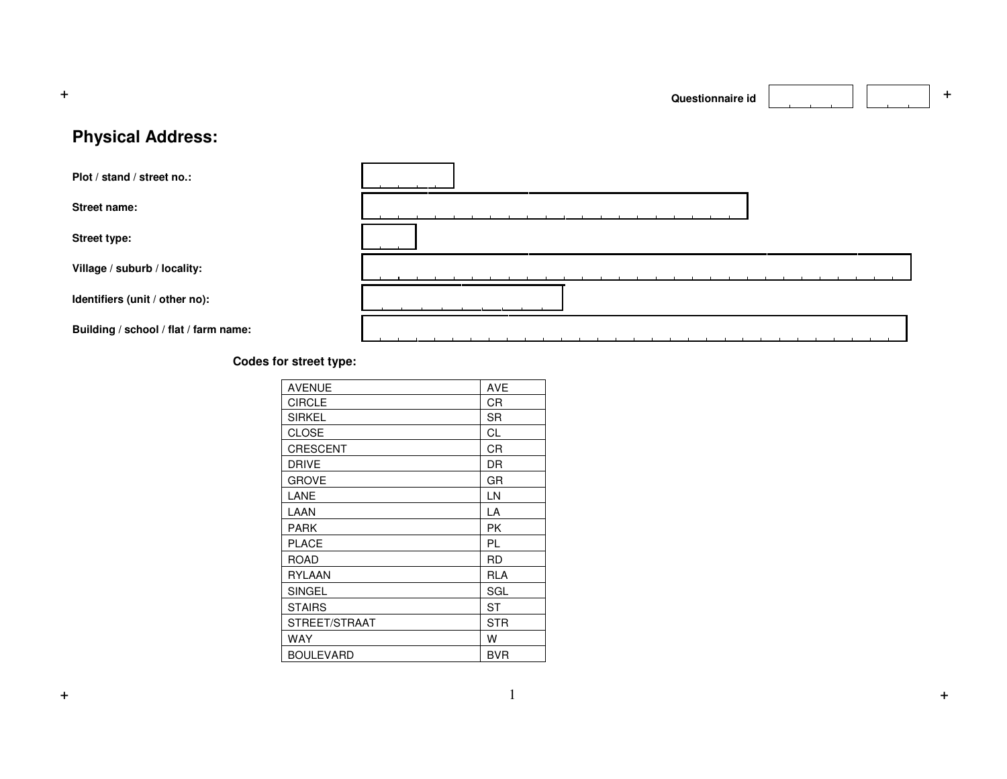**Questionnaire id**

**<sup>+</sup>**

## **Physical Address:**

| Plot / stand / street no.:            |  |
|---------------------------------------|--|
| Street name:                          |  |
| Street type:                          |  |
| Village / suburb / locality:          |  |
| Identifiers (unit / other no):        |  |
| Building / school / flat / farm name: |  |

**Codes for street type:**

| <b>AVENUE</b>    | <b>AVE</b> |
|------------------|------------|
| <b>CIRCLE</b>    | CR         |
| <b>SIRKEL</b>    | SR         |
| <b>CLOSE</b>     | СL         |
| CRESCENT         | CR         |
| <b>DRIVE</b>     | DR         |
| <b>GROVE</b>     | GR         |
| LANE             | LN         |
| LAAN             | LA         |
| <b>PARK</b>      | РK         |
| <b>PLACE</b>     | PL         |
| <b>ROAD</b>      | RD         |
| RYLAAN           | <b>RLA</b> |
| <b>SINGEL</b>    | SGL        |
| <b>STAIRS</b>    | ST         |
| STREET/STRAAT    | <b>STR</b> |
| WAY              | w          |
| <b>BOULEVARD</b> | <b>BVR</b> |
|                  |            |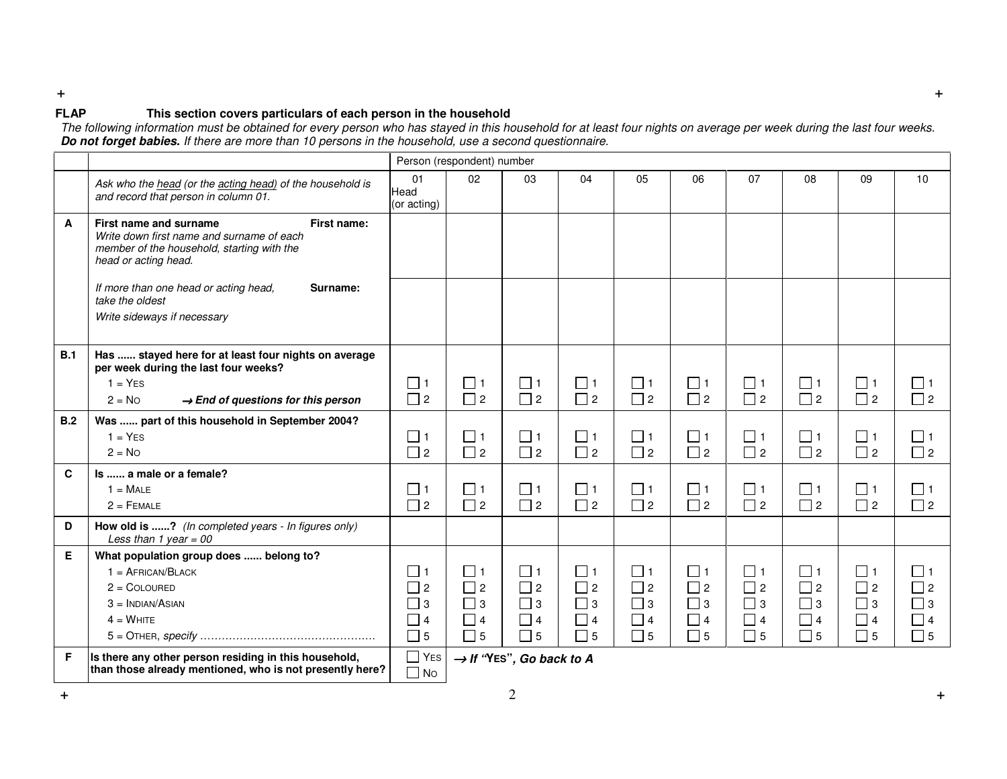#### **FLAPThis section covers particulars of each person in the household**

The following information must be obtained for every person who has stayed in this household for at least four nights on average per week during the last four weeks. **Do not forget babies.** If there are more than 10 persons in the household, use a second questionnaire.

|     |                                                                                                                                                          |                           | Person (respondent) number |                                      |               |          |             |             |             |          |                  |
|-----|----------------------------------------------------------------------------------------------------------------------------------------------------------|---------------------------|----------------------------|--------------------------------------|---------------|----------|-------------|-------------|-------------|----------|------------------|
|     | Ask who the head (or the acting head) of the household is<br>and record that person in column 01.                                                        | 01<br>Head<br>(or acting) | 02                         | 03                                   | 04            | 05       | 06          | 07          | 08          | 09       | 10               |
| A   | First name and surname<br>First name:<br>Write down first name and surname of each<br>member of the household, starting with the<br>head or acting head. |                           |                            |                                      |               |          |             |             |             |          |                  |
|     | If more than one head or acting head,<br>Surname:<br>take the oldest<br>Write sideways if necessary                                                      |                           |                            |                                      |               |          |             |             |             |          |                  |
| B.1 | Has  stayed here for at least four nights on average<br>per week during the last four weeks?                                                             |                           |                            |                                      |               |          |             |             |             |          |                  |
|     | $1 = YES$                                                                                                                                                | $\Box$ 1                  | $\Box$ 1                   | $\Box$ 1                             | $\Box$ 1      | $\Box$ 1 | $\Box$ 1    | $\Box$ 1    | $\Box$ 1    | $\Box$ 1 | $\Box$ 1         |
|     | $2 = No$<br>$\rightarrow$ End of questions for this person                                                                                               | $\Box$ 2                  | $\Box$ 2                   | $\Box$ 2                             | $\Box$ 2      | $\Box$ 2 | $\Box$ 2    | $\Box$ 2    | $\Box$ 2    | $\Box$ 2 | $\Box$ 2         |
| B.2 | Was  part of this household in September 2004?                                                                                                           |                           |                            |                                      |               |          |             |             |             |          |                  |
|     | $1 = YES$                                                                                                                                                | $\Box$ 1                  | $\Box$ 1                   | $\Box$ 1                             | $\Box$ 1      | $\Box$ 1 | $\Box$ 1    | $\Box$ 1    | $\Box$ 1    | $\Box$ 1 | $\Box$ 1         |
|     | $2 = No$                                                                                                                                                 | $\Box$ 2                  | $\Box$ 2                   | $\Box$ 2                             | $\Box$ 2      | $\Box$ 2 | $\Box$ 2    | $\Box$ 2    | $\Box$ 2    | $\Box$ 2 | $\Box$ 2         |
| C   | Is  a male or a female?                                                                                                                                  |                           |                            |                                      |               |          |             |             |             |          |                  |
|     | $1 = MALE$                                                                                                                                               | $\Box$ 1                  | $\Box$ 1                   | $\Box$ 1                             | $\Box$ 1      | $\Box$ 1 | $\square$ 1 | $\Box$ 1    | $\Box$ 1    | $\Box$ 1 | $\sqcap_1$       |
|     | $2 =$ FEMALE                                                                                                                                             | $\Box$ 2                  | $\Box$ 2                   | $\Box$ 2                             | $\Box$ 2      | $\Box$ 2 | $\Box$ 2    | $\Box$ 2    | $\Box$ 2    | $\Box$ 2 | $\Box$ 2         |
| D   | How old is ? (In completed years - In figures only)<br>Less than 1 year = $00$                                                                           |                           |                            |                                      |               |          |             |             |             |          |                  |
| Е.  | What population group does  belong to?                                                                                                                   |                           |                            |                                      |               |          |             |             |             |          |                  |
|     | $1 = AFRICAN/BLACK$                                                                                                                                      | $\Box$ 1                  | $\Box$ 1                   | $\Box$ 1                             | $\Box$ 1      | $\Box$ 1 | $\Box$ 1    | $\Box$ 1    | $\Box$ 1    | $\Box$ 1 | $\Box$ 1         |
|     | $2 =$ COLOURED                                                                                                                                           | $\Box$ 2                  | $\Box$ 2                   | $\Box$ 2                             | $\sqsupset$ 2 | $\Box$ 2 | $\Box$ 2    | $\Box$ 2    | $\Box$ 2    | $\Box$ 2 | $\overline{1}$ 2 |
|     | $3 =$ INDIAN/ASIAN                                                                                                                                       | $\Box$ 3                  | $\Box$ 3                   | $\Box$ 3                             | $\Box$ 3      | $\Box$ 3 | $\Box$ 3    | $\square$ з | $\Box$ 3    | $\Box$ 3 | $\sqsupset$ 3    |
|     | $4 =$ WHITE                                                                                                                                              | $\Box$ 4                  | $\Box$ 4                   | $\Box$ 4                             | $\Box$ 4      | $\Box$ 4 | $\Box$ 4    | $\Box$ 4    | $\Box$ 4    | $\Box$ 4 | $\Box$ 4         |
|     |                                                                                                                                                          | $\Box$ 5                  | $\Box$ 5                   | $\Box$ 5                             | $\Box$ 5      | $\Box$ 5 | $\Box$ 5    | $\Box$ 5    | $\square$ 5 | $\Box$ 5 | $\Box$ 5         |
| F   | Is there any other person residing in this household,<br>than those already mentioned, who is not presently here?                                        | $\Box$ YES<br>$\Box$ No   |                            | $\rightarrow$ If "YES", Go back to A |               |          |             |             |             |          |                  |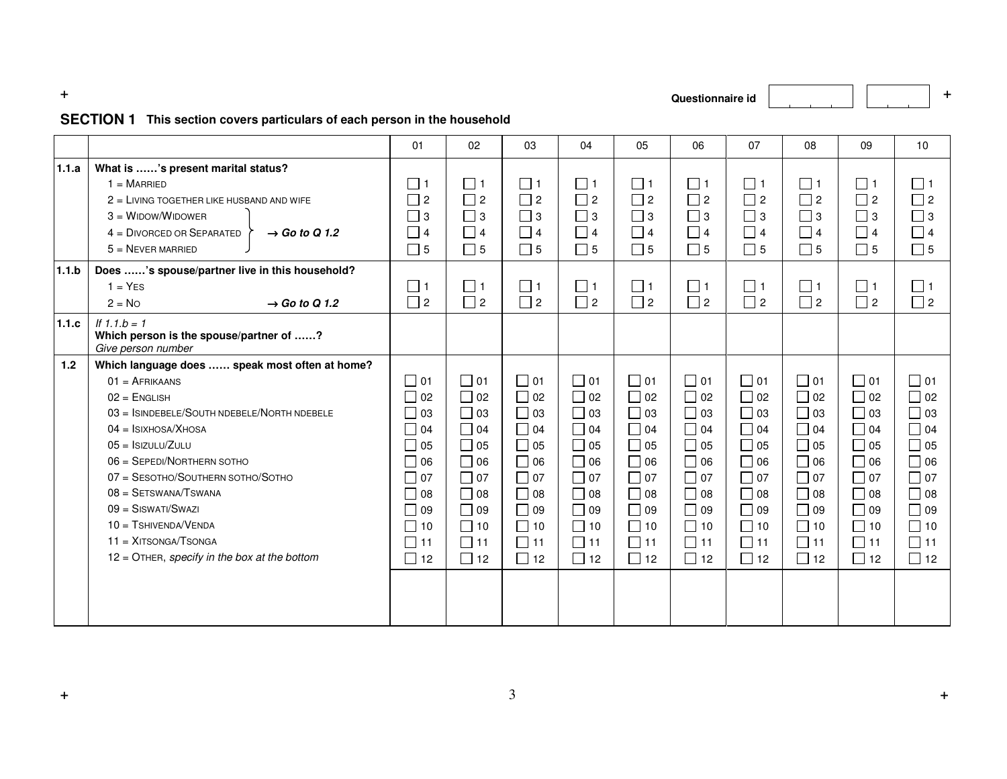**Questionnaire id**

## **<sup>+</sup>**

#### **SECTION 1 This section covers particulars of each person in the household**

|                |                                                                                                                                                                                                                                                                                                                                                                                                            | 01                                                                                                                                                          | 02 <sub>2</sub>                                                                                                                                          | 03                                                                                                                                                       | 04                                                                                                                                                       | 05                                                                                                                                                       | 06                                                                                                                                                       | 07                                                                                                                                                       | 08                                                                                                                                                       | 09                                                                                                                                                       | 10                                                                                                                                  |
|----------------|------------------------------------------------------------------------------------------------------------------------------------------------------------------------------------------------------------------------------------------------------------------------------------------------------------------------------------------------------------------------------------------------------------|-------------------------------------------------------------------------------------------------------------------------------------------------------------|----------------------------------------------------------------------------------------------------------------------------------------------------------|----------------------------------------------------------------------------------------------------------------------------------------------------------|----------------------------------------------------------------------------------------------------------------------------------------------------------|----------------------------------------------------------------------------------------------------------------------------------------------------------|----------------------------------------------------------------------------------------------------------------------------------------------------------|----------------------------------------------------------------------------------------------------------------------------------------------------------|----------------------------------------------------------------------------------------------------------------------------------------------------------|----------------------------------------------------------------------------------------------------------------------------------------------------------|-------------------------------------------------------------------------------------------------------------------------------------|
| 1.1.a<br>1.1.b | What is 's present marital status?<br>$1 = \text{MARR}$<br>2 = LIVING TOGETHER LIKE HUSBAND AND WIFE<br>$3 =$ WIDOW/WIDOWER<br>$4 = DivORCED OR SEPARATED$<br>$\rightarrow$ Go to Q 1.2<br>$5 =$ NEVER MARRIED<br>Does 's spouse/partner live in this household?<br>$1 = YES$<br>$2 = No$<br>$\rightarrow$ Go to Q 1.2                                                                                     | $\Box$ 1<br>$\Box$ 2<br>$\Box$ з<br>$\Box$ 4<br>$\Box$ 5<br>$\Box$ 1<br>$\Box$ 2                                                                            | $\Box$ 1<br>$\Box$ 2<br>$\Box$ 3<br>$\Box$ 4<br>$\square$ 5<br>$\Box$ 1<br>$\Box$ 2                                                                      | $\Box$ 1<br>$\Box$ 2<br>$\Box$ 3<br>$\Box$ 4<br>$\Box$ 5<br>$\Box$ 1<br>$\Box$ 2                                                                         | $\Box$ 1<br>$\Box$ 2<br>$\Box$ 3<br>$\Box$ 4<br>$\Box$ 5<br>$\square$ 1<br>$\Box$ 2                                                                      | $\Box$ 1<br>$\Box$ 2<br>$\Box$ 3<br>$\Box$ 4<br>$\square$ 5<br>$\Box$ 1<br>$\Box$ 2                                                                      | $\Box$ 1<br>$\Box$ 2<br>$\Box$ 3<br>$\Box$ 4<br>$\Box$ 5<br>$\Box$ 1<br>$\Box$ 2                                                                         | $\Box$ 1<br>$\Box$ 2<br>$\Box$ 3<br>$\Box$ 4<br>$\Box$ 5<br>$\Box$ 1<br>$\Box$ 2                                                                         | $\Box$ 1<br>$\Box$ 2<br>$\Box$ 3<br>$\Box$ 4<br>$\Box$ 5<br>$\Box$ 1<br>$\Box$ 2                                                                         | $\Box$ 1<br>$\Box$ 2<br>$\Box$ 3<br>$\Box$ 4<br>$\Box$ 5<br>$\Box$ 1<br>$\Box$ 2                                                                         | $\overline{\phantom{a}}$<br>$\sqsupset$ 2<br>┓<br>3<br>$\Box$ 14<br>$\Box$ 5<br>$\blacksquare$<br>$\Box$ 2                          |
| 1.1.c          | If $1.1.b = 1$<br>Which person is the spouse/partner of ?<br>Give person number                                                                                                                                                                                                                                                                                                                            |                                                                                                                                                             |                                                                                                                                                          |                                                                                                                                                          |                                                                                                                                                          |                                                                                                                                                          |                                                                                                                                                          |                                                                                                                                                          |                                                                                                                                                          |                                                                                                                                                          |                                                                                                                                     |
| 1.2            | Which language does  speak most often at home?<br>$01 = AFRIKAANS$<br>$02$ = ENGLISH<br>$03 =$ ISINDEBELE/SOUTH NDEBELE/NORTH NDEBELE<br>$04 =$ ISIXHOSA/XHOSA<br>$05 =$ Isizulu/Zulu<br>06 = SEPEDI/NORTHERN SOTHO<br>07 = SESOTHO/SOUTHERN SOTHO/SOTHO<br>$08 =$ SETSWANA/TSWANA<br>$09 =$ SISWATI/SWAZI<br>10 = TSHIVENDA/VENDA<br>11 = XITSONGA/TSONGA<br>12 = OTHER, specify in the box at the bottom | $\Box$ 01<br>$\Box$ 02<br>$\Box$ 03<br>$\Box$ 04<br>$\Box$ 05<br>$\Box$ 06<br>$\Box$ 07<br>$\Box$ 08<br>$\Box$ 09<br>$\Box$ 10<br>$\Box$<br>11<br>$\Box$ 12 | $\Box$ 01<br>$\Box$ 02<br>$\Box$ 03<br>$\Box$ 04<br>$\Box$ 05<br>$\Box$ 06<br>$\Box$ 07<br>$\Box$ 08<br>$\Box$ 09<br>$\Box$ 10<br>$\Box$ 11<br>$\Box$ 12 | $\Box$ 01<br>$\Box$ 02<br>$\Box$ 03<br>$\Box$ 04<br>$\Box$ 05<br>$\Box$ 06<br>$\Box$ 07<br>$\Box$ 08<br>$\Box$ 09<br>$\Box$ 10<br>$\Box$ 11<br>$\Box$ 12 | $\Box$ 01<br>$\Box$ 02<br>$\Box$ 03<br>$\Box$ 04<br>$\Box$ 05<br>$\Box$ 06<br>$\Box$ 07<br>$\Box$ 08<br>$\Box$ 09<br>$\Box$ 10<br>$\Box$ 11<br>$\Box$ 12 | $\Box$ 01<br>$\Box$ 02<br>$\Box$ 03<br>$\Box$ 04<br>$\Box$ 05<br>$\Box$ 06<br>$\Box$ 07<br>$\Box$ 08<br>$\Box$ 09<br>$\Box$ 10<br>$\Box$ 11<br>$\Box$ 12 | $\Box$ 01<br>$\Box$ 02<br>$\Box$ 03<br>$\Box$ 04<br>$\Box$ 05<br>$\Box$ 06<br>$\Box$ 07<br>$\Box$ 08<br>$\Box$ 09<br>$\Box$ 10<br>$\Box$ 11<br>$\Box$ 12 | $\Box$ 01<br>$\Box$ 02<br>$\Box$ 03<br>$\Box$ 04<br>$\Box$ 05<br>$\Box$ 06<br>$\Box$ 07<br>$\Box$ 08<br>$\Box$ 09<br>$\Box$ 10<br>$\Box$ 11<br>$\Box$ 12 | $\Box$ 01<br>$\Box$ 02<br>$\Box$ 03<br>$\Box$ 04<br>$\Box$ 05<br>$\Box$ 06<br>$\Box$ 07<br>$\Box$ 08<br>$\Box$ 09<br>$\Box$ 10<br>$\Box$ 11<br>$\Box$ 12 | $\Box$ 01<br>$\Box$ 02<br>$\Box$ 03<br>$\Box$ 04<br>$\Box$ 05<br>$\Box$ 06<br>$\Box$ 07<br>$\Box$ 08<br>$\Box$ 09<br>$\Box$ 10<br>$\Box$ 11<br>$\Box$ 12 | $\Box$ 01<br>$\Box$ 02<br>$\Box$ 03<br>$\Box$ 04<br>$\Box$ 05<br>$\Box$ 06<br>$\Box$ 07<br>$\Box$ 08<br>09<br>10<br>11<br>$\Box$ 12 |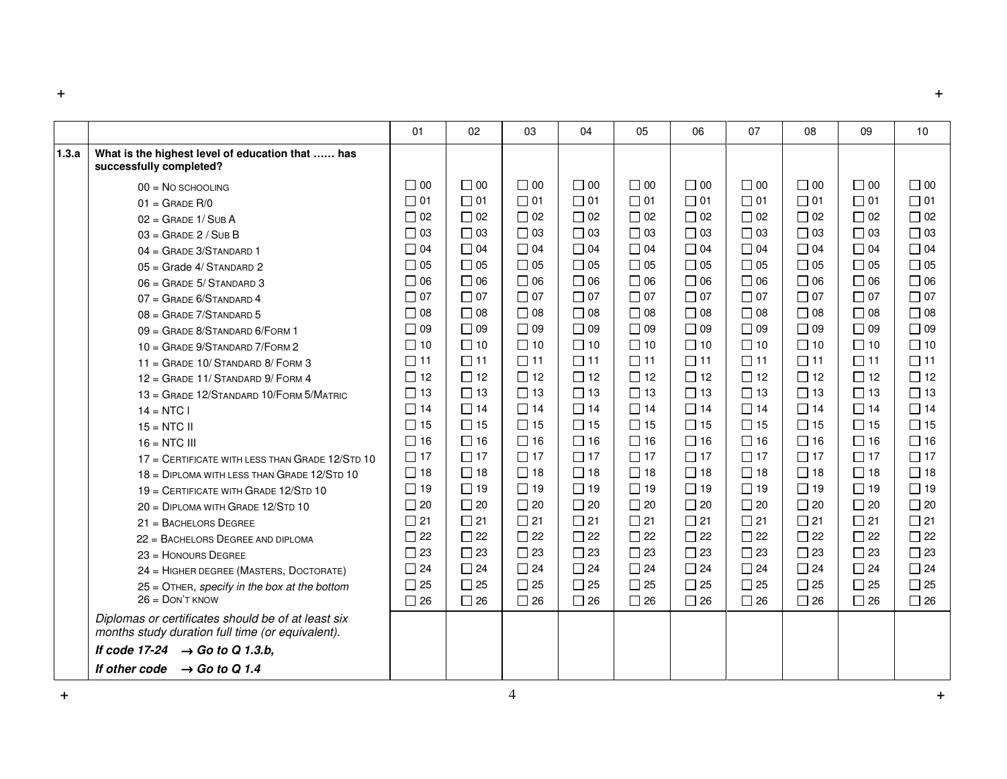|       |                                                                                                        | 01           | 0 <sup>2</sup> | 03        | 04        | 0 <sub>5</sub> | 06        | 07        | 80        | 09        | 10        |
|-------|--------------------------------------------------------------------------------------------------------|--------------|----------------|-----------|-----------|----------------|-----------|-----------|-----------|-----------|-----------|
| 1.3.a | What is the highest level of education that  has<br>successfully completed?                            |              |                |           |           |                |           |           |           |           |           |
|       | $00 = No$ SCHOOLING                                                                                    | $\Box$ 00    | $\Box$ 00      | $\Box$ 00 | $\Box$ 00 | $\Box$ 00      | $\Box$ 00 | $\Box$ 00 | $\Box$ 00 | $\Box$ 00 | $\Box$ 00 |
|       | $01 =$ GRADE R/0                                                                                       | $\Box$ 01    | $\Box$ 01      | $\Box$ 01 | $\Box$ 01 | $\Box$ 01      | $\Box$ 01 | $\Box$ 01 | $\Box$ 01 | $\Box$ 01 | $\Box$ 01 |
|       | $02 =$ GRADE 1/ SUB A                                                                                  | $\Box$ 02    | $\Box$ 02      | $\Box$ 02 | $\Box$ 02 | $\Box$ 02      | $\Box$ 02 | $\Box$ 02 | $\Box$ 02 | $\Box$ 02 | $\Box$ 02 |
|       | $03 =$ GRADE 2 / SUB B                                                                                 | $\Box$ 03    | $\Box$ 03      | $\Box$ 03 | $\Box$ 03 | $\Box$ 03      | $\Box$ 03 | $\Box$ 03 | $\Box$ 03 | $\Box$ 03 | $\Box$ 03 |
|       | $04 =$ GRADE 3/STANDARD 1                                                                              | $\Box$ 04    | $\Box$ 04      | $\Box$ 04 | $\Box$ 04 | $\Box$ 04      | $\Box$ 04 | $\Box$ 04 | $\Box$ 04 | $\Box$ 04 | $\Box$ 04 |
|       | $05 =$ Grade $4/$ STANDARD 2                                                                           | $\Box$ 05    | $\Box$ 05      | $\Box$ 05 | $\Box$ 05 | $\Box$ 05      | $\Box$ 05 | $\Box$ 05 | $\Box$ 05 | $\Box$ 05 | $\Box$ 05 |
|       | $06 =$ GRADE 5/ STANDARD 3                                                                             | $\Box$ 06    | $\Box$ 06      | $\Box$ 06 | $\Box$ 06 | $\Box$ 06      | $\Box$ 06 | $\Box$ 06 | $\Box$ 06 | $\Box$ 06 | $\Box$ 06 |
|       | $07 =$ GRADE 6/STANDARD 4                                                                              | $\Box$ 07    | $\Box$ 07      | $\Box$ 07 | $\Box$ 07 | $\Box$ 07      | $\Box$ 07 | $\Box$ 07 | $\Box$ 07 | $\Box$ 07 | $\Box$ 07 |
|       | $08 =$ GRADE $7/$ STANDARD 5                                                                           | $\Box$ 08    | $\Box$ 08      | $\Box$ 08 | $\Box$ 08 | $\Box$ 08      | $\Box$ 08 | $\Box$ 08 | $\Box$ 08 | $\Box$ 08 | $\Box$ 08 |
|       | 09 = GRADE 8/STANDARD 6/FORM 1                                                                         | $\Box$ 09    | $\Box$ 09      | $\Box$ 09 | $\Box$ 09 | $\Box$ 09      | $\Box$ 09 | $\Box$ 09 | $\Box$ 09 | $\Box$ 09 | $\Box$ 09 |
|       | 10 = GRADE 9/STANDARD 7/FORM 2                                                                         | $\Box$ 10    | $\Box$ 10      | $\Box$ 10 | $\Box$ 10 | $\Box$ 10      | $\Box$ 10 | $\Box$ 10 | $\Box$ 10 | $\Box$ 10 | $\Box$ 10 |
|       | $11 =$ GRADE $10/$ STANDARD 8/ FORM 3                                                                  | $\Box$ 11    | $\Box$ 11      | $\Box$ 11 | $\Box$ 11 | $\Box$ 11      | $\Box$ 11 | $\Box$ 11 | $\Box$ 11 | $\Box$ 11 | $\Box$ 11 |
|       | 12 = GRADE 11/ STANDARD 9/ FORM 4                                                                      | $\Box$ 12    | $\Box$ 12      | $\Box$ 12 | $\Box$ 12 | $\Box$ 12      | $\Box$ 12 | $\Box$ 12 | $\Box$ 12 | $\Box$ 12 | $\Box$ 12 |
|       | 13 = GRADE 12/STANDARD 10/FORM 5/MATRIC                                                                | $\Box$ 13    | $\Box$ 13      | $\Box$ 13 | $\Box$ 13 | $\Box$ 13      | $\Box$ 13 | $\Box$ 13 | $\Box$ 13 | $\Box$ 13 | $\Box$ 13 |
|       | $14 = NTC$                                                                                             | $\Box$ 14    | $\Box$ 14      | $\Box$ 14 | $\Box$ 14 | $\Box$ 14      | $\Box$ 14 | $\Box$ 14 | $\Box$ 14 | $\Box$ 14 | $\Box$ 14 |
|       | $15 = NTC$ II                                                                                          | $\Box$<br>15 | $\Box$ 15      | $\Box$ 15 | $\Box$ 15 | $\Box$ 15      | $\Box$ 15 | $\Box$ 15 | $\Box$ 15 | $\Box$ 15 | $\Box$ 15 |
|       | $16 = NTC$ III                                                                                         | $\Box$ 16    | $\Box$ 16      | $\Box$ 16 | $\Box$ 16 | $\Box$ 16      | $\Box$ 16 | $\Box$ 16 | $\Box$ 16 | $\Box$ 16 | $\Box$ 16 |
|       | 17 = CERTIFICATE WITH LESS THAN GRADE 12/STD 10                                                        | $\Box$ 17    | $\Box$ 17      | $\Box$ 17 | $\Box$ 17 | $\square$ 17   | $\Box$ 17 | $\Box$ 17 | $\Box$ 17 | $\Box$ 17 | $\Box$ 17 |
|       | 18 = DIPLOMA WITH LESS THAN GRADE 12/STD 10                                                            | $\Box$ 18    | $\Box$ 18      | $\Box$ 18 | $\Box$ 18 | $\Box$ 18      | $\Box$ 18 | $\Box$ 18 | $\Box$ 18 | $\Box$ 18 | $\Box$ 18 |
|       | 19 = CERTIFICATE WITH GRADE 12/STD 10                                                                  | $\Box$ 19    | $\Box$ 19      | $\Box$ 19 | $\Box$ 19 | $\Box$ 19      | $\Box$ 19 | $\Box$ 19 | $\Box$ 19 | $\Box$ 19 | $\Box$ 19 |
|       | 20 = DIPLOMA WITH GRADE 12/STD 10                                                                      | $\Box$ 20    | $\Box$ 20      | $\Box$ 20 | $\Box$ 20 | $\Box$ 20      | $\Box$ 20 | $\Box$ 20 | $\Box$ 20 | $\Box$ 20 | $\Box$ 20 |
|       | $21 =$ BACHELORS DEGREE                                                                                | $\Box$ 21    | $\Box$ 21      | $\Box$ 21 | $\Box$ 21 | $\Box$ 21      | $\Box$ 21 | $\Box$ 21 | $\Box$ 21 | $\Box$ 21 | $\Box$ 21 |
|       | 22 = BACHELORS DEGREE AND DIPLOMA                                                                      | $\Box$ 22    | $\Box$ 22      | $\Box$ 22 | $\Box$ 22 | $\Box$ 22      | $\Box$ 22 | $\Box$ 22 | $\Box$ 22 | $\Box$ 22 | $\Box$ 22 |
|       | $23$ = HONOURS DEGREE                                                                                  | $\Box$<br>23 | $\Box$ 23      | $\Box$ 23 | $\Box$ 23 | $\square$ 23   | $\Box$ 23 | $\Box$ 23 | $\Box$ 23 | $\Box$ 23 | $\Box$ 23 |
|       | 24 = HIGHER DEGREE (MASTERS, DOCTORATE)                                                                | $\Box$ 24    | $\Box$ 24      | $\Box$ 24 | $\Box$ 24 | $\Box$ 24      | $\Box$ 24 | $\Box$ 24 | $\Box$ 24 | $\Box$ 24 | $\Box$ 24 |
|       | $25 =$ OTHER, specify in the box at the bottom                                                         | $\Box$ 25    | $\Box$ 25      | $\Box$ 25 | $\Box$ 25 | $\Box$ 25      | $\Box$ 25 | $\Box$ 25 | $\Box$ 25 | $\Box$ 25 | $\Box$ 25 |
|       | $26 =$ DON'T KNOW                                                                                      | $\Box$ 26    | $\Box$ 26      | $\Box$ 26 | $\Box$ 26 | $\Box$ 26      | $\Box$ 26 | $\Box$ 26 | $\Box$ 26 | $\Box$ 26 | $\Box$ 26 |
|       | Diplomas or certificates should be of at least six<br>months study duration full time (or equivalent). |              |                |           |           |                |           |           |           |           |           |
|       | If code 17-24 $\rightarrow$ Go to Q 1.3.b.                                                             |              |                |           |           |                |           |           |           |           |           |
|       | If other code $\rightarrow$ Go to Q 1.4                                                                |              |                |           |           |                |           |           |           |           |           |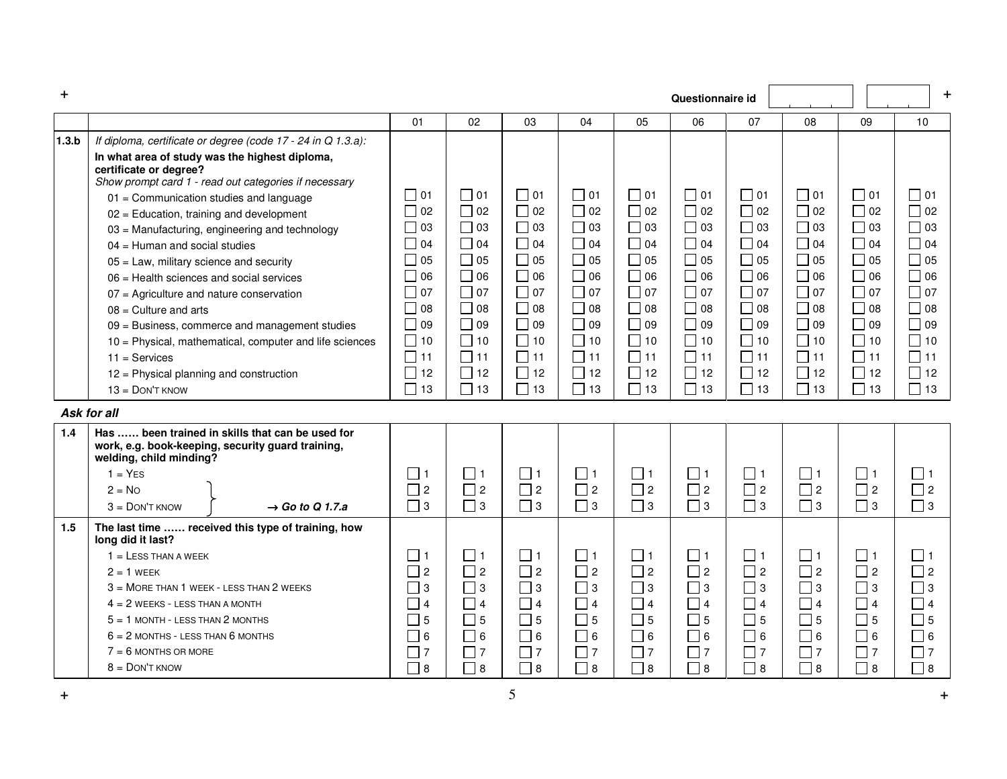| $\div$ |                                                                                                                                                                                |              |              |                                |             |           | Questionnaire id |                                     |           |               | ÷.                       |
|--------|--------------------------------------------------------------------------------------------------------------------------------------------------------------------------------|--------------|--------------|--------------------------------|-------------|-----------|------------------|-------------------------------------|-----------|---------------|--------------------------|
|        |                                                                                                                                                                                | 01           | 02           | 03                             | 04          | 05        | 06               | 07                                  | 08        | 09            | 10                       |
| 1.3.b  | If diploma, certificate or degree (code 17 - 24 in Q 1.3.a):                                                                                                                   |              |              |                                |             |           |                  |                                     |           |               |                          |
|        | In what area of study was the highest diploma,<br>certificate or degree?<br>Show prompt card 1 - read out categories if necessary<br>$01 =$ Communication studies and language | $\Box$ 01    | $\Box$ 01    | $\Box$ 01                      | $\Box$ 01   | $\Box$ 01 | $\Box$ 01        | $\Box$ 01                           | $\Box$ 01 | $\Box$ 01     | $\Box$ 01                |
|        | $02$ = Education, training and development                                                                                                                                     | $\Box$ 02    | $\Box$ 02    | $\Box$ 02                      | $\Box$ 02   | $\Box$ 02 | $\Box$ 02        | $\Box$ 02                           | $\Box$ 02 | $\Box$ 02     | $\Box$ 02                |
|        | 03 = Manufacturing, engineering and technology                                                                                                                                 | $\Box$ 03    | $\Box$ 03    | 03                             | $\Box$ 03   | $\Box$ оз | $\Box$ 03        | $\mathcal{L}_{\mathcal{A}}$<br>  03 | $\Box$ 03 | $\Box$ 03     | $\Box$ 03                |
|        | $04$ = Human and social studies                                                                                                                                                | $\Box$ 04    | $\Box$ 04    | $\Box$ 04                      | $\Box$ 04   | $\Box$ 04 | $\Box$ 04        | $\Box$ 04                           | $\Box$ 04 | $\Box$ 04     | $\Box$ 04                |
|        | $05 =$ Law, military science and security                                                                                                                                      | $\Box$ 05    | $\Box$ 05    | 05                             | $\Box$ 05   | $\Box$ 05 | $\Box$ 05        | $\mathcal{L}$<br> 05                | $\Box$ 05 | $\Box$ 05     | $\Box$ 05                |
|        | $06$ = Health sciences and social services                                                                                                                                     | $\Box$ 06    | $\Box$ 06    | $\Box$ 06                      | $\Box$ 06   | $\Box$ 06 | $\Box$ 06        | $\Box$ 06                           | $\Box$ 06 | 106           | $\Box$ 06                |
|        | $07$ = Agriculture and nature conservation                                                                                                                                     | $\Box$ 07    | $\Box$ 07    | $\Box$ 07                      | $\Box$ 07   | $\Box$ 07 | $\Box$ 07        | $\sqsupset$ 07                      | $\Box$ 07 | $\Box$ 07     | $\Box$ 07                |
|        | $08$ = Culture and arts                                                                                                                                                        | $\Box$ 08    | $\Box$ 08    | $\Box$ 08                      | $\Box$ 08   | $\Box$ 08 | $\Box$ 08        | $\Box$ 08                           | $\Box$ 08 | $\Box$ 08     | $\Box$ 08                |
|        | 09 = Business, commerce and management studies                                                                                                                                 | $\Box$ 09    | $\square$ 09 | 09                             | $\Box$ 09   | $\Box$ 09 | $\Box$ 09        | $\Box$ 09                           | $\Box$ 09 | $\Box$ 09     | $\Box$ 09                |
|        | 10 = Physical, mathematical, computer and life sciences                                                                                                                        | $\Box$ 10    | $\Box$ 10    | $\Box$<br>10                   | $\Box$ 10   | $\Box$ 10 | $\Box$ 10        | $\Box$ 10                           | $\Box$ 10 | $\vert$   10  | $\Box$ 10                |
|        | $11 =$ Services                                                                                                                                                                | $\Box$ 11    | $\Box$ 11    | $\Box$<br>11                   | $\Box$ 11   | $\Box$ 11 | $\Box$ 11        | $\square$ 11                        | $\Box$ 11 | $\Box$ 11     | $\Box$ 11                |
|        | $12$ = Physical planning and construction                                                                                                                                      | $\Box$<br>12 | $\Box$ 12    | 12                             | $\Box$ 12   | $\Box$ 12 | $\Box$ 12        | $\overline{\phantom{1}}$ 12         | $\Box$ 12 | $\vert$ 12    | $\Box$ 12                |
|        | $13 =$ DON'T KNOW                                                                                                                                                              | $\Box$ 13    | $\Box$ 13    | 13<br>$\mathsf{L}$             | $\Box$ 13   | $\Box$ 13 | $\Box$ 13        | $\Box$ 13                           | $\Box$ 13 | $\vert$ 13    | $\Box$ 13                |
|        | Ask for all                                                                                                                                                                    |              |              |                                |             |           |                  |                                     |           |               |                          |
| 1.4    | Has  been trained in skills that can be used for<br>work, e.g. book-keeping, security guard training,<br>welding, child minding?                                               |              |              |                                |             |           |                  |                                     |           |               |                          |
|        | $1 = YES$                                                                                                                                                                      |              | $\Box$ 1     | $\Box$ 1                       | $\square$ 1 | $\Box$ 1  | $\Box$ 1         | $\Box$ 1                            | $\Box$ 1  | ㄱ 1           | $\Box$ 1                 |
|        | $2 = No$                                                                                                                                                                       | $\Box$ 2     | $\Box$ 2     | $\Box$ 2                       | $\Box$ 2    | $\Box$ 2  | $\Box$ 2         | $\Box$ 2                            | $\Box$ 2  | $\sqsupset$ 2 | $\Box$ 2                 |
|        | $3 =$ DON'T KNOW<br>$\rightarrow$ Go to Q 1.7.a                                                                                                                                | $\square$ 3  | $\Box$ 3     | $\Box$ 3                       | $\Box$ 3    | $\Box$ 3  | $\Box$ 3         | $\Box$ 3                            | $\Box$ 3  | $\sqsupset$ 3 | $\Box$ 3                 |
| 1.5    | The last time  received this type of training, how<br>long did it last?                                                                                                        |              |              |                                |             |           |                  |                                     |           |               |                          |
|        | $1 =$ LESS THAN A WEEK                                                                                                                                                         | -1           | $\Box$ 1     | $\overline{\phantom{a}}$<br>-1 | $\Box$ 1    | $\Box$    | $\Box$ 1         | $\Box$ 1                            | $\Box$    | $\sqsupset$ 1 | $\overline{\phantom{a}}$ |

2 <sup>=</sup> 1 WEEK

3 <sup>=</sup> MORE THAN 1 WEEK - LESS THAN 2 WEEKS

4 <sup>=</sup> 2 WEEKS - LESS THAN A MONTH 5 <sup>=</sup> 1 MONTH - LESS THAN 2 MONTHS

**+**

5 **<sup>+</sup>**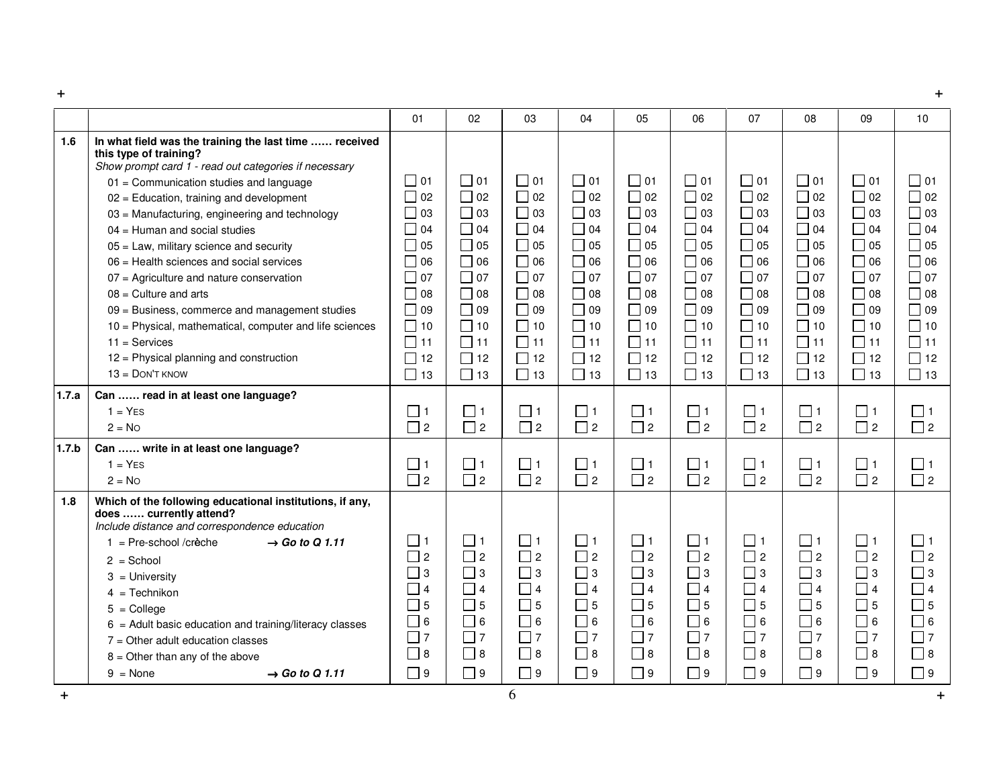| ÷     |                                                                                                                                                                                                                                                                                                                                                                                                                                                                                                                                              |                                                                                                                                                                                          |                                                                                                                                                                                         |                                                                                                                                                                          |                                                                                                               |                                                                                                                                                                          |                                                                                                                                                                       |                                                                                                                 |                                                                                                                                                                       |                                                                                                                                                                       |                                                                                                                                                                        |
|-------|----------------------------------------------------------------------------------------------------------------------------------------------------------------------------------------------------------------------------------------------------------------------------------------------------------------------------------------------------------------------------------------------------------------------------------------------------------------------------------------------------------------------------------------------|------------------------------------------------------------------------------------------------------------------------------------------------------------------------------------------|-----------------------------------------------------------------------------------------------------------------------------------------------------------------------------------------|--------------------------------------------------------------------------------------------------------------------------------------------------------------------------|---------------------------------------------------------------------------------------------------------------|--------------------------------------------------------------------------------------------------------------------------------------------------------------------------|-----------------------------------------------------------------------------------------------------------------------------------------------------------------------|-----------------------------------------------------------------------------------------------------------------|-----------------------------------------------------------------------------------------------------------------------------------------------------------------------|-----------------------------------------------------------------------------------------------------------------------------------------------------------------------|------------------------------------------------------------------------------------------------------------------------------------------------------------------------|
|       |                                                                                                                                                                                                                                                                                                                                                                                                                                                                                                                                              | 01                                                                                                                                                                                       | 02                                                                                                                                                                                      | 03                                                                                                                                                                       | 04                                                                                                            | 05                                                                                                                                                                       | 06                                                                                                                                                                    | 07                                                                                                              | 08                                                                                                                                                                    | 09                                                                                                                                                                    | 10                                                                                                                                                                     |
| 1.6   | In what field was the training the last time  received<br>this type of training?<br>Show prompt card 1 - read out categories if necessary                                                                                                                                                                                                                                                                                                                                                                                                    |                                                                                                                                                                                          |                                                                                                                                                                                         |                                                                                                                                                                          |                                                                                                               |                                                                                                                                                                          |                                                                                                                                                                       |                                                                                                                 |                                                                                                                                                                       |                                                                                                                                                                       |                                                                                                                                                                        |
|       | 01 = Communication studies and language<br>$02$ = Education, training and development<br>03 = Manufacturing, engineering and technology<br>$04$ = Human and social studies<br>$05 =$ Law, military science and security<br>$06$ = Health sciences and social services<br>07 = Agriculture and nature conservation<br>$08$ = Culture and arts<br>09 = Business, commerce and management studies<br>10 = Physical, mathematical, computer and life sciences<br>$11 =$ Services<br>12 = Physical planning and construction<br>$13 =$ DON'T KNOW | $\Box$ 01<br>02<br>$\Box$<br>$\Box$<br>03<br>$\mathbb{R}^n$<br>04<br>Г<br>05<br>L<br>06<br>Е<br>07<br>$\Box$<br>08<br>$\Box$<br>09<br>$\Box$<br>10<br>$\Box$<br>11<br>12<br>$\Box$<br>13 | $\Box$ 01<br>$\Box$ 02<br>$\Box$ 03<br>$\Box$ 04<br>$\Box$ 05<br>$\Box$ 06<br>$\Box$ 07<br>$\overline{\phantom{0}}$ 08<br>$\Box$ 09<br>$\Box$ 10<br>$\Box$ 11<br>$\Box$ 12<br>$\Box$ 13 | $\square$ 01<br>$\Box$ 02<br>$\Box$ 03<br>$\Box$ 04<br>$\Box$ 05<br>$\Box$ 06<br>$\Box$ 07<br>$\Box$ 08<br>$\Box$ 09<br>$\Box$ 10<br>$\Box$ 11<br>$\Box$ 12<br>$\Box$ 13 | $\Box$ 01<br>$\Box$ 02<br>$\Box$ 03<br>$\Box$ 04<br>05<br>06<br>$\Box$ 07<br>08<br>09<br>10<br>11<br>12<br>13 | $\square$ 01<br>$\Box$ 02<br>$\Box$ 03<br>$\Box$ 04<br>$\Box$ 05<br>$\Box$ 06<br>$\Box$ 07<br>$\Box$ 08<br>$\Box$ 09<br>$\Box$ 10<br>$\Box$ 11<br>$\Box$ 12<br>$\Box$ 13 | $\Box$ 01<br>$\Box$ 02<br>$\Box$ 03<br>$\Box$ 04<br>$\Box$ 05<br>$\Box$ 06<br>$\Box$ 07<br>$\Box$ 08<br>$\Box$ 09<br>$\Box$ 10<br>$\Box$ 11<br>$\Box$ 12<br>$\Box$ 13 | $\Box$ 01<br>$\Box$ 02<br>03<br>$\mathbf{L}$<br>$\Box$ 04<br>05<br>06<br>07<br>08<br>09<br>10<br>11<br>12<br>13 | $\Box$ 01<br>$\Box$ 02<br>$\Box$ 03<br>$\Box$ 04<br>$\Box$ 05<br>$\Box$ 06<br>$\Box$ 07<br>$\Box$ 08<br>$\Box$ 09<br>$\Box$ 10<br>$\Box$ 11<br>$\Box$ 12<br>$\Box$ 13 | $\Box$ 01<br>$\Box$ 02<br>$\Box$ 03<br>$\Box$ 04<br>$\Box$ 05<br>$\Box$ 06<br>$\Box$ 07<br>$\Box$ 08<br>$\Box$ 09<br>$\Box$ 10<br>$\Box$ 11<br>$\Box$ 12<br>$\Box$ 13 | $\vert$ 01<br>$\Box$ 02<br>$\Box$ 03<br>$\Box$ 04<br>$\Box$ 05<br>$\Box$ 06<br>$\Box$ 07<br>$\Box$ 08<br>$\Box$ 09<br>$\Box$ 10<br>$\Box$ 11<br>$\Box$ 12<br>$\Box$ 13 |
| 1.7.a | Can  read in at least one language?<br>$1 = YES$<br>$2 = No$                                                                                                                                                                                                                                                                                                                                                                                                                                                                                 | $\Box$ 1<br>$\Box$ 2                                                                                                                                                                     | - 11<br>$\Box$ 2                                                                                                                                                                        | $\Box$ 1<br>$\Box$ 2                                                                                                                                                     | $\Box$ 1<br>$\Box$ 2                                                                                          | l 11<br>$\Box$ 2                                                                                                                                                         | $\Box$ 1<br>$\Box$ 2                                                                                                                                                  | $\Box$ 1<br>$\Box$ 2                                                                                            | $\Box$ 1<br>$\Box$ 2                                                                                                                                                  | $\Box$ 1<br>$\Box$ 2                                                                                                                                                  | $\Box$ 1<br>$\Box$ 2                                                                                                                                                   |
| 1.7.b | Can  write in at least one language?<br>$1 = YES$<br>$2 = No$                                                                                                                                                                                                                                                                                                                                                                                                                                                                                | $\Box$ 1<br>$\Box$ 2                                                                                                                                                                     | $\Box$ 1<br>$\Box$ 2                                                                                                                                                                    | $\square$ 1<br>$\Box$ 2                                                                                                                                                  | $\Box$ 1<br>$\Box$ 2                                                                                          | $\Box$ 1<br>$\Box$ 2                                                                                                                                                     | $\Box$ 1<br>$\Box$ 2                                                                                                                                                  | □ 1<br>$\Box$ 2                                                                                                 | $\square$ 1<br>$\Box$ 2                                                                                                                                               | $\square$ 1<br>$\Box$ 2                                                                                                                                               | $\Box$ 1<br>$\Box$ 2                                                                                                                                                   |
| 1.8   | Which of the following educational institutions, if any,<br>does  currently attend?<br>Include distance and correspondence education<br>$1 = Pre-school/creche$<br>$\rightarrow$ Go to Q 1.11<br>$2 =$ School<br>$3 =$ University<br>$4 = Technikon$<br>$5 =$ College<br>$6$ = Adult basic education and training/literacy classes<br>$7 =$ Other adult education classes<br>$8 =$ Other than any of the above<br>$9 = None$<br>$\rightarrow$ Go to Q 1.11                                                                                   | $\blacksquare$<br>$\mathbf{1}$<br>$\Box$ 2<br>3<br>$\overline{4}$<br>5<br>ヿ 6<br>$\Box$ 7<br>$\Box$ 8<br>$\Box$ 9                                                                        | $\Box$ 1<br>$\Box$ 2<br>$\Box$ 3<br>$\Box$ 4<br>$\Box$ 5<br>$\Box$ 6<br>$\Box$ 7<br>$\Box$ 8<br>$\Box$ 9                                                                                | $\Box$ 1<br>$\Box$ 2<br>$\Box$ 3<br>$\Box$ 4<br>$\Box$ 5<br>$\Box$ 6<br>$\Box$ 7<br>$\Box$ 8<br>$\Box$ 9                                                                 | $\Box$ 1<br>$\square$ 2<br>ヿ 3<br> 4<br>$\overline{\phantom{a}}$ 5<br>ヿ 6<br>$\sqsupset$ 7<br>  8<br>$\Box$ 9 | $\Box$ 1<br>$\Box$ 2<br>$\Box$ 3<br>$\Box$ 4<br>$\Box$ 5<br>$\Box$ 6<br>$\Box$ 7<br>$\Box$ 8<br>$\Box$ 9                                                                 | $\Box$ 1<br>$\Box$ 2<br>$\Box$ 3<br>$\Box$ 4<br>$\Box$ 5<br>$\Box$ 6<br>$\Box$ 7<br>$\Box$ 8<br>$\Box$ 9                                                              | $\Box$ 1<br>$\Box$ 2<br>ヿз<br>$\Box$ 4<br>$\sqsupset$ 5<br>ヿ 6<br>$\neg$ 7<br>$\sqsupset$ 8<br>$\Box$ 9         | $\Box$ 1<br>$\Box$ 2<br>$\Box$ 3<br>$\Box$ 4<br>$\Box$ 5<br>$\Box$ 6<br>$\Box$ 7<br>$\Box$ 8<br>$\Box$ 9                                                              | $\Box$ 1<br>$\Box$ 2<br>$\Box$ 3<br>$\Box$ 4<br>$\Box$ 5<br>$\Box$ 6<br>$\Box$ 7<br>$\Box$ 8<br>$\Box$ 9                                                              | -11<br>$\Box$ 2<br>┐з<br>ヿ 4<br>$\overline{\phantom{a}}$ 5<br>$\sqcap$ 6<br>$\sqsupset$ 7<br>$\sqsupset$ 8<br>$\sqsupset$ 9                                            |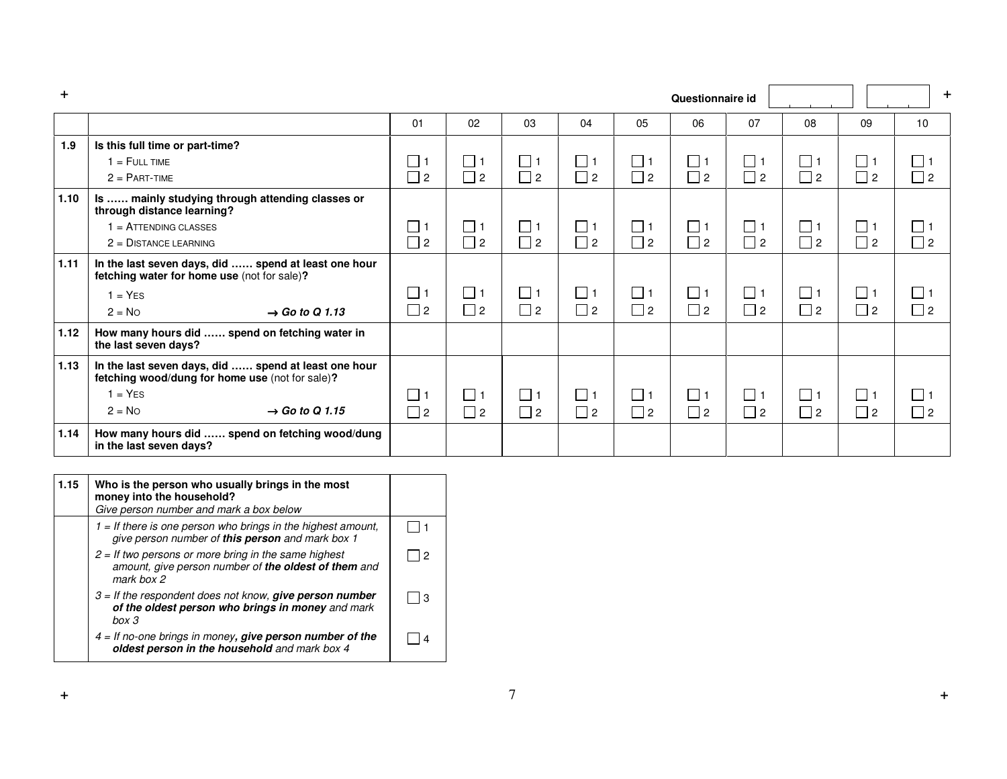| $\div$ |                                                                                                                                                                |                         |                      |                         |                      |                      | Questionnaire id     |                      |                         |                      | $\ddot{}$            |
|--------|----------------------------------------------------------------------------------------------------------------------------------------------------------------|-------------------------|----------------------|-------------------------|----------------------|----------------------|----------------------|----------------------|-------------------------|----------------------|----------------------|
|        |                                                                                                                                                                | 01                      | 02                   | 03                      | 04                   | 05                   | 06                   | 07                   | 08                      | 09                   | 10                   |
| 1.9    | Is this full time or part-time?<br>$1 =$ FULL TIME<br>$2 = PART-TIME$                                                                                          | $\Box$<br>$\sqsupset$ 2 | □ 1<br>$\Box$ 2      | $\square$ 1<br>$\Box$ 2 | $\Box$ 1<br>$\Box$ 2 | □ 1<br>$\Box$ 2      | □ 1<br>$\Box$ 2      | $\Box$ 1<br>$\Box$ 2 | $\Box$ 1<br>$\Box$ 2    | $\Box$ 1<br>$\Box$ 2 | ∐ 1<br>$\Box$ 2      |
| 1.10   | Is  mainly studying through attending classes or<br>through distance learning?<br>$1 =$ ATTENDING CLASSES<br>$2 =$ DISTANCE LEARNING                           | $\vert$ 1<br>$\Box$ 2   | $\Box$ 1<br>$\Box$ 2 | $\Box$ 1<br>$\Box$ 2    | $\Box$ 1<br>$\Box$ 2 | $\Box$ 1<br>$\Box$ 2 | $\Box$ 1<br>$\Box$ 2 | □ 1<br>$\Box$ 2      | $\square$ 1<br>$\Box$ 2 | □ 1<br>$\Box$ 2      | 1<br>$\Box$ 2        |
| 1.11   | In the last seven days, did  spend at least one hour<br>fetching water for home use (not for sale)?<br>$1 = YES$<br>$2 = No$<br>$\rightarrow$ Go to Q 1.13     | $\Box$<br>$\Box$ 2      | □ 1<br>$\Box$ 2      | $\Box$ 1<br>$\Box$ 2    | $\Box$ 1<br>$\Box$ 2 | $\Box$ 1<br>$\Box$ 2 | $\Box$ 1<br>$\Box$ 2 | $\Box$ 1<br>$\Box$ 2 | $\square$ 1<br>$\Box$ 2 | $\Box$ 1<br>$\Box$ 2 | 1<br>$\Box$ 2        |
| 1.12   | How many hours did  spend on fetching water in<br>the last seven days?                                                                                         |                         |                      |                         |                      |                      |                      |                      |                         |                      |                      |
| 1.13   | In the last seven days, did  spend at least one hour<br>fetching wood/dung for home use (not for sale)?<br>$1 = YES$<br>$2 = No$<br>$\rightarrow$ Go to Q 1.15 | ॒ । 1<br>$\Box$ 2       | $\Box$ 1<br>$\Box$ 2 | $\Box$ 1<br>$\Box$ 2    | $\Box$ 1<br>$\Box$ 2 | $\Box$ 1<br>$\Box$ 2 | $\Box$ 1<br>$\Box$ 2 | $\Box$ 1<br>$\Box$ 2 | $\square$ 1<br>$\Box$ 2 | $\Box$ 1<br>$\Box$ 2 | $\Box$ 1<br>$\Box$ 2 |
| 1.14   | How many hours did  spend on fetching wood/dung<br>in the last seven days?                                                                                     |                         |                      |                         |                      |                      |                      |                      |                         |                      |                      |

| 1.15 | Who is the person who usually brings in the most<br>money into the household?<br>Give person number and mark a box below     |   |
|------|------------------------------------------------------------------------------------------------------------------------------|---|
|      | 1 = If there is one person who brings in the highest amount,<br>give person number of this person and mark box 1             |   |
|      | $2 =$ If two persons or more bring in the same highest<br>amount, give person number of the oldest of them and<br>mark hox 2 | 2 |
|      | $3$ = If the respondent does not know, give person number<br>of the oldest person who brings in money and mark<br>box 3      | 3 |
|      | $4 =$ If no-one brings in money, give person number of the<br>oldest person in the household and mark box 4                  |   |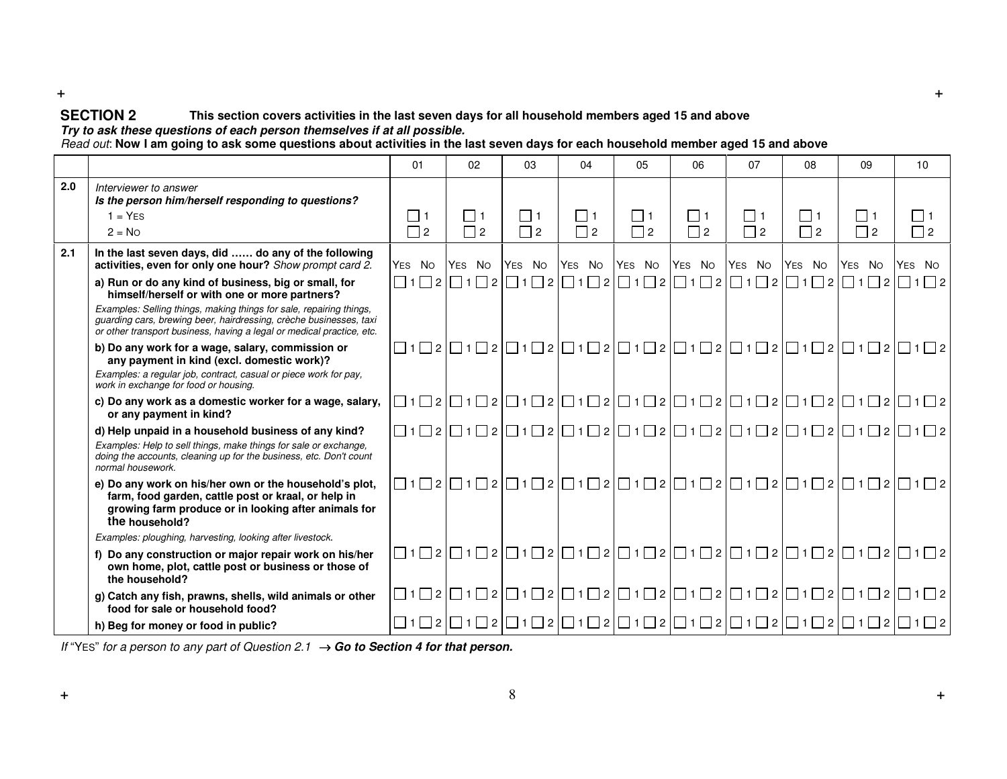**++**

#### **SECTION**This section covers activities in the last seven days for all household members aged 15 and above

*Try to ask these questions of each person themselves if at all possible.*

*Read out*: Now I am going to ask some questions about activities in the last seven days for each household member aged 15 and above

|     |                                                                                                                                                                                                                                                                                                                             | 01                   | 02                   | 03                                                      | 04                   | 05                   | 06                   | 07                   | 08                                                                                                                                                                                                                                                                                                                                       | 09                   | 10                   |
|-----|-----------------------------------------------------------------------------------------------------------------------------------------------------------------------------------------------------------------------------------------------------------------------------------------------------------------------------|----------------------|----------------------|---------------------------------------------------------|----------------------|----------------------|----------------------|----------------------|------------------------------------------------------------------------------------------------------------------------------------------------------------------------------------------------------------------------------------------------------------------------------------------------------------------------------------------|----------------------|----------------------|
| 2.0 | Interviewer to answer<br>Is the person him/herself responding to questions?<br>$1 = YES$<br>$2 = No$                                                                                                                                                                                                                        | $\Box$ 1<br>$\Box$ 2 | $\Box$ 1<br>$\Box$ 2 | $\Box$ 1<br>$\Box$ 2                                    | $\Box$ 1<br>$\Box$ 2 | $\Box$ 1<br>$\Box$ 2 | $\Box$ 1<br>$\Box$ 2 | $\Box$ 1<br>$\Box$ 2 | $\Box$ 1<br>$\Box$ 2                                                                                                                                                                                                                                                                                                                     | $\Box$ 1<br>$\Box$ 2 | $\Box$ 1<br>$\Box$ 2 |
| 2.1 | In the last seven days, did  do any of the following<br>activities, even for only one hour? Show prompt card 2.                                                                                                                                                                                                             | YES NO               |                      | YES NO YES NO YES NO YES NO YES NO YES NO YES NO YES NO |                      |                      |                      |                      |                                                                                                                                                                                                                                                                                                                                          | YES NO               | YES NO               |
|     | a) Run or do any kind of business, big or small, for<br>himself/herself or with one or more partners?<br>Examples: Selling things, making things for sale, repairing things,<br>guarding cars, brewing beer, hairdressing, crèche businesses, taxi<br>or other transport business, having a legal or medical practice, etc. |                      |                      |                                                         |                      |                      |                      |                      | $\Box$ 1 \Box 2 \vert \Box1 $\Box$ 2 $\vert \Box$ 1 $\Box$ 2 $\vert \Box$ 1 $\Box$ 2 $\vert \Box$ 1 $\Box$ 2 $\vert \Box$ 1 $\Box$ 2 $\vert \Box$ 1 $\Box$ 2 $\vert \Box$ 1 $\Box$ 2 $\vert \Box$ 1 $\Box$ 2                                                                                                                             |                      |                      |
|     | b) Do any work for a wage, salary, commission or<br>any payment in kind (excl. domestic work)?<br>Examples: a regular job, contract, casual or piece work for pay,<br>work in exchange for food or housing.                                                                                                                 |                      |                      |                                                         |                      |                      |                      |                      | $[1112] [1112] [11122] [11122] [11122] [11122] [11122] [11122] [11122]$                                                                                                                                                                                                                                                                  |                      |                      |
|     | c) Do any work as a domestic worker for a wage, salary,<br>or any payment in kind?                                                                                                                                                                                                                                          |                      |                      |                                                         |                      |                      |                      |                      | $\Box$ 1 \Box 2 \Box 1 \Box 2 \Box 1 \Box 2 \Box 1 \Box 2 \Box 1 \Box 2 \Box 1 \Box 2 \Box 1 \Box 2 \Box 1 \Box 2 \Box 1 \Box 2 \Box 1 \Box 2 \Box 1 \Box 2                                                                                                                                                                              |                      |                      |
|     | d) Help unpaid in a household business of any kind?<br>Examples: Help to sell things, make things for sale or exchange,<br>doing the accounts, cleaning up for the business, etc. Don't count<br>normal housework.                                                                                                          |                      |                      |                                                         |                      |                      |                      |                      | $\Box$ 1 \Box 2 \Box 1 \Box 2 \Box 1 \Box 2 \Box 1 \Box 2 \Box 1 \Box 2 \Box 1 \Box 2 \Box 1 \Box 2 \Box 1 \Box 2 \Box 1 \Box 2 \Box 1 \Box 2 \Box 1 \Box 2                                                                                                                                                                              |                      |                      |
|     | e) Do any work on his/her own or the household's plot,<br>farm, food garden, cattle post or kraal, or help in<br>growing farm produce or in looking after animals for<br>the household?                                                                                                                                     |                      |                      |                                                         |                      |                      |                      |                      | $\Box$ 1 \Box 2 \Box 1 \Box 2 \Box 1 \Box 2 \Box 1 \Box 2 \Box 1 \Box 2 \Box 1 \Box 2 \Box 1 \Box 2 \Box 1 \Box 2 \Box 1 \Box 2 \Box 1 \Box 2                                                                                                                                                                                            |                      |                      |
|     | Examples: ploughing, harvesting, looking after livestock.                                                                                                                                                                                                                                                                   |                      |                      |                                                         |                      |                      |                      |                      |                                                                                                                                                                                                                                                                                                                                          |                      |                      |
|     | f) Do any construction or major repair work on his/her<br>own home, plot, cattle post or business or those of<br>the household?                                                                                                                                                                                             |                      |                      |                                                         |                      |                      |                      |                      | $\Box$ 1\Box2 $\Box$ 1 $\Box$ 2 $\Box$ 1 $\Box$ 2 $\Box$ 1 $\Box$ 2 $\Box$ 1 $\Box$ 2 $\Box$ 1 $\Box$ 2 $\Box$ 1 $\Box$ 2 $\Box$ 1 $\Box$ 2 $\Box$ 1 $\Box$ 2 $\Box$ 1 $\Box$ 2 $\Box$ 1 $\Box$ 2 $\Box$ 1 $\Box$ 2 $\Box$ 1 $\Box$ 2 $\Box$ 1 $\Box$ 2 $\Box$ 1 $\Box$ 2 $\Box$ 1 $\Box$ 2 $\Box$ 1 $\Box$ 2 $\Box$ 1 $\Box$ 2 $\Box$ 1 |                      |                      |
|     | g) Catch any fish, prawns, shells, wild animals or other<br>food for sale or household food?                                                                                                                                                                                                                                |                      |                      |                                                         |                      |                      |                      |                      | $\Box$                                                                                                                                                                                                                                                                                                                                   |                      |                      |
|     | h) Beg for money or food in public?                                                                                                                                                                                                                                                                                         |                      |                      |                                                         |                      |                      |                      |                      | $\Box$ 1\Box2 $\Box$ 1 $\Box$ 2 $\Box$ 1 $\Box$ 2 $\Box$ 1 $\Box$ 2 $\Box$ 1 $\Box$ 2 $\Box$ 1 $\Box$ 2 $\Box$ 1 $\Box$ 2 $\Box$ 1 $\Box$ 2 $\Box$ 1 $\Box$ 2 $\Box$ 1 $\Box$ 2                                                                                                                                                          |                      |                      |

*If* "YES" *for a person to any part of Question 2.1* <sup>→</sup> *Go to Section 4 for that person.*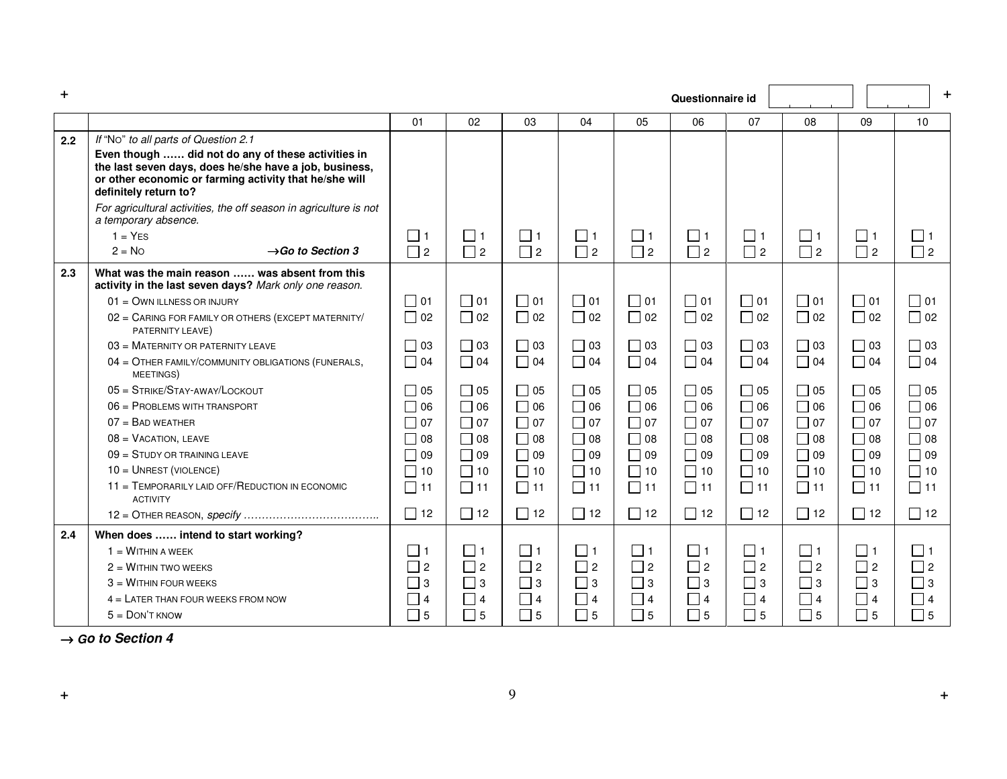| ÷   |                                                                                                                                                                                                                                                                                                                                                                                                                                                                                                                                       |                                                                                                                                                      |                                                                                                                                                          |                                                                                                                                                          |                                                                                                                                                                            |                                                                                                                                                          | Questionnaire id                                                                                                                                         |                                                                                                                                                                 |                                                                                                                                                          |                                                                                                                                                          | $\ddot{}$                                                                                                                                                |
|-----|---------------------------------------------------------------------------------------------------------------------------------------------------------------------------------------------------------------------------------------------------------------------------------------------------------------------------------------------------------------------------------------------------------------------------------------------------------------------------------------------------------------------------------------|------------------------------------------------------------------------------------------------------------------------------------------------------|----------------------------------------------------------------------------------------------------------------------------------------------------------|----------------------------------------------------------------------------------------------------------------------------------------------------------|----------------------------------------------------------------------------------------------------------------------------------------------------------------------------|----------------------------------------------------------------------------------------------------------------------------------------------------------|----------------------------------------------------------------------------------------------------------------------------------------------------------|-----------------------------------------------------------------------------------------------------------------------------------------------------------------|----------------------------------------------------------------------------------------------------------------------------------------------------------|----------------------------------------------------------------------------------------------------------------------------------------------------------|----------------------------------------------------------------------------------------------------------------------------------------------------------|
|     |                                                                                                                                                                                                                                                                                                                                                                                                                                                                                                                                       | 01                                                                                                                                                   | 02                                                                                                                                                       | 03                                                                                                                                                       | 04                                                                                                                                                                         | 05                                                                                                                                                       | 06                                                                                                                                                       | 07                                                                                                                                                              | 08                                                                                                                                                       | 09                                                                                                                                                       | 10                                                                                                                                                       |
| 2.2 | If "No" to all parts of Question 2.1<br>Even though  did not do any of these activities in<br>the last seven days, does he/she have a job, business,<br>or other economic or farming activity that he/she will<br>definitely return to?<br>For agricultural activities, the off season in agriculture is not<br>a temporary absence.<br>$1 = YES$<br>$2 = No$<br>$\rightarrow$ Go to Section 3                                                                                                                                        | $\Box$ 1<br>$\Box$ 2                                                                                                                                 | $\Box$ 1<br>$\Box$ 2                                                                                                                                     | $\Box$ 1<br>$\Box$ 2                                                                                                                                     | $\Box$ 1<br>$\Box$ 2                                                                                                                                                       | $\Box$ 1<br>$\Box$ 2                                                                                                                                     | $\Box$ 1<br>$\Box$ 2                                                                                                                                     | $\Box$ 1<br>$\Box$ 2                                                                                                                                            | $\Box$ 1<br>$\Box$ 2                                                                                                                                     | $\Box$ 1<br>$\Box$ 2                                                                                                                                     | $\Box$ 1<br>$\Box$ 2                                                                                                                                     |
| 2.3 | What was the main reason  was absent from this                                                                                                                                                                                                                                                                                                                                                                                                                                                                                        |                                                                                                                                                      |                                                                                                                                                          |                                                                                                                                                          |                                                                                                                                                                            |                                                                                                                                                          |                                                                                                                                                          |                                                                                                                                                                 |                                                                                                                                                          |                                                                                                                                                          |                                                                                                                                                          |
|     | activity in the last seven days? Mark only one reason.<br>$01 =$ OWN ILLNESS OR INJURY<br>02 = CARING FOR FAMILY OR OTHERS (EXCEPT MATERNITY/<br>PATERNITY LEAVE)<br>$03 = \text{MATERNITY}$ OR PATERNITY LEAVE<br>04 = OTHER FAMILY/COMMUNITY OBLIGATIONS (FUNERALS,<br>MEETINGS)<br>05 = STRIKE/STAY-AWAY/LOCKOUT<br>$06 =$ PROBLEMS WITH TRANSPORT<br>$07 =$ BAD WEATHER<br>$08 =$ Vacation, Leave<br>09 = STUDY OR TRAINING LEAVE<br>10 = UNREST (VIOLENCE)<br>11 = TEMPORARILY LAID OFF/REDUCTION IN ECONOMIC<br><b>ACTIVITY</b> | $\Box$ 01<br>$\Box$ 02<br>$\Box$ 03<br>$\Box$ 04<br>$\Box$ 05<br>$\Box$ 06<br>$\Box$ 07<br>$\Box$ 08<br>П<br>09<br>П<br>10<br>$\Box$ 11<br>$\Box$ 12 | $\Box$ 01<br>$\Box$ 02<br>$\Box$ 03<br>$\Box$ 04<br>$\Box$ 05<br>$\Box$ 06<br>$\Box$ 07<br>$\Box$ 08<br>$\Box$ 09<br>$\Box$ 10<br>$\Box$ 11<br>$\Box$ 12 | $\Box$ 01<br>$\Box$ 02<br>$\Box$ 03<br>$\Box$ 04<br>$\Box$ 05<br>$\Box$ 06<br>$\Box$ 07<br>$\Box$ 08<br>$\Box$ 09<br>$\Box$ 10<br>$\Box$ 11<br>$\Box$ 12 | $\Box$ 01<br>$\Box$ 02<br>$\Box$ 03<br>$\Box$ 04<br>05<br>$\vert \ \ \vert$<br>П<br>06<br>$\Box$ 07<br>$\Box$ 08<br>$\Box$<br>09<br>$\Box$<br>10<br>$\Box$ 11<br>$\Box$ 12 | $\Box$ 01<br>$\Box$ 02<br>$\Box$ 03<br>$\Box$ 04<br>$\Box$ 05<br>$\Box$ 06<br>$\Box$ 07<br>$\Box$ 08<br>$\Box$ 09<br>$\Box$ 10<br>$\Box$ 11<br>$\Box$ 12 | $\Box$ 01<br>$\Box$ 02<br>$\Box$ 03<br>$\Box$ 04<br>$\Box$ 05<br>$\Box$ 06<br>$\Box$ 07<br>$\Box$ 08<br>$\Box$ 09<br>$\Box$ 10<br>$\Box$ 11<br>$\Box$ 12 | $\Box$ 01<br>$\Box$ 02<br>$\Box$ 03<br>$\Box$ 04<br>$\Box$ 05<br>$\Box$ 06<br>$\Box$ 07<br>$\Box$ 08<br>$\Box$<br>09<br>$\Box$<br> 10<br>$\Box$ 11<br>$\Box$ 12 | $\Box$ 01<br>$\Box$ 02<br>$\Box$ 03<br>$\Box$ 04<br>$\Box$ 05<br>$\Box$ 06<br>$\Box$ 07<br>$\Box$ 08<br>$\Box$ 09<br>$\Box$ 10<br>$\Box$ 11<br>$\Box$ 12 | $\Box$ 01<br>$\Box$ 02<br>$\Box$ 03<br>$\Box$ 04<br>$\Box$ 05<br>$\Box$ 06<br>$\Box$ 07<br>$\Box$ 08<br>$\Box$ 09<br>$\Box$ 10<br>$\Box$ 11<br>$\Box$ 12 | $\Box$ 01<br>$\Box$ 02<br>$\Box$ 03<br>$\Box$ 04<br>$\Box$ 05<br>$\Box$ 06<br>$\Box$ 07<br>$\Box$ 08<br>$\Box$ 09<br>$\Box$ 10<br>$\Box$ 11<br>$\Box$ 12 |
| 2.4 | When does  intend to start working?<br>$1 = W$ ITHIN A WEEK<br>$2 =$ WITHIN TWO WEEKS<br>$3 =$ WITHIN FOUR WEEKS<br>4 = LATER THAN FOUR WEEKS FROM NOW<br>$5 =$ DON'T KNOW                                                                                                                                                                                                                                                                                                                                                            | $\overline{\phantom{a}}$<br>$\Box$ 2<br>┐<br>3<br>$\overline{4}$<br>5<br>$\overline{\phantom{a}}$                                                    | $\Box$ 1<br>$\Box$ 2<br>$\Box$ 3<br>$\Box$ 4<br>$\Box$ 5                                                                                                 | $\Box$ 1<br>$\Box$ 2<br>$\Box$ 3<br>$\Box$ 4<br>$\Box$ 5                                                                                                 | $\Box$ 1<br>$\Box$ 2<br>$\Box$ 3<br>$\bigcap$ 4<br>5<br>┓                                                                                                                  | $\Box$ 1<br>$\Box$ 2<br>$\Box$ 3<br>$\Box$ 4<br>$\Box$ 5                                                                                                 | $\Box$ 1<br>$\Box$ 2<br>$\Box$ 3<br>$\Box$ 4<br>$\Box$ 5                                                                                                 | $\Box$ 1<br>$\Box$ 2<br>$\Box$ 3<br>$\Box$ 4<br>$\Box$ 5                                                                                                        | $\Box$ 1<br>$\Box$ 2<br>$\Box$ 3<br>$\Box$ 4<br>$\Box$ 5                                                                                                 | $\Box$ 1<br>$\Box$ 2<br>$\Box$ 3<br>$\Box$ 4<br>$\Box$ 5                                                                                                 | $\sqsupset$ 1<br>$\Box$ 2<br>$\Box$ 3<br>$\sqsupset$ 4<br>$\Box$ 5                                                                                       |

→ *Go to Section 4*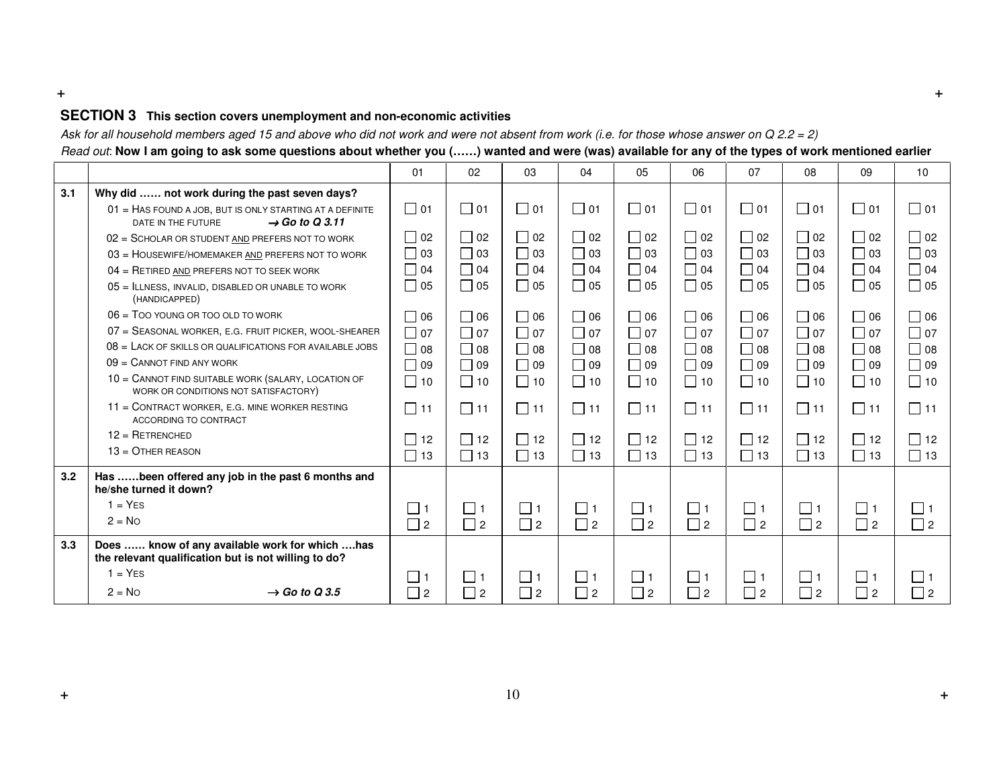#### **++**

#### **SECTION 3 This section covers unemployment and non-economic activities**

Ask for all household members aged 15 and above who did not work and were not absent from work (i.e. for those whose answer on Q 2.2 = 2)

*Read out*: Now I am going to ask some questions about whether you (……) wanted and were (was) available for any of the types of work mentioned earlier

|     |                                                                                                                                                                                                                                                                                          | 01                                                     | 02                                                            | 03                                                            | 04                                                            | 0 <sub>5</sub>                                                | 06                                                            | 07                                                            | 08                                                            | 09                                                            | 10                                                            |
|-----|------------------------------------------------------------------------------------------------------------------------------------------------------------------------------------------------------------------------------------------------------------------------------------------|--------------------------------------------------------|---------------------------------------------------------------|---------------------------------------------------------------|---------------------------------------------------------------|---------------------------------------------------------------|---------------------------------------------------------------|---------------------------------------------------------------|---------------------------------------------------------------|---------------------------------------------------------------|---------------------------------------------------------------|
| 3.1 | Why did  not work during the past seven days?<br>01 = HAS FOUND A JOB, BUT IS ONLY STARTING AT A DEFINITE                                                                                                                                                                                | $\Box$ 01                                              | $\Box$ 01                                                     | $\Box$ 01                                                     | $\Box$ 01                                                     | $\Box$ 01                                                     | $\Box$ 01                                                     | $\Box$ 01                                                     | $\Box$ 01                                                     | $\Box$ 01                                                     | $\Box$ 01                                                     |
|     | $\rightarrow$ Go to Q 3.11<br>DATE IN THE FUTURE<br>02 = SCHOLAR OR STUDENT AND PREFERS NOT TO WORK<br>03 = HOUSEWIFE/HOMEMAKER AND PREFERS NOT TO WORK<br>04 = RETIRED AND PREFERS NOT TO SEEK WORK<br>05 = ILLNESS, INVALID, DISABLED OR UNABLE TO WORK<br>(HANDICAPPED)               | $\Box$ 02<br>03<br>04<br>$\Box$ 05                     | $\Box$ 02<br>$\Box$ 03<br>$\Box$ 04<br>$\Box$ 05              | $\Box$ 02<br>∏ оз<br>$\Box$ 04<br>$\Box$ 05                   | $\Box$ 02<br>$\Box$ 03<br>$\Box$ 04<br>$\Box$ 05              | $\Box$ 02<br>$\Box$ 03<br>$\Box$ 04<br>$\Box$ 05              | $\Box$ 02<br>$\Box$ оз<br>$\Box$ 04<br>$\Box$ 05              | $\Box$ 02<br>$\Box$ 03<br>$\Box$ 04<br>$\Box$ 05              | $\Box$ 02<br>$\Box$ 03<br>$\Box$ 04<br>$\Box$ 05              | $\Box$ 02<br>$\Box$ 03<br>$\Box$ 04<br>$\Box$ 05              | $\Box$ 02<br>$\Box$ 03<br>$\Box$ 04<br>$\Box$ 05              |
|     | $06 =$ Too Young OR TOO OLD TO WORK<br>07 = SEASONAL WORKER, E.G. FRUIT PICKER, WOOL-SHEARER<br>$08$ = LACK OF SKILLS OR QUALIFICATIONS FOR AVAILABLE JOBS<br>$09 =$ CANNOT FIND ANY WORK<br>10 = CANNOT FIND SUITABLE WORK (SALARY, LOCATION OF<br>WORK OR CONDITIONS NOT SATISFACTORY) | $\Box$ 06<br>$\Box$ 07<br>$\Box$ 08<br>09<br>$\Box$ 10 | $\Box$ 06<br>$\Box$ 07<br>$\Box$ 08<br>$\Box$ 09<br>$\Box$ 10 | $\Box$ 06<br>$\Box$ 07<br>$\Box$ 08<br>$\Box$ 09<br>$\Box$ 10 | $\Box$ 06<br>$\Box$ 07<br>$\Box$ 08<br>$\Box$ 09<br>$\Box$ 10 | $\Box$ 06<br>$\Box$ 07<br>$\Box$ 08<br>$\Box$ 09<br>$\Box$ 10 | $\Box$ 06<br>$\Box$ 07<br>$\Box$ 08<br>$\Box$ 09<br>$\Box$ 10 | $\Box$ 06<br>$\Box$ 07<br>$\Box$ 08<br>$\Box$ 09<br>$\Box$ 10 | $\Box$ 06<br>$\Box$ 07<br>$\Box$ 08<br>$\Box$ 09<br>$\Box$ 10 | $\Box$ 06<br>$\Box$ 07<br>$\Box$ 08<br>$\Box$ 09<br>$\Box$ 10 | $\Box$ 06<br>$\Box$ 07<br>$\Box$ 08<br>$\Box$ 09<br>$\Box$ 10 |
|     | 11 = CONTRACT WORKER, E.G. MINE WORKER RESTING<br>ACCORDING TO CONTRACT                                                                                                                                                                                                                  | $\Box$ 11                                              | $\Box$ 11                                                     | $\square$ 11                                                  | $\Box$ 11                                                     | $\square$ 11                                                  | $\Box$ 11                                                     | $\Box$ 11                                                     | $\Box$ 11                                                     | $\Box$ 11                                                     | $\square$ 11                                                  |
|     | $12 =$ RETRENCHED<br>$13 =$ OTHER REASON                                                                                                                                                                                                                                                 | 12<br>$\Box$<br>13                                     | ∏ 12<br>$\Box$ 13                                             | ∏ 12<br>$\Box$ 13                                             | $\Box$ 12<br>$\Box$ 13                                        | $\Box$ 12<br>$\Box$ 13                                        | $\Box$ 12<br>$\Box$ 13                                        | $\Box$ 12<br>$\Box$ 13                                        | $\Box$ 12<br>$\Box$ 13                                        | $\Box$ 12<br>$\Box$ 13                                        | $\Box$ 12<br>$\Box$ 13                                        |
| 3.2 | Has been offered any job in the past 6 months and<br>he/she turned it down?<br>$1 = YFS$<br>$2 = No$                                                                                                                                                                                     | $\Box$ 1<br>$\Box$ 2                                   | $\Box$ 1<br>$\Box$ 2                                          | $\square$ 1<br>$\Box$ 2                                       | $\Box$ 1<br>$\Box$ 2                                          | $\Box$ 1<br>$\Box$ 2                                          | $\square$ 1<br>$\Box$ 2                                       | $\square$ 1<br>$\Box$ 2                                       | $\square$ 1<br>$\Box$ 2                                       | $\Box$ 1<br>$\Box$ 2                                          | $\Box$ 1<br>$\Box$ 2                                          |
| 3.3 | Does  know of any available work for which has<br>the relevant qualification but is not willing to do?<br>$1 = YES$<br>$2 = No$<br>$\rightarrow$ Go to Q 3.5                                                                                                                             | $\Box$ 1<br>$\sqsupset$ 2                              | l 11<br>$\Box$ 2                                              | $\Box$ 1<br>$\Box$ 2                                          | $\square$ 1<br>$\Box$ 2                                       | $\Box$ 1<br>$\Box$ 2                                          | $\Box$ 1<br>$\Box$ 2                                          | $\Box$ 1<br>$\Box$ 2                                          | $1 \overline{\smash{\bigcup}} 1$<br>$\Box$ 2                  | $\Box$ 1<br>$\Box$ 2                                          | $\Box$ 1<br>$\Box$ 2                                          |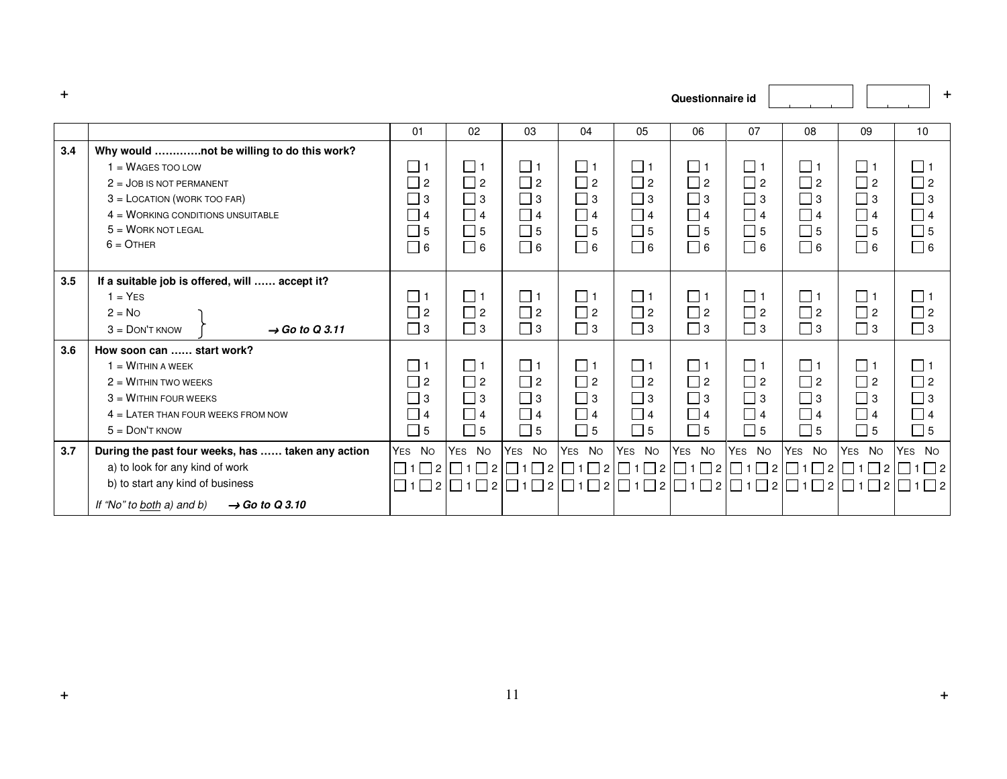|     |                                                                                                                                                                                                                                | 01                                                                      | 02                                                                   | 03                                                                   | 04                                                                   | 05                                                                                                                                   | 06                                                                  | 07                                                                   | 08                                                                   | 09                                                                   | 10                                                                   |
|-----|--------------------------------------------------------------------------------------------------------------------------------------------------------------------------------------------------------------------------------|-------------------------------------------------------------------------|----------------------------------------------------------------------|----------------------------------------------------------------------|----------------------------------------------------------------------|--------------------------------------------------------------------------------------------------------------------------------------|---------------------------------------------------------------------|----------------------------------------------------------------------|----------------------------------------------------------------------|----------------------------------------------------------------------|----------------------------------------------------------------------|
| 3.4 | Why would not be willing to do this work?<br>$1 = W \triangle A GES$ TOO LOW<br>$2 =$ JOB IS NOT PERMANENT<br>3 = LOCATION (WORK TOO FAR)<br>$4 = \text{WORKING CONDITIONS UNSUITABLE}$<br>$5 =$ WORK NOT LEGAL<br>$6 =$ OTHER | $\Box$ 1<br>$\Box$ 2<br>$\Box$ 3<br>$\bigcap$ 4<br>$\Box$ 5<br>$\Box$ 6 | 111<br>$\Box$ 2<br>$ $ $ $ 3<br>$\lceil$   4<br>$\Box$ 5<br>$\Box$ 6 | $\Box$ 1<br>$\Box$ 2<br>$\Box$ 3<br>$\Box$ 4<br>$\Box$ 5<br>$\Box$ 6 | $\Box$ 1<br>$\Box$ 2<br>$\Box$ 3<br>$\Box$ 4<br>$\Box$ 5<br>$\Box$ 6 | l 11<br>$\Box$ 2<br>$\Box$ 3<br>$\Box$ 4<br>$\Box$ 5<br>$\Box$ 6                                                                     | l 11<br>$\square$ 2<br>$\Box$ 3<br>$\Box$ 4<br>$\Box$ 5<br>$\Box$ 6 | $\Box$ 1<br>$\Box$ 2<br>$\Box$ 3<br>$\Box$ 4<br>$\Box$ 5<br>$\Box$ 6 | $\Box$ 1<br>$\Box$ 2<br>$\Box$ 3<br>$\Box$ 4<br>$\Box$ 5<br>$\Box$ 6 | $\Box$ 1<br>$\Box$ 2<br>$\Box$ 3<br>$\Box$ 4<br>$\Box$ 5<br>$\Box$ 6 | $\Box$ 1<br>$\Box$ 2<br>$\Box$ 3<br>$\Box$ 4<br>$\Box$ 5<br>$\Box$ 6 |
| 3.5 | If a suitable job is offered, will  accept it?<br>$1 = YFS$<br>$2 = No$<br>$3 =$ DON'T KNOW<br>$\rightarrow$ Go to Q 3.11                                                                                                      | $\Box$ 1<br>$\sqsupset$ 2<br>$\Box$ 3                                   | $\Box$ 1<br>$\Box$ 2<br>$\Box$ 3                                     | $\Box$ 1<br>$\Box$ 2<br>$\Box$ 3                                     | $\Box$ 1<br>$\Box$ 2<br>$\Box$ 3                                     | $\Box$ 1<br>$\Box$ 2<br>$\Box$ 3                                                                                                     | $\Box$ 1<br>$\Box$ 2<br>$\Box$ 3                                    | $\Box$ 1<br>$\Box$ 2<br>$\Box$ 3                                     | $\Box$ 1<br>$\Box$ 2<br>$\Box$ 3                                     | $\Box$ 1<br>$\Box$ 2<br>$\Box$ 3                                     | $\Box$ 1<br>$\Box$ 2<br>$\Box$ 3                                     |
| 3.6 | How soon can  start work?<br>$1 = W$ ITHIN A WEEK<br>$2 = W$ ITHIN TWO WEEKS<br>$3 =$ WITHIN FOUR WEEKS<br>$4 =$ LATER THAN FOUR WEEKS FROM NOW<br>$5 =$ DON'T KNOW                                                            | $\Box$<br>$\sqsupset$ 2<br>$\Box$ 3<br>$\Box$ 4<br>$\Box$ 5             | $\Box$ 1<br>$\Box$ 2<br>$\Box$ 3<br>$\Box$ 4<br>$\Box$ 5             | $\Box$ 1<br>$\Box$ 2<br>$\Box$ 3<br>$\Box$ 4<br>$\Box$ 5             | $\Box$ 1<br>$\Box$ 2<br>$\Box$ 3<br>$\Box$ 4<br>$\Box$ 5             | $\Box$ 1<br>$\Box$ 2<br>$\Box$ 3<br>$\Box$ 4<br>$\Box$ 5                                                                             | $\square$ 1<br>$\Box$ 2<br>$\Box$ 3<br>$\Box$ 4<br>$\Box$ 5         | $\Box$ 1<br>$\Box$ 2<br>$\Box$ 3<br>$\Box$ 4<br>$\Box$ 5             | $\Box$ 1<br>$\Box$ 2<br>$\Box$ 3<br>$\Box$ 4<br>$\Box$ 5             | $\square$ 1<br>$\Box$ 2<br>$\Box$ 3<br>$\Box$ 4<br>$\Box$ 5          | $\Box$ 1<br>$\Box$ 2<br>$\Box$ 3<br>$\Box$ 4<br>$\Box$ 5             |
| 3.7 | During the past four weeks, has  taken any action<br>a) to look for any kind of work<br>b) to start any kind of business<br>If "No" to both a) and b)<br>$\rightarrow$ Go to Q 3.10                                            | <b>YES</b><br><b>No</b><br>$\Box$ 1<br>- I 1                            | <b>No</b><br><b>YES</b><br>$\Box$ 2 $\Box$ 1 $\Box$ 2                | YES No                                                               | YES<br><b>No</b>                                                     | YES No<br> □1□2 □1□2 □1□2 □1□2 □1□2 □1□2 □1□2 □<br>□2 □1 □ 2 □ 1 □ 2 □ 1 □ 2 □ 1 □ 2 □ 1 □ 2 □ 1 □ 2 □ 1 □ 2 □ 1 □ 2 □ 1 □ 2 □ 1 □ 2 | YES No                                                              | YES No                                                               | YES No                                                               | YES No                                                               | YES No<br>$1 \square 2$                                              |

**+**

**Questionnaire id <sup>+</sup>**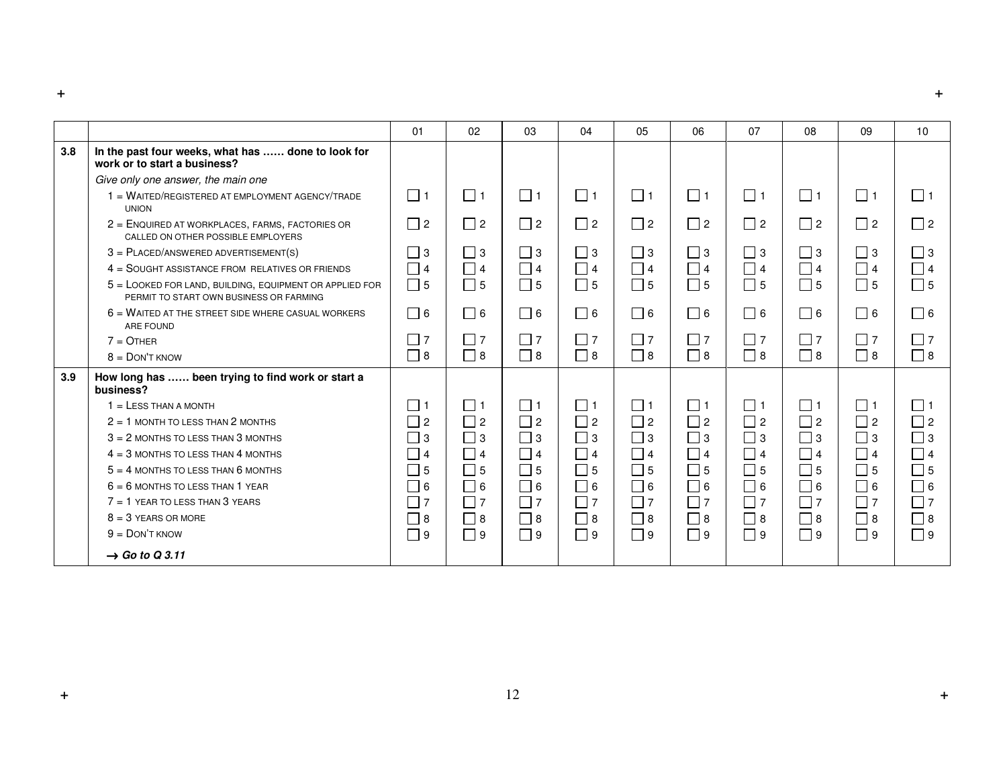|     |                                                                                                    | 01            | 02                                                 | 03            | 04       | 05                                      | 06          | 07       | 08       | 09       | 10       |
|-----|----------------------------------------------------------------------------------------------------|---------------|----------------------------------------------------|---------------|----------|-----------------------------------------|-------------|----------|----------|----------|----------|
| 3.8 | In the past four weeks, what has  done to look for<br>work or to start a business?                 |               |                                                    |               |          |                                         |             |          |          |          |          |
|     | Give only one answer, the main one                                                                 |               |                                                    |               |          |                                         |             |          |          |          |          |
|     | 1 = WAITED/REGISTERED AT EMPLOYMENT AGENCY/TRADE<br><b>UNION</b>                                   | $\Box$ 1      | $\Box$ 1                                           | $\Box$ 1      | $\Box$ 1 | $\Box$ 1                                | $\Box$ 1    | $\Box$ 1 | $\Box$ 1 | $\Box$ 1 | $\Box$ 1 |
|     | 2 = ENQUIRED AT WORKPLACES, FARMS, FACTORIES OR<br>CALLED ON OTHER POSSIBLE EMPLOYERS              | $\Box$ 2      | $\Box$ 2                                           | $\Box$ 2      | $\Box$ 2 | $\Box$ 2                                | $\square$ 2 | $\Box$ 2 | $\Box$ 2 | $\Box$ 2 | $\Box$ 2 |
|     | $3 =$ PLACED/ANSWERED ADVERTISEMENT(S)                                                             | $\Box$ 3      | $\Box$ 3                                           | $\Box$ 3      | $\Box$ 3 | $\Box$ 3                                | $\Box$ 3    | $\Box$ 3 | $\Box$ 3 | $\Box$ 3 | $\Box$ 3 |
|     | 4 = SOUGHT ASSISTANCE FROM RELATIVES OR FRIENDS                                                    | $\Box$ 4      | $\Box$ 4                                           | $\Box$ 4      | $\Box$ 4 | $\Box$ 4                                | $\Box$ 4    | $\Box$ 4 | $\Box$ 4 | $\Box$ 4 | $\Box$ 4 |
|     | 5 = LOOKED FOR LAND, BUILDING, EQUIPMENT OR APPLIED FOR<br>PERMIT TO START OWN BUSINESS OR FARMING | $\square$ 5   | $\Box$ 5                                           | $\Box$ 5      | $\Box$ 5 | $\Box$ 5                                | $\Box$ 5    | $\Box$ 5 | $\Box$ 5 | $\Box$ 5 | $\Box$ 5 |
|     | $6 =$ Waited at the street side where casual workers<br>ARE FOUND                                  | $\Box$ 6      | $\Box$ 6                                           | $\Box$ 6      | $\Box$ 6 | $\Box$ 6                                | $\Box$ 6    | $\Box$ 6 | $\Box$ 6 | $\Box$ 6 | $\Box$ 6 |
|     | $7 =$ OTHER                                                                                        | $\Box$ 7      | $\Box$ 7                                           | $\Box$ 7      | $\Box$ 7 | $\Box$ 7                                | $\square$ 7 | $\Box$ 7 | $\Box$ 7 | $\Box$ 7 | $\Box$ 7 |
|     | $8 =$ DON'T KNOW                                                                                   | $\Box$ 8      | $\Box$ 8                                           | $\Box$ 8      | $\Box$ 8 | $\Box$ 8                                | $\Box$ 8    | $\Box$ 8 | $\Box$ 8 | $\Box$ 8 | $\Box$ 8 |
| 3.9 | How long has  been trying to find work or start a<br>business?                                     |               |                                                    |               |          |                                         |             |          |          |          |          |
|     | $1 =$ LESS THAN A MONTH                                                                            | $\Box$ 1      | $\Box$                                             | $\Box$ 1      | l 11     | l 11                                    | $\Box$ 1    | l 11     | l 11     | $\Box$ 1 | $\Box$ 1 |
|     | $2 = 1$ MONTH TO LESS THAN 2 MONTHS                                                                | $\Box$ 2      | $\Box$ 2                                           | $\Box$ 2      | $\Box$ 2 | $\Box$ 2                                | $\Box$ 2    | $\Box$ 2 | $\Box$ 2 | $\Box$ 2 | $\Box$ 2 |
|     | $3 = 2$ MONTHS TO LESS THAN $3$ MONTHS                                                             | ヿ 3           | □ 3                                                | $\Box$ 3      | $\Box$ 3 | $\Box$ 3                                | $\Box$ 3    | l I3     | $\Box$ з | $\Box$ 3 | $\Box$ 3 |
|     | $4 = 3$ MONTHS TO LESS THAN 4 MONTHS                                                               | $\Box$ 4      | $\begin{array}{ c c c }\n\hline\n& 4\n\end{array}$ | $\Box$ 4      | $\Box$ 4 | $\begin{array}{ccc} \hline \end{array}$ | $\Box$ 4    | $\Box$ 4 | $\Box$ 4 | $\Box$ 4 | $\Box$ 4 |
|     | $5 = 4$ MONTHS TO LESS THAN 6 MONTHS                                                               | $\sqsupset$ 5 | $\Box$ 5                                           | $\sqsupset$ 5 | $\Box$ 5 | $\overline{\phantom{a}}$ 5              | $\Box$ 5    | $\Box$ 5 | $\Box$ 5 | $\Box$ 5 | $\Box$ 5 |
|     | $6 = 6$ MONTHS TO LESS THAN 1 YEAR                                                                 | $\Box$ 6      | $\Box$ 6                                           | $\Box$ 6      | □ 6      | $\Box$ 6                                | $\Box$ 6    | $\Box$ 6 | $\Box$ 6 | $\Box$ 6 | $\Box$ 6 |
|     | $7 = 1$ YEAR TO LESS THAN 3 YEARS                                                                  | $\Box$ 7      | $\Box$<br>$\overline{7}$                           | $\Box$ 7      | $\Box$ 7 | $\Box$ 7                                | $\Box$ 7    | $\Box$ 7 | $\Box$ 7 | $\Box$ 7 | $\Box$ 7 |
|     | $8 = 3$ YEARS OR MORE                                                                              | ヿ8            | $\sqsupset$ 8                                      | $\sqsupset$ 8 | $\Box$ 8 | $\bigcap$ 8                             | $\Box$ 8    | $\Box$ 8 | ヿ 8      | $\Box$ 8 | $\Box$ 8 |
|     | $9 =$ DON'T KNOW                                                                                   | $\Box$ 9      | ∏ 9                                                | $\Box$ 9      | $\Box$ 9 | $\Box$ 9                                | $\Box$ 9    | $\Box$ 9 | $\Box$ 9 | $\Box$ 9 | $\Box$ 9 |
|     | $\rightarrow$ Go to Q 3.11                                                                         |               |                                                    |               |          |                                         |             |          |          |          |          |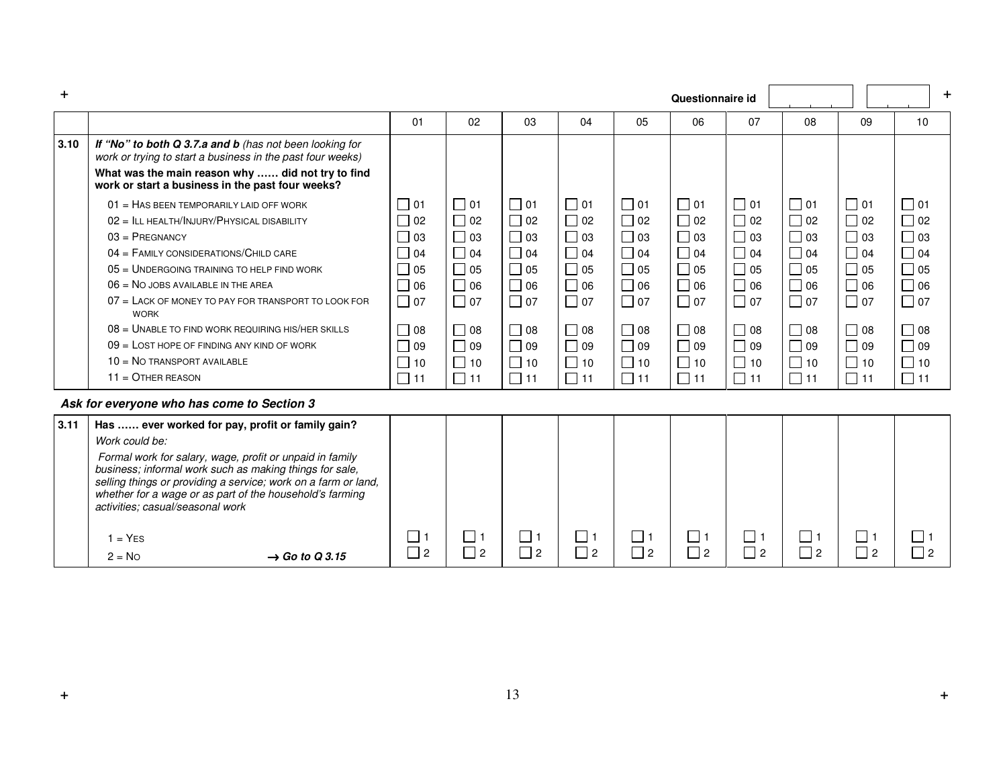| $\ddot{}$ |                                                                                                                                                                                                                                                                                       |           |           |           |                            |            | Questionnaire id |           |           |           | $\ddot{}$     |
|-----------|---------------------------------------------------------------------------------------------------------------------------------------------------------------------------------------------------------------------------------------------------------------------------------------|-----------|-----------|-----------|----------------------------|------------|------------------|-----------|-----------|-----------|---------------|
|           |                                                                                                                                                                                                                                                                                       | 01        | 02        | 03        | 04                         | 05         | 06               | 07        | 08        | 09        | 10            |
| 3.10      | If "No" to both Q 3.7.a and b (has not been looking for<br>work or trying to start a business in the past four weeks)                                                                                                                                                                 |           |           |           |                            |            |                  |           |           |           |               |
|           | What was the main reason why  did not try to find<br>work or start a business in the past four weeks?                                                                                                                                                                                 |           |           |           |                            |            |                  |           |           |           |               |
|           | $01 =$ HAS BEEN TEMPORARILY LAID OFF WORK                                                                                                                                                                                                                                             | l 101     | $\Box$ 01 | $\Box$ 01 | l 101                      | $\Box$ 01  | $\Box$ 01        | $\Box$ 01 | $\Box$ 01 | 101       | $\Box$ 01     |
|           | $02 = ILL$ HEALTH/INJURY/PHYSICAL DISABILITY                                                                                                                                                                                                                                          | $\Box$ 02 | $\Box$ 02 | $\Box$ 02 | $\Box$ 02                  | $\Box$ 02  | $\Box$ 02        | $\Box$ 02 | $\Box$ 02 | $\Box$ 02 | $\Box$ 02     |
|           | $03 = P$ REGNANCY                                                                                                                                                                                                                                                                     | $\Box$ 03 | $\Box$ 03 | $\Box$ 03 | $\Box$ 03                  | $\Box$ 03  | $\Box$ 03        | $\Box$ 03 | $\Box$ 03 | $\Box$ 03 | $\Box$ 03     |
|           | 04 = FAMILY CONSIDERATIONS/CHILD CARE                                                                                                                                                                                                                                                 | $\Box$ 04 | $\Box$ 04 | $\Box$ 04 | $\Box$ 04                  | $\Box$ 04  | $\Box$ 04        | $\Box$ 04 | $\Box$ 04 | $\Box$ 04 | $\Box$ 04     |
|           | 05 = UNDERGOING TRAINING TO HELP FIND WORK                                                                                                                                                                                                                                            | $\Box$ 05 | $\Box$ 05 | $\Box$ 05 | $\Box$ 05                  | $\Box$ 05  | $\Box$ 05        | $\Box$ 05 | $\Box$ 05 | $\Box$ 05 | $\Box$ 05     |
|           | $06 = No$ JOBS AVAILABLE IN THE AREA                                                                                                                                                                                                                                                  | $\Box$ 06 | $\Box$ 06 | $\Box$ 06 | $\Box$ 06                  | $\Box$ 06  | $\Box$ 06        | $\Box$ 06 | $\Box$ 06 | $\Box$ 06 | $\Box$ 06     |
|           | 07 = LACK OF MONEY TO PAY FOR TRANSPORT TO LOOK FOR<br><b>WORK</b>                                                                                                                                                                                                                    | $\Box$ 07 | $\Box$ 07 | $\Box$ 07 | $\Box$ 07                  | $\Box$ 07  | $\Box$ 07        | $\Box$ 07 | $\Box$ 07 | $\Box$ 07 | $\Box$ 07     |
|           | $08 =$ UNABLE TO FIND WORK REQUIRING HIS/HER SKILLS                                                                                                                                                                                                                                   | $\Box$ 08 | $\Box$ 08 | $\Box$ 08 | 08                         | $\Box$ 08  | $\Box$ 08        | □ 08      | $\Box$ 08 | □ 08      | 08            |
|           | $09 =$ LOST HOPE OF FINDING ANY KIND OF WORK                                                                                                                                                                                                                                          | $\Box$ 09 | $\Box$ 09 | $\Box$ 09 | $\Box$ 09                  | $\Box$ 09  | $\Box$ 09        | $\Box$ 09 | $\Box$ 09 | $\Box$ 09 | $\Box$ 09     |
|           | $10 = NO$ TRANSPORT AVAILABLE                                                                                                                                                                                                                                                         | $\Box$ 10 | $\Box$ 10 | $\Box$ 10 | $\Box$ 10                  | $\Box$ 10  | $\Box$ 10        | $\Box$ 10 | $\Box$ 10 | $\Box$ 10 | $\Box$ 10     |
|           | $11 =$ OTHER REASON                                                                                                                                                                                                                                                                   | $\Box$ 11 | l 11      | $\Box$ 11 | $\square$ 11               | $\Box$ 11  | $\Box$ 11        | $\Box$ 11 | $\Box$ 11 | $\Box$ 11 | $\Box$ 11     |
|           | Ask for everyone who has come to Section 3                                                                                                                                                                                                                                            |           |           |           |                            |            |                  |           |           |           |               |
| 3.11      | Has  ever worked for pay, profit or family gain?                                                                                                                                                                                                                                      |           |           |           |                            |            |                  |           |           |           |               |
|           | Work could be:                                                                                                                                                                                                                                                                        |           |           |           |                            |            |                  |           |           |           |               |
|           | Formal work for salary, wage, profit or unpaid in family<br>business; informal work such as making things for sale,<br>selling things or providing a service; work on a farm or land,<br>whether for a wage or as part of the household's farming<br>activities; casual/seasonal work |           |           |           |                            |            |                  |           |           |           |               |
|           | $1 = YES$                                                                                                                                                                                                                                                                             | ∐ 1       | l 11      | $\Box$ 1  | □ 1                        | $\vert$ 11 | $\Box$ 1         | □ 1       | $\Box$ 1  | $\Box$ 1  | $\Box$        |
|           | $2 = No$<br>$\rightarrow$ Go to Q 3.15                                                                                                                                                                                                                                                | $\Box$ 2  | $\Box$ 2  | $\Box$ 2  | $\overline{\phantom{a}}$ 2 | $\Box$ 2   | $\Box$ 2         | $\Box$ 2  | $\Box$ 2  | $\Box$ 2  | $\sqsupset$ 2 |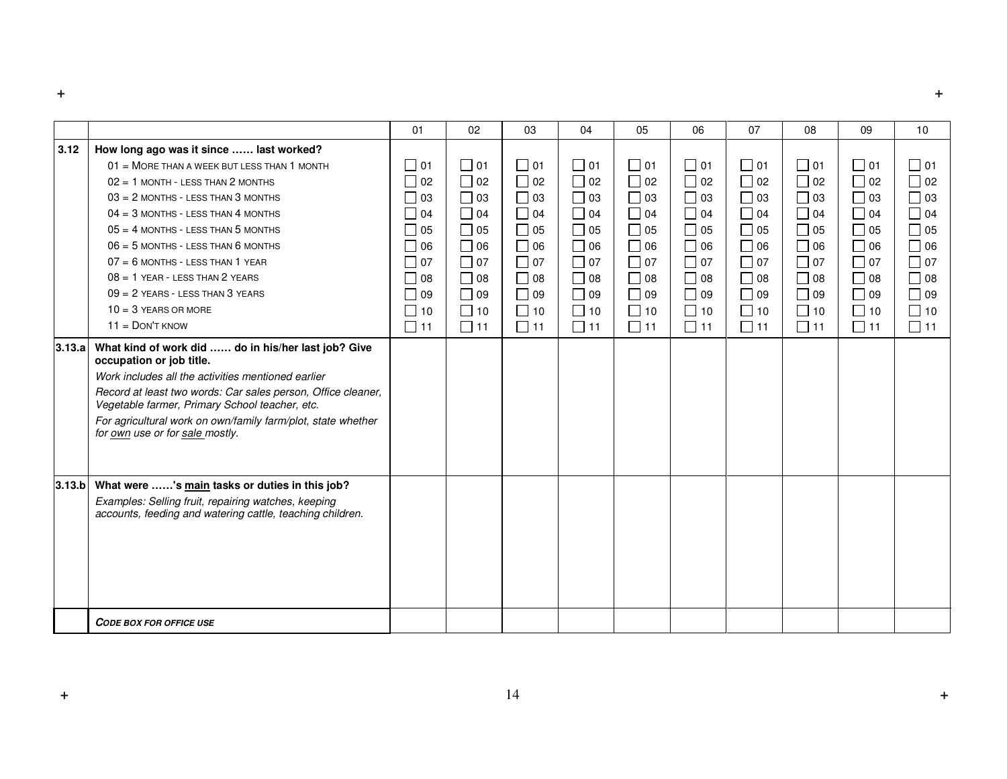|        |                                                                                                                  | 01        | 02        | 03        | 04           | 05        | 06        | 07        | 08        | 09        | 10        |
|--------|------------------------------------------------------------------------------------------------------------------|-----------|-----------|-----------|--------------|-----------|-----------|-----------|-----------|-----------|-----------|
| 3.12   | How long ago was it since  last worked?                                                                          |           |           |           |              |           |           |           |           |           |           |
|        | 01 = MORE THAN A WEEK BUT LESS THAN 1 MONTH                                                                      | $\Box$ 01 | $\Box$ 01 | $\Box$ 01 | $\Box$ 01    | $\Box$ 01 | $\Box$ 01 | $\Box$ 01 | $\Box$ 01 | $\Box$ 01 | $\Box$ 01 |
|        | $02 = 1$ MONTH - LESS THAN 2 MONTHS                                                                              | $\Box$ 02 | $\Box$ 02 | $\Box$ 02 | $\Box$ 02    | $\Box$ 02 | $\Box$ 02 | $\Box$ 02 | $\Box$ 02 | $\Box$ 02 | $\Box$ 02 |
|        | $03 = 2$ MONTHS - LESS THAN 3 MONTHS                                                                             | $\Box$ 03 | l 03      | $\Box$ 03 | $\square$ 03 | $\Box$ 03 | $\Box$ 03 | $\Box$ 03 | $\Box$ 03 | $\Box$ 03 | $\Box$ 03 |
|        | $04 = 3$ MONTHS - LESS THAN 4 MONTHS                                                                             | $\Box$ 04 | $\Box$ 04 | $\Box$ 04 | $\Box$ 04    | $\Box$ 04 | $\Box$ 04 | $\Box$ 04 | $\Box$ 04 | $\Box$ 04 | $\Box$ 04 |
|        | $05 = 4$ MONTHS - LESS THAN 5 MONTHS                                                                             | $\Box$ 05 | $\Box$ 05 | $\Box$ 05 | $\Box$ 05    | $\Box$ 05 | $\Box$ 05 | $\Box$ 05 | $\Box$ 05 | $\Box$ 05 | $\Box$ 05 |
|        | $06 = 5$ MONTHS - LESS THAN 6 MONTHS                                                                             | $\Box$ 06 | $\Box$ 06 | $\Box$ 06 | $\Box$ 06    | $\Box$ 06 | $\Box$ 06 | $\Box$ 06 | $\Box$ 06 | $\Box$ 06 | $\Box$ 06 |
|        | 07 = 6 MONTHS - LESS THAN 1 YEAR                                                                                 | $\Box$ 07 | $\Box$ 07 | $\Box$ 07 | $\Box$ 07    | $\Box$ 07 | $\Box$ 07 | $\Box$ 07 | $\Box$ 07 | $\Box$ 07 | $\Box$ 07 |
|        | $08 = 1$ YEAR - LESS THAN 2 YEARS                                                                                | ∐ 08      | $\Box$ 08 | $\Box$ 08 | $\Box$ 08    | $\Box$ 08 | $\Box$ 08 | $\Box$ 08 | $\Box$ 08 | $\Box$ 08 | $\Box$ 08 |
|        | $09 = 2$ YEARS - LESS THAN 3 YEARS                                                                               | $\Box$ 09 | $\Box$ 09 | $\Box$ 09 | $\Box$ 09    | $\Box$ 09 | $\Box$ 09 | $\Box$ 09 | $\Box$ 09 | $\Box$ 09 | $\Box$ 09 |
|        | $10 = 3$ YEARS OR MORE                                                                                           | $\Box$ 10 | $\Box$ 10 | $\Box$ 10 | $\Box$ 10    | $\Box$ 10 | $\Box$ 10 | $\Box$ 10 | $\Box$ 10 | $\Box$ 10 | $\Box$ 10 |
|        | $11 =$ DON'T KNOW                                                                                                | $\Box$ 11 | $\Box$ 11 | $\Box$ 11 | $\Box$ 11    | $\Box$ 11 | $\Box$ 11 | $\Box$ 11 | $\Box$ 11 | $\Box$ 11 | $\Box$ 11 |
| 3.13.a | What kind of work did  do in his/her last job? Give<br>occupation or job title.                                  |           |           |           |              |           |           |           |           |           |           |
|        | Work includes all the activities mentioned earlier                                                               |           |           |           |              |           |           |           |           |           |           |
|        | Record at least two words: Car sales person, Office cleaner,<br>Vegetable farmer, Primary School teacher, etc.   |           |           |           |              |           |           |           |           |           |           |
|        | For agricultural work on own/family farm/plot, state whether<br>for own use or for sale mostly.                  |           |           |           |              |           |           |           |           |           |           |
| 3.13.b | What were 's main tasks or duties in this job?                                                                   |           |           |           |              |           |           |           |           |           |           |
|        | Examples: Selling fruit, repairing watches, keeping<br>accounts, feeding and watering cattle, teaching children. |           |           |           |              |           |           |           |           |           |           |
|        |                                                                                                                  |           |           |           |              |           |           |           |           |           |           |
|        | <b>CODE BOX FOR OFFICE USE</b>                                                                                   |           |           |           |              |           |           |           |           |           |           |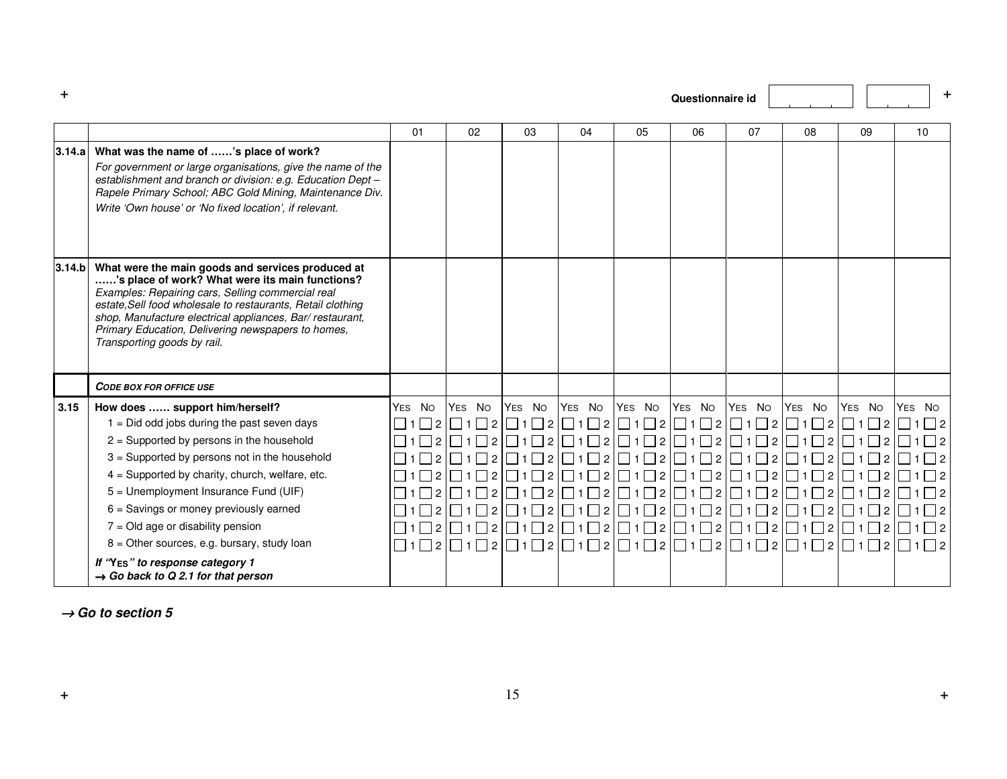|        |                                                                                                                                                                                                                                                                                                                                                                                                                                                                                                          | 01                                                                                                 | 02                                                                                                                       | 03                                                                                                                | 04 | 0 <sub>5</sub>                                                                                                                                                                                                                                                                                                                                                          | 06 | 07                                                                         | 08                                 | 09                                                                       | 10                             |
|--------|----------------------------------------------------------------------------------------------------------------------------------------------------------------------------------------------------------------------------------------------------------------------------------------------------------------------------------------------------------------------------------------------------------------------------------------------------------------------------------------------------------|----------------------------------------------------------------------------------------------------|--------------------------------------------------------------------------------------------------------------------------|-------------------------------------------------------------------------------------------------------------------|----|-------------------------------------------------------------------------------------------------------------------------------------------------------------------------------------------------------------------------------------------------------------------------------------------------------------------------------------------------------------------------|----|----------------------------------------------------------------------------|------------------------------------|--------------------------------------------------------------------------|--------------------------------|
| 3.14.a | What was the name of 's place of work?<br>For government or large organisations, give the name of the<br>establishment and branch or division: e.g. Education Dept -<br>Rapele Primary School; ABC Gold Mining, Maintenance Div.<br>Write 'Own house' or 'No fixed location', if relevant.                                                                                                                                                                                                               |                                                                                                    |                                                                                                                          |                                                                                                                   |    |                                                                                                                                                                                                                                                                                                                                                                         |    |                                                                            |                                    |                                                                          |                                |
| 3.14.b | What were the main goods and services produced at<br>'s place of work? What were its main functions?<br>Examples: Repairing cars, Selling commercial real<br>estate, Sell food wholesale to restaurants, Retail clothing<br>shop, Manufacture electrical appliances, Bar/restaurant,<br>Primary Education, Delivering newspapers to homes,<br>Transporting goods by rail.                                                                                                                                |                                                                                                    |                                                                                                                          |                                                                                                                   |    |                                                                                                                                                                                                                                                                                                                                                                         |    |                                                                            |                                    |                                                                          |                                |
|        | <b>CODE BOX FOR OFFICE USE</b>                                                                                                                                                                                                                                                                                                                                                                                                                                                                           |                                                                                                    |                                                                                                                          |                                                                                                                   |    |                                                                                                                                                                                                                                                                                                                                                                         |    |                                                                            |                                    |                                                                          |                                |
| 3.15   | How does  support him/herself?<br>$1 = Did odd jobs during the past seven days$<br>$2 =$ Supported by persons in the household<br>$3 =$ Supported by persons not in the household<br>$4 =$ Supported by charity, church, welfare, etc.<br>5 = Unemployment Insurance Fund (UIF)<br>$6 =$ Savings or money previously earned<br>$7 =$ Old age or disability pension<br>$8 =$ Other sources, e.g. bursary, study loan<br>If "Yes" to response category 1<br>$\rightarrow$ Go back to Q 2.1 for that person | YES NO<br>$\sqcap$ 1 $\sqcap$ 2 $\sqcap$<br>$\Box$ 2<br>$\sqcap$ 1 $\sqcap$ 2 $\sqcap$<br>$\Box$ 2 | YES No<br>$\Box$ 1 $\Box$ 2<br>$\Box$ 1 $\Box$ 2<br>$\Box$ 1 $\Box$ 2 $\Box$ 1 $\Box$ 2<br>$\Box$ 1 $\Box$ 2<br>$\Box$ 2 | YES NO YES NO<br>$\Box$ 1 $\Box$ 2<br>$1 \square 2$<br>$\Box$ 1 $\Box$ 2 $\Box$<br>$1 \square 2$<br>$1 \square 2$ |    | YES NO YES NO YES NO<br>$\Box$ 1 $\Box$ 2 $\Box$ 1 $\Box$ 2 $\Box$ 1 $\Box$ 2 $\Box$ 1 $\Box$ 2 $\Box$ 1 $\Box$ 1 $\Box$ 2 $\Box$ 1 $\Box$<br>$\Box$ 1 $\Box$ 2 $\Box$ 1 $\Box$ 2 $\Box$<br>$\Box$ 1\Box2 \Box1\Box2 \Box1\Box2 \Box1\Box2 \Box1\Box2 \Box1\Box2 \Box1\Box2<br>コ1 □ 2  □ 1 □ 2  □ 1 □ 2  □ 1 □ 2  □ 1 □ 2  □ 1 [<br>$\Box$ 1 $\Box$ 2 $\Box$ 1 $\Box$ 2 |    | $\Box$ 1 $\Box$ 2 $\Box$ 1 $\Box$ 2<br>$\Box$ 1 $\Box$ 2 $\Box$ 1 $\Box$ 2 | YES No<br>$1$   2<br>$1 \square 2$ | YES No<br>$\vert$ 2<br>$\sqsupset$ 2<br>$\sqcap$ 2 $\sqcap$<br>$\vert$ 2 | YES NO<br>$\Box$ 2<br>$\Box$ 2 |

**Questionnaire id**

→ *Go to section <sup>5</sup>*

**+**

**+**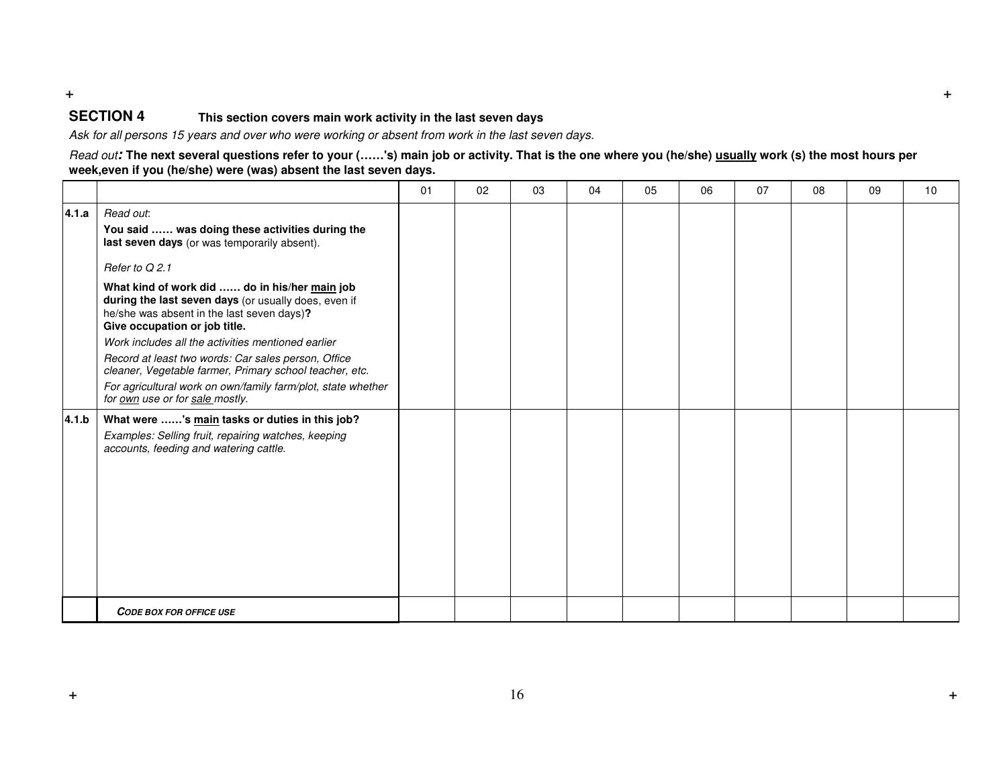#### **SECTION4 This section covers main work activity in the last seven days**

Ask for all persons 15 years and over who were working or absent from work in the last seven days.

#### *Read out:* The next several questions refer to your (……'s) main job or activity. That is the one where you (he/she) <u>usually</u> work (s) the most hours per **week,even if you (he/she) were (was) absent the last seven days.**

|       |                                                                                                                                                                                                                                                                                                                                                                                                                                                                                                                                                                                                   | 01 | 02 | 03 | 04 | 05 | 06 | 07 | 08 | 09 | 10 |
|-------|---------------------------------------------------------------------------------------------------------------------------------------------------------------------------------------------------------------------------------------------------------------------------------------------------------------------------------------------------------------------------------------------------------------------------------------------------------------------------------------------------------------------------------------------------------------------------------------------------|----|----|----|----|----|----|----|----|----|----|
| 4.1.a | Read out:<br>You said  was doing these activities during the<br>last seven days (or was temporarily absent).<br>Refer to Q 2.1<br>What kind of work did  do in his/her main job<br>during the last seven days (or usually does, even if<br>he/she was absent in the last seven days)?<br>Give occupation or job title.<br>Work includes all the activities mentioned earlier<br>Record at least two words: Car sales person, Office<br>cleaner, Vegetable farmer, Primary school teacher, etc.<br>For agricultural work on own/family farm/plot, state whether<br>for own use or for sale mostly. |    |    |    |    |    |    |    |    |    |    |
| 4.1.b | What were 's main tasks or duties in this job?<br>Examples: Selling fruit, repairing watches, keeping<br>accounts, feeding and watering cattle.                                                                                                                                                                                                                                                                                                                                                                                                                                                   |    |    |    |    |    |    |    |    |    |    |
|       | <b>CODE BOX FOR OFFICE USE</b>                                                                                                                                                                                                                                                                                                                                                                                                                                                                                                                                                                    |    |    |    |    |    |    |    |    |    |    |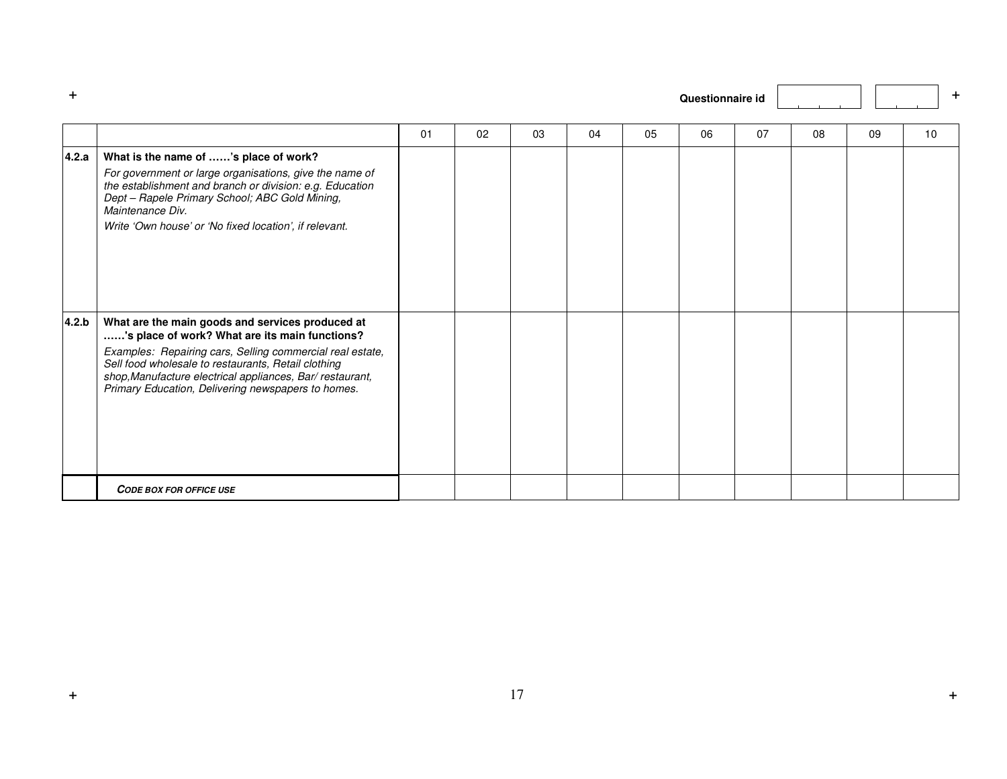| ÷     |                                                                                                                                                                                                                                                                                                                                          |    |    |    |    |    | Questionnaire id |    |    |    | ÷  |
|-------|------------------------------------------------------------------------------------------------------------------------------------------------------------------------------------------------------------------------------------------------------------------------------------------------------------------------------------------|----|----|----|----|----|------------------|----|----|----|----|
|       |                                                                                                                                                                                                                                                                                                                                          | 01 | 02 | 03 | 04 | 05 | 06               | 07 | 08 | 09 | 10 |
| 4.2.a | What is the name of 's place of work?<br>For government or large organisations, give the name of<br>the establishment and branch or division: e.g. Education<br>Dept - Rapele Primary School; ABC Gold Mining,<br>Maintenance Div.<br>Write 'Own house' or 'No fixed location', if relevant.                                             |    |    |    |    |    |                  |    |    |    |    |
| 4.2.b | What are the main goods and services produced at<br>'s place of work? What are its main functions?<br>Examples: Repairing cars, Selling commercial real estate,<br>Sell food wholesale to restaurants, Retail clothing<br>shop, Manufacture electrical appliances, Bar/restaurant,<br>Primary Education, Delivering newspapers to homes. |    |    |    |    |    |                  |    |    |    |    |
|       | <b>CODE BOX FOR OFFICE USE</b>                                                                                                                                                                                                                                                                                                           |    |    |    |    |    |                  |    |    |    |    |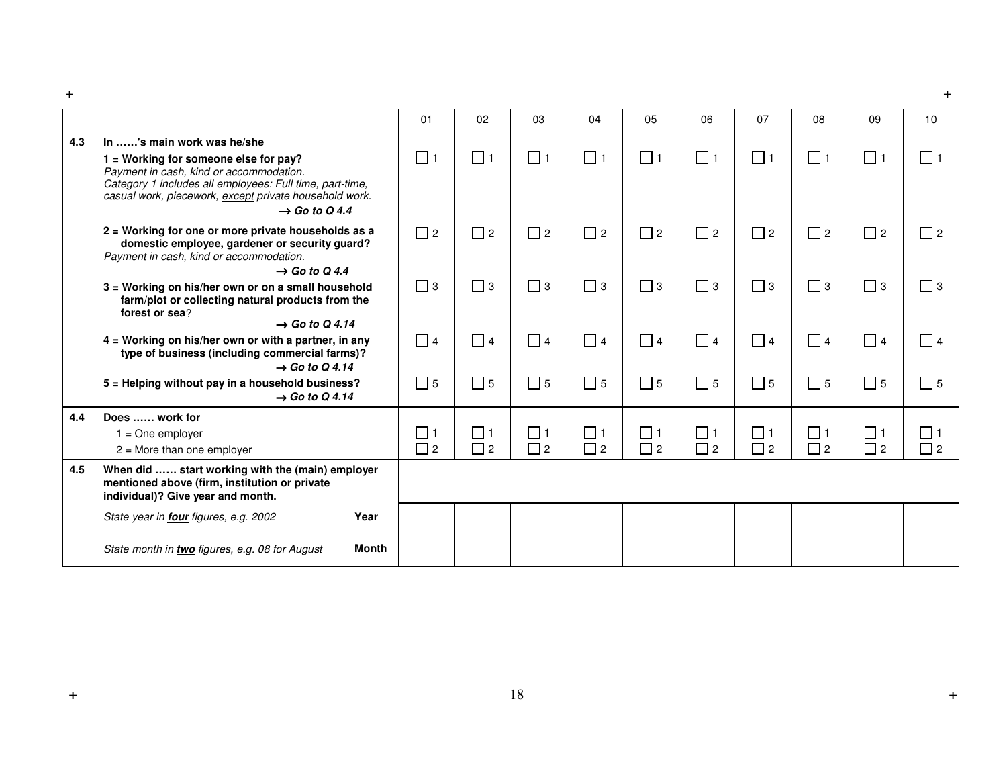|     |                                                                                                                                                                                                                                                                     | 01                   | 02                   | 03                   | 04                   | 05                   | 06                   | 07                   | 08                   | 09                   | 10                         |
|-----|---------------------------------------------------------------------------------------------------------------------------------------------------------------------------------------------------------------------------------------------------------------------|----------------------|----------------------|----------------------|----------------------|----------------------|----------------------|----------------------|----------------------|----------------------|----------------------------|
| 4.3 | In 's main work was he/she<br>$1 =$ Working for someone else for pay?<br>Payment in cash, kind or accommodation.<br>Category 1 includes all employees: Full time, part-time,<br>casual work, piecework, except private household work.<br>$\rightarrow$ Go to Q 4.4 | $\Box$ 1             | $\Box$ 1             | $\Box$ 1             | $\Box$ 1             | $\Box$ 1             | $\Box$ 1             | $\Box$ 1             | $\Box$ 1             | $\Box$ 1             | $\Box$                     |
|     | 2 = Working for one or more private households as a<br>domestic employee, gardener or security guard?<br>Payment in cash, kind or accommodation.<br>$\rightarrow$ Go to Q 4.4                                                                                       | $\Box$ 2             | $\Box$ 2             | $\Box$ 2             | $\Box$ 2             | $\Box$ 2             | $\Box$ 2             | $\Box$ 2             | $\Box$ 2             | $\Box$ 2             | $\Box$ 2                   |
|     | 3 = Working on his/her own or on a small household<br>farm/plot or collecting natural products from the<br>forest or sea?<br>$\rightarrow$ Go to Q 4.14                                                                                                             | $\Box$ 3             | $\Box$ 3             | $\Box$ 3             | $\square$ 3          | $\Box$ 3             | $\Box$ 3             | $\Box$ 3             | $\Box$ 3             | $\Box$ 3             | $\sqsupset$ 3              |
|     | $4$ = Working on his/her own or with a partner, in any<br>type of business (including commercial farms)?<br>$\rightarrow$ Go to Q 4.14                                                                                                                              | $\Box$ 4             | $ $   4              | $\Box$ 4             | $\Box$ 4             | $\Box$ 4             | $\Box$ 4             | $\Box$ 4             | 4                    | $\Box$ 4             | $\vert$ 4                  |
|     | 5 = Helping without pay in a household business?<br>$\rightarrow$ Go to Q 4.14                                                                                                                                                                                      | $\Box$ 5             | $\Box$ 5             | $\Box$ 5             | $\Box$ 5             | $\Box$ 5             | $\Box$ 5             | $\Box$ 5             | $\Box$ 5             | $\Box$ 5             | $\overline{\phantom{0}}$ 5 |
| 4.4 | Does  work for<br>$1 = One$ employer<br>$2$ = More than one employer                                                                                                                                                                                                | $\Box$ 1<br>$\Box$ 2 | $\Box$ 1<br>$\Box$ 2 | $\Box$ 1<br>$\Box$ 2 | $\Box$ 1<br>$\Box$ 2 | $\Box$ 1<br>$\Box$ 2 | $\Box$ 1<br>$\Box$ 2 | $\Box$ 1<br>$\Box$ 2 | $\Box$ 1<br>$\Box$ 2 | $\Box$ 1<br>$\Box$ 2 | $\Box$ 1<br>$\Box$ 2       |
| 4.5 | When did  start working with the (main) employer<br>mentioned above (firm, institution or private<br>individual)? Give year and month.                                                                                                                              |                      |                      |                      |                      |                      |                      |                      |                      |                      |                            |
|     | State year in <b>four</b> figures, e.g. 2002<br>Year                                                                                                                                                                                                                |                      |                      |                      |                      |                      |                      |                      |                      |                      |                            |
|     | Month<br>State month in two figures, e.g. 08 for August                                                                                                                                                                                                             |                      |                      |                      |                      |                      |                      |                      |                      |                      |                            |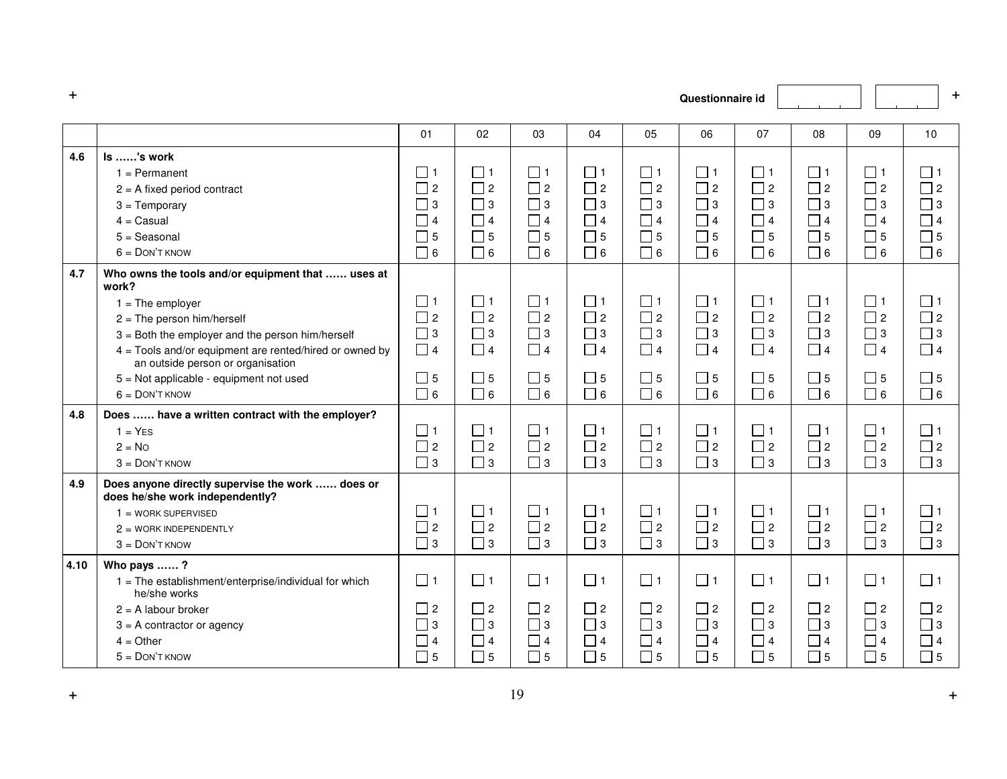|      |                                                                                                |                                   |          |          |                          |          | Questionnaire id |          |             |          |               |
|------|------------------------------------------------------------------------------------------------|-----------------------------------|----------|----------|--------------------------|----------|------------------|----------|-------------|----------|---------------|
|      |                                                                                                | 01                                | 02       | 03       | 04                       | 05       | 06               | 07       | 08          | 09       | 10            |
| 4.6  | Is 's work                                                                                     |                                   |          |          |                          |          |                  |          |             |          |               |
|      | $1 =$ Permanent                                                                                | $\Box$ 1                          | $\Box$ 1 | $\Box$ 1 | $\Box$ 1                 | $\Box$ 1 | $\Box$ 1         | $\Box$ 1 | $\Box$ 1    | $\Box$ 1 | $\Box$ 1      |
|      | $2 = A$ fixed period contract                                                                  | $\Box$ 2                          | $\Box$ 2 | $\Box$ 2 | $\Box$<br>$\overline{2}$ | $\Box$ 2 | $\Box$ 2         | $\Box$ 2 | $\Box$ 2    | $\Box$ 2 | $\Box$ 2      |
|      | $3 = Temporary$                                                                                | $\Box$<br>3                       | $\Box$ 3 | $\Box$ 3 | $\Box$<br>3              | $\Box$ 3 | $\Box$ 3         | $\Box$ 3 | $\Box$ 3    | $\Box$ 3 | $\Box$ 3      |
|      | $4 =$ Casual                                                                                   | $\Box$<br>$\overline{\mathbf{4}}$ | $\Box$ 4 | $\Box$ 4 | $\Box$<br>$\overline{4}$ | $\Box$ 4 | $\Box$ 4         | $\Box$ 4 | $\Box$ 4    | $\Box$ 4 | $\Box$ 4      |
|      | $5 =$ Seasonal                                                                                 | $\Box$<br>5                       | $\Box$ 5 | $\Box$ 5 | $\Box$<br>5              | $\Box$ 5 | $\Box$ 5         | $\Box$ 5 | $\Box$ 5    | $\Box$ 5 | $\Box$ 5      |
|      | $6 =$ DON'T KNOW                                                                               | $\Box$ 6                          | $\Box$ 6 | $\Box$ 6 | $\Box$ 6                 | $\Box$ 6 | $\Box$ 6         | $\Box$ 6 | $\Box$ 6    | $\Box$ 6 | $\Box$ 6      |
| 4.7  | Who owns the tools and/or equipment that  uses at<br>work?                                     |                                   |          |          |                          |          |                  |          |             |          |               |
|      | $1 =$ The employer                                                                             | $\Box$ 1                          | $\Box$ 1 | $\Box$ 1 | $\Box$ 1                 | $\Box$ 1 | $\Box$ 1         | $\Box$ 1 | $\Box$ 1    | $\Box$ 1 | $\Box$ 1      |
|      | $2 =$ The person him/herself                                                                   | $\Box$ 2                          | $\Box$ 2 | $\Box$ 2 | $\Box$ 2                 | $\Box$ 2 | $\Box$ 2         | $\Box$ 2 | $\Box$ 2    | $\Box$ 2 | $\Box$ 2      |
|      | $3 =$ Both the employer and the person him/herself                                             | $\Box$ 3                          | $\Box$ 3 | $\Box$ 3 | $\Box$<br>3              | $\Box$ 3 | $\Box$ 3         | $\Box$ 3 | $\Box$ 3    | $\Box$ 3 | $\Box$ 3      |
|      | $4 =$ Tools and/or equipment are rented/hired or owned by<br>an outside person or organisation | $\Box$ 4                          | $\Box$ 4 | $\Box$ 4 | $\Box$ 4                 | $\Box$ 4 | $\Box$ 4         | $\Box$ 4 | $\Box$ 4    | $\Box$ 4 | $\Box$ 4      |
|      | 5 = Not applicable - equipment not used                                                        | $\square$ 5                       | $\Box$ 5 | $\Box$ 5 | $\Box$ 5                 | $\Box$ 5 | $\Box$ 5         | $\Box$ 5 | $\Box$ 5    | $\Box$ 5 | $\Box$ 5      |
|      | $6 =$ DON'T KNOW                                                                               | $\Box$ 6                          | $\Box$ 6 | $\Box$ 6 | $\Box$ 6                 | $\Box$ 6 | $\Box$ 6         | $\Box$ 6 | $\Box$ 6    | $\Box$ 6 | $\Box$ 6      |
| 4.8  | Does  have a written contract with the employer?                                               |                                   |          |          |                          |          |                  |          |             |          |               |
|      | $1 = YES$                                                                                      | $\Box$ 1                          | $\Box$ 1 | $\Box$ 1 | $\Box$ 1                 | $\Box$ 1 | $\Box$ 1         | $\Box$ 1 | $\square$ 1 | $\Box$ 1 | $\square$ 1   |
|      | $2 = No$                                                                                       | $\Box$ 2                          | $\Box$ 2 | $\Box$ 2 | $\Box$ 2                 | $\Box$ 2 | $\Box$ 2         | $\Box$ 2 | $\Box$ 2    | $\Box$ 2 | $\Box$ 2      |
|      | $3 =$ DON'T KNOW                                                                               | $\Box$ 3                          | $\Box$ 3 | $\Box$ 3 | $\Box$ 3                 | $\Box$ 3 | $\Box$ 3         | $\Box$ 3 | $\Box$ 3    | $\Box$ 3 | $\Box$ 3      |
| 4.9  | Does anyone directly supervise the work  does or<br>does he/she work independently?            |                                   |          |          |                          |          |                  |          |             |          |               |
|      | $1 =$ WORK SUPERVISED                                                                          | $\Box$                            | $\Box$ 1 | $\Box$ 1 | $\Box$                   | $\Box$ 1 | $\Box$ 1         | $\Box$ 1 | $\Box$ 1    | $\Box$ 1 | $\sqcap$ 1    |
|      | $2 = WORK INDEPENDENTLY$                                                                       | $\Box$ 2                          | $\Box$ 2 | $\Box$ 2 | $\Box$ 2                 | $\Box$ 2 | $\Box$ 2         | $\Box$ 2 | $\Box$ 2    | $\Box$ 2 | $\Box$ 2      |
|      | $3 =$ DON'T KNOW                                                                               | $\Box$ 3                          | $\Box$ 3 | $\Box$ 3 | $\Box$ 3                 | $\Box$ 3 | $\Box$ 3         | $\Box$ 3 | $\Box$ 3    | $\Box$ 3 | $\Box$ 3      |
| 4.10 | Who pays ?                                                                                     |                                   |          |          |                          |          |                  |          |             |          |               |
|      | $1 =$ The establishment/enterprise/individual for which<br>he/she works                        | $\Box$ 1                          | $\Box$ 1 | $\Box$ 1 | $\Box$ 1                 | $\Box$ 1 | $\Box$ 1         | $\Box$ 1 | $\Box$ 1    | $\Box$ 1 | $\Box$ 1      |
|      | $2 = A$ labour broker                                                                          | $\Box$ 2                          | $\Box$ 2 | $\Box$ 2 | $\Box$ 2                 | $\Box$ 2 | $\Box$ 2         | $\Box$ 2 | $\Box$ 2    | $\Box$ 2 | $\sqsupset$ 2 |
|      | $3 = A$ contractor or agency                                                                   | $\Box$<br>3                       | $\Box$ 3 | $\Box$ 3 | $\Box$<br>3              | $\Box$ 3 | $\Box$ 3         | $\Box$ 3 | $\Box$ 3    | $\Box$ 3 | $\Box$ 3      |
|      | $4 = Other$                                                                                    | $\Box$<br>$\overline{4}$          | $\Box$ 4 | $\Box$ 4 | $\Box$ 4                 | $\Box$ 4 | $\Box$ 4         | $\Box$ 4 | $\Box$ 4    | $\Box$ 4 | $\Box$ 4      |
|      | $5 =$ DON'T KNOW                                                                               | $\Box$ 5                          | $\Box$ 5 | $\Box$ 5 | $\Box$ 5                 | $\Box$ 5 | $\Box$ 5         | $\Box$ 5 | $\Box$ 5    | $\Box$ 5 | $\Box$ 5      |

**<sup>+</sup>**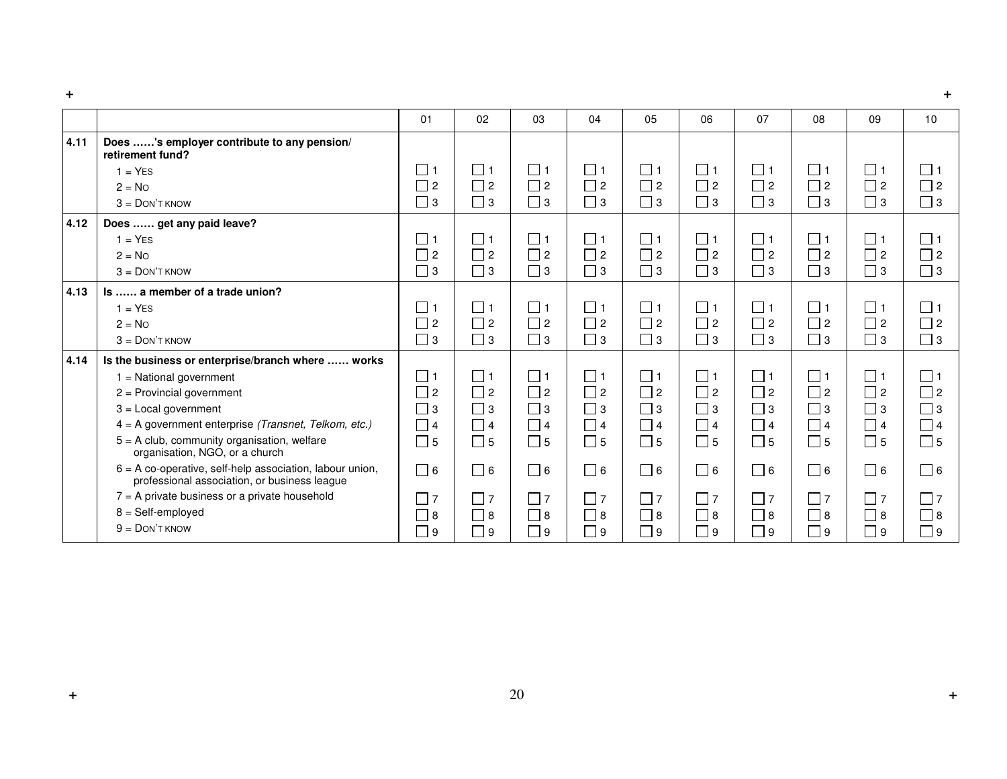|      |                                                                                                            | 01          | 02       | 03       | 04                         | 05       | 06          | 07       | 08         | 09          | 10          |
|------|------------------------------------------------------------------------------------------------------------|-------------|----------|----------|----------------------------|----------|-------------|----------|------------|-------------|-------------|
| 4.11 | Does 's employer contribute to any pension/<br>retirement fund?                                            |             |          |          |                            |          |             |          |            |             |             |
|      | $1 = YES$                                                                                                  | $\Box$      | $\Box$ 1 | 囗 1      | $\Box$ 1                   | $\Box$ 1 | $\Box$ 1    | $\Box$ 1 | $\Box$ 1   | □ 1         | $\Box$ 1    |
|      | $2 = No$                                                                                                   | $\Box$ 2    | $\Box$ 2 | $\Box$ 2 | $\overline{\phantom{a}}$ 2 | $\Box$ 2 | $\Box$ 2    | $\Box$ 2 | $\Box$ 2   | $\Box$ 2    | $\Box$ 2    |
|      | $3 =$ DON'T KNOW                                                                                           | $\Box$ 3    | $\Box$ 3 | $\Box$ 3 | $\Box$ 3                   | $\Box$ 3 | $\Box$ 3    | $\Box$ 3 | $\Box$ 3   | $\Box$ 3    | $\Box$ 3    |
| 4.12 | Does  get any paid leave?                                                                                  |             |          |          |                            |          |             |          |            |             |             |
|      | $1 = YES$                                                                                                  | $\Box$ 1    | $\Box$ 1 | $\Box$ 1 | $\Box$ 1                   | $\Box$ 1 | $\Box$ 1    | $\Box$ 1 | □ 1        | $\Box$ 1    | $\square$ 1 |
|      | $2 = No$                                                                                                   | $\Box$ 2    | $\Box$ 2 | $\Box$ 2 | $\overline{\phantom{a}}$ 2 | $\Box$ 2 | $\Box$ 2    | $\Box$ 2 | $\Box$ 2   | $\Box$ 2    | $\Box$ 2    |
|      | $3 =$ DON'T KNOW                                                                                           | $\Box$ 3    | $\Box$ 3 | $\Box$ 3 | $\Box$ 3                   | $\Box$ 3 | $\Box$ 3    | $\Box$ 3 | $\Box$ 3   | $\Box$ 3    | $\Box$ 3    |
| 4.13 | Is  a member of a trade union?                                                                             |             |          |          |                            |          |             |          |            |             |             |
|      | $1 = Yes$                                                                                                  | $\Box$ 1    | $\Box$ 1 | $\Box$ 1 | $\Box$ 1                   | $\Box$ 1 | $\Box$ 1    | $\Box$ 1 | $\Box$ 1   | $\Box$ 1    | $\Box$ 1    |
|      | $2 = No$                                                                                                   | $\Box$ 2    | $\Box$ 2 | $\Box$ 2 | $\overline{a}$             | $\Box$ 2 | $\Box$ 2    | $\Box$ 2 | $\Box$ 2   | $\Box$ 2    | $\Box$ 2    |
|      | $3 =$ DON'T KNOW                                                                                           | $\square$ 3 | $\Box$ 3 | $\Box$ 3 | $\Box$ 3                   | $\Box$ 3 | $\Box$ 3    | $\Box$ 3 | $\Box$ 3   | $\square$ 3 | $\Box$ 3    |
| 4.14 | Is the business or enterprise/branch where  works                                                          |             |          |          |                            |          |             |          |            |             |             |
|      | $1 = National government$                                                                                  | $\Box$ 1    | $\Box$ 1 | $\Box$   | $\Box$ 1                   | $\Box$ 1 | $\square$ 1 | $\Box$ 1 | $\Box$ 1   | $\Box$ 1    | □ 1         |
|      | $2$ = Provincial government                                                                                | $\Box$ 2    | $\Box$ 2 | $\Box$ 2 | $\Box$ 2                   | $\Box$ 2 | $\Box$ 2    | $\Box$ 2 | $\Box$ 2   | $\Box$ 2    | $\Box$ 2    |
|      | $3 =$ Local government                                                                                     | $\Box$ 3    | $\Box$ 3 | $\Box$ з | $\Box$ 3                   | $\Box$ з | $\Box$ 3    | $\Box$ 3 | $\Box$ 3   | $\square$ з | $\Box$ 3    |
|      | $4 = A$ government enterprise (Transnet, Telkom, etc.)                                                     | $\Box$ 4    | $\Box$ 4 | $\Box$ 4 | $\Box$ 4                   | $\Box$ 4 | $\Box$ 4    | $\Box$ 4 | $\Box$ 4   | $\Box$ 4    | $\Box$ 4    |
|      | $5 = A$ club, community organisation, welfare<br>organisation, NGO, or a church                            | $\Box$ 5    | $\Box$ 5 | $\Box$ 5 | $\Box$ 5                   | $\Box$ 5 | $\Box$ 5    | $\Box$ 5 | $\Box$ 5   | $\Box$ 5    | $\Box$ 5    |
|      | $6 = A$ co-operative, self-help association, labour union,<br>professional association, or business league | $\Box$ 6    | □ 6      | $\Box$ 6 | $\Box$ 6                   | $\Box$ 6 | $\Box$ 6    | $\Box$ 6 | $\Box$ 6   | $\Box$ 6    | $\Box$ 6    |
|      | $7 = A$ private business or a private household                                                            | $\Box$ 7    | $\Box$ 7 | $\Box$ 7 | $\Box$ 7                   | $\Box$ 7 | $\Box$ 7    | $\Box$ 7 | $\Box$ 7   | $\Box$ 7    | $\Box$ 7    |
|      | $8 = Self$ -employed                                                                                       | $\Box$ 8    | $\Box$ 8 | $\Box$ 8 | $\Box$ 8                   | $\Box$ 8 | $\Box$ 8    | $\Box$ 8 | $\sqcap$ 8 | $\Box$ 8    | $\square$ 8 |
|      | $9 =$ DON'T KNOW                                                                                           | $\Box$ 9    | $\Box$ 9 | $\Box$ 9 | $\Box$ 9                   | $\Box$ 9 | $\Box$ 9    | $\Box$ 9 | $\Box$ 9   | $\Box$ 9    | $\Box$ 9    |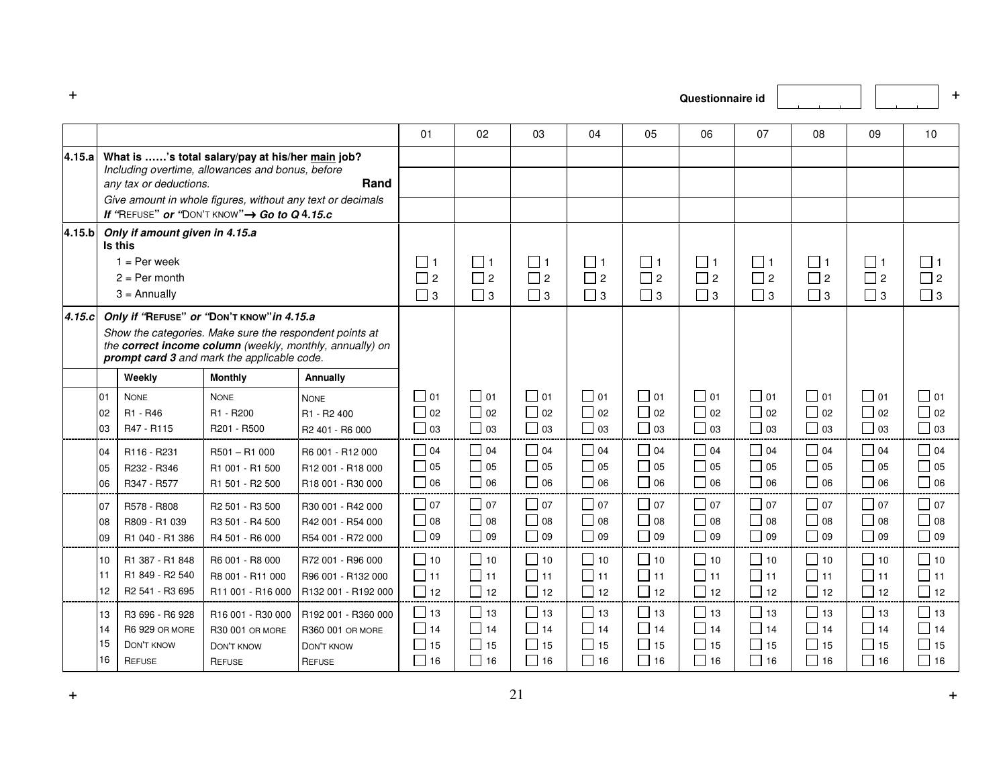011 | 02 | 03 | 04 | 05 | 06 | 07 | 08 | 09 | 10 **4.15.a What is ……'s total salary/pay at his/her main job?** *Including overtime, allowances and bonus, before any tax or deductions.* **Rand** *Give amount in whole figures, without any text or decimals If "*REFUSE**"** *or "*DON'T KNOW**"**→ *Go to Q* **4***.15.c* **4.15.b** *Only if amount given in 4.15.a* **Is this**  $\Box$  1  $\Box$  1  $\Box$  1  $\Box$  1  $\Box$  1  $\Box$  1  $\Box$  1  $\Box$  1  $\Box$  1  $\Box$  1 1 <sup>=</sup> Per week  $\Box$  2  $\Box$  2  $\Box$  2  $\Box$  2  $\Box$  2  $\Box$  2  $\Box$  2  $\Box$  2  $\Box$  2  $\Box$  2 2 <sup>=</sup> Per month  $\Box$ 3  $\Box$ 3  $\Box$ 3  $\Box$ 3  $\Box$ 3  $\Box$ 3  $\Box$ 3  $\Box$ 3  $\Box$ 3  $\Box$ 3 3 <sup>=</sup> Annually *Only if "***REFUSE"** *or "***DON'T KNOW"***in 4.15.a 4.15.cShow the categories. Make sure the respondent points at the correct income column (weekly, monthly, annually) on prompt card 3 and mark the applicable code.* **Weekly Monthly Annually** 01 $\Box$  01  $\Box$  01  $\Box$  01  $\Box$  01  $\Box$  01  $\Box$  01  $\Box$  01  $\Box$  01  $\Box$  01  $\Box$  01 **NONE NONE NONE**  $\Box$  02  $\Box$  02  $\Box$  02  $\Box$  02  $\Box$  02  $\Box$  02  $\Box$  02  $\Box$  02  $\Box$  02  $\Box$  02 02R1 - R46 R1 - R200 R1 - R2 400 03 $\Box$  03  $\Box$  03  $\Box$  03  $\Box$  03  $\Box$  03  $\Box$  03  $\Box$  03  $\Box$  03  $\Box$  03  $\Box$ 03 R47 - R115 R201 - R500 R2 401 - R6 000  $\Box$  04  $\Box$  04  $\Box$  04  $\Box$  04  $\Box$  04  $\Box$  04  $\Box$  04  $\Box$  04  $\Box$  04 0404 R116 - R231 R501 – R1 000 R6 001 - R12 000  $\Box$  05  $\Box$  05  $\Box$  05  $\Box$  05  $\Box$  05  $\Box$  05  $\Box$  05  $\Box$  05  $\Box$  05  $\Box$  05 05R232 - R346 R1 001 - R1 500 R12 001 - R18 000  $\Box$  06  $\Box$  06  $\Box$  06  $\Box$  06  $\Box$  06  $\Box$  06 06R347 - R577 R1 501 - R2 500 R18 001 - R30 000 06 06 06 06  $\Box$  07  $\Box$  07  $\Box$  07  $\Box$  07  $\Box$  07 07R578 - R808 R2 501 - R3 500 R30 001 - R42 000 07 07 07 07 07  $\Box$  08  $\Box$  08  $\Box$  08  $\Box$  08  $\Box$  08  $\Box$  08  $\Box$  08  $\Box$  08  $\Box$  08 08R809 - R1 039 R3 501 - R4 500 R42 001 - R54 000 08  $\Box$  09  $\Box$  09  $\Box$  09  $\Box$  09  $\Box$  09  $\Box$  09  $\Box$  09  $\Box$  09  $\Box$  09  $\Box$  09 09R1 040 - R1 386 R4 501 - R6 000 R54 001 - R72 000 ----------- $\Box$  10  $\Box$  10  $\Box$  10 10R1 387 - R1 848 R6 001 - R8 000 R72 001 - R96 000 10 10 10 10 10 10 10 11 $\Box$  11  $\Box$  11 R1 849 - R2 540 R8 001 - R11 000 R96 001 - R132 000 11 11 11 11 11 11 11 11 12 $\Box$  12  $\Box$  12  $\Box$  12  $\Box$  12  $\Box$  12  $\Box$  12  $\Box$  12  $\Box$  12 R2 541 - R3 695 R11 001 - R16 000 R132 001 - R192 000 12 12  $\Box$  13  $\Box$  13  $\Box$  13  $\Box$  13  $\Box$  13  $\Box$  13  $\Box$  13  $\Box$  13  $\Box$  13  $\Box$  13 13R3 696 - R6 928 R16 001 - R30 000 R192 001 - R360 000  $\Box$  14  $\Box$  14  $\Box$  14  $\Box$  14  $\Box$  14 14 $\Box$  14  $\Box$  14  $\Box$  14  $\Box$  14  $\Box$  14 R6 929 OR MORE R30 001 OR MORE R360 001 OR MORE  $\Box$  15  $\Box$  15  $\Box$  15  $\Box$  15 15 $\Box$  15  $\Box$  15  $\Box$  15  $\Box$  15  $\Box$  15  $\Box$  15 DON'T KNOWDON'T KNOWDON'T KNOW16REFUSE $\Box$  16  $\Box$  16  $\Box$  16  $\Box$  16 **REFUSE REFUSE** 16 16 16 16 16 16

**+**

 **Questionnaire id<sup>+</sup>**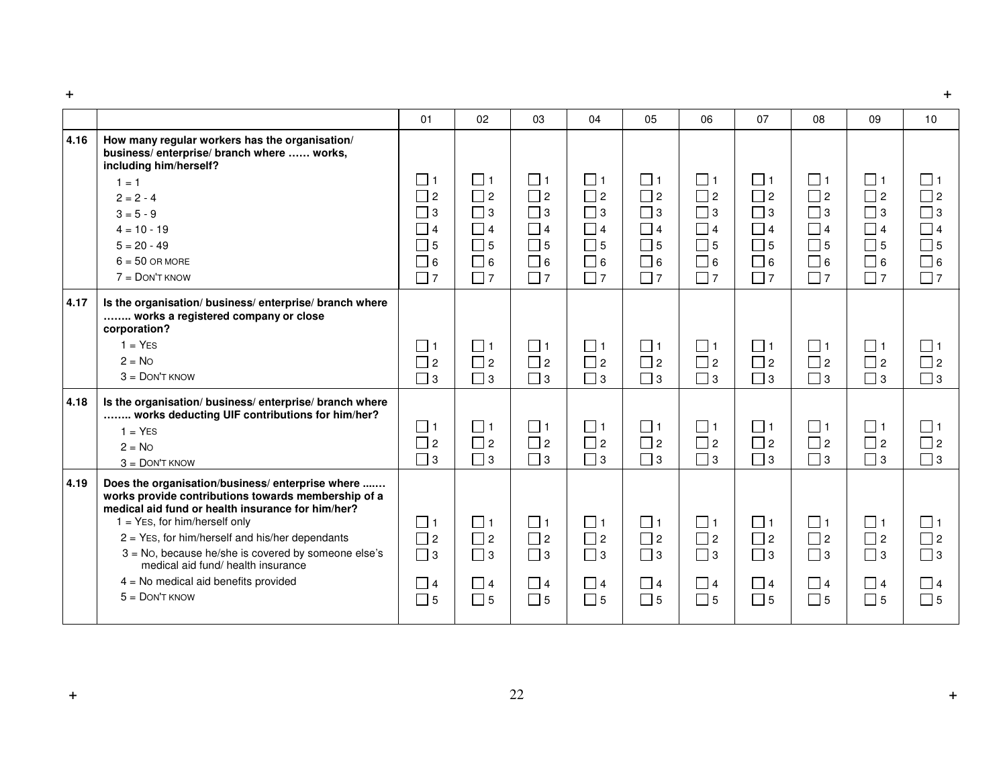|      |                                                                                                                                                                                                                                                       | 01                               | 02 <sub>o</sub>                  | 03                               | 04                               | 05                               | 06                               | 07                          | 08                               | 09                               | 10                               |
|------|-------------------------------------------------------------------------------------------------------------------------------------------------------------------------------------------------------------------------------------------------------|----------------------------------|----------------------------------|----------------------------------|----------------------------------|----------------------------------|----------------------------------|-----------------------------|----------------------------------|----------------------------------|----------------------------------|
| 4.16 | How many regular workers has the organisation/<br>business/enterprise/branch where  works,<br>including him/herself?                                                                                                                                  |                                  |                                  |                                  |                                  |                                  |                                  |                             |                                  |                                  |                                  |
|      | $1 = 1$                                                                                                                                                                                                                                               | $\Box$ 1                         | $\Box$ 1                         | $\Box$ 1                         | $\Box$ 1                         | $\Box$ 1                         | $\Box$ 1                         | $\Box$ 1                    | $\Box$ 1                         | $\Box$ 1                         | $\Box$ 1                         |
|      | $2 = 2 - 4$                                                                                                                                                                                                                                           | $\Box$ 2                         | $\Box$ 2                         | $\Box$ 2                         | $\Box$ 2                         | $\Box$ 2                         | $\Box$ 2                         | $\Box$ 2                    | $\Box$ 2                         | $\Box$ 2                         | $\Box$ 2                         |
|      | $3 = 5 - 9$                                                                                                                                                                                                                                           | $\Box$ 3                         | $\Box$ 3                         | $\Box$ 3                         | $\Box$ 3                         | $\Box$ 3                         | $\Box$ 3                         | $\Box$ 3                    | $\Box$ 3                         | $\Box$ 3                         | $\Box$ 3                         |
|      | $4 = 10 - 19$                                                                                                                                                                                                                                         | $\Box$ 4                         | $\Box$ 4                         | $\Box$ 4                         | $\overline{\phantom{0}}$ 4       | $\Box$ 4                         | $\Box$ 4                         | $\Box$ 4                    | $\Box$ 4                         | $\Box$ 4                         | $\Box$ 4                         |
|      | $5 = 20 - 49$                                                                                                                                                                                                                                         | $\Box$ 5                         | $\Box$ 5                         | $\Box$ 5                         | $\sqsupset$ 5                    | $\square$ 5                      | $\square$ 5                      | $\Box$ 5                    | $\Box$ 5                         | $\Box$ 5                         | $\Box$ 5                         |
|      | $6 = 50$ OR MORE                                                                                                                                                                                                                                      | $\Box$ 6                         | $\Box$ 6                         | $\Box$ 6                         | $\Box$ 6                         | $\Box$ 6                         | $\Box$ 6                         | $\Box$ 6                    | $\Box$ 6                         | $\Box$ 6                         | $\Box$ 6                         |
|      | 7 = DON'T KNOW                                                                                                                                                                                                                                        | $\Box$ 7                         | $\Box$ 7                         | $\Box$ 7                         | $\Box$ 7                         | $\Box$ 7                         | $\Box$ 7                         | $\Box$ 7                    | $\Box$ 7                         | $\Box$ 7                         | $\Box$ 7                         |
| 4.17 | Is the organisation/ business/ enterprise/ branch where<br>works a registered company or close<br>corporation?                                                                                                                                        |                                  |                                  |                                  |                                  |                                  |                                  |                             |                                  |                                  |                                  |
|      | $1 = YES$                                                                                                                                                                                                                                             | $\Box$ 1                         | $\Box$ 1                         | $\Box$ 1                         | $\Box$ 1                         | $\Box$ 1                         | □ 1                              | $\Box$ 1                    | $\Box$ 1                         | $\Box$ 1                         | $\Box$ 1                         |
|      | $2 = No$                                                                                                                                                                                                                                              | $\Box$ 2                         | $\Box$ 2                         | $\Box$ 2                         | $\Box$ 2                         | $\Box$ 2                         | $\Box$ 2                         | $\Box$ 2                    | $\Box$ 2                         | $\Box$ 2                         | $\Box$ 2                         |
|      | $3 =$ DON'T KNOW                                                                                                                                                                                                                                      | $\Box$ 3                         | $\Box$ 3                         | $\Box$ 3                         | $\Box$ 3                         | $\Box$ 3                         | $\Box$ 3                         | $\Box$ 3                    | $\Box$ 3                         | $\Box$ 3                         | $\Box$ 3                         |
| 4.18 | Is the organisation/ business/ enterprise/ branch where<br>works deducting UIF contributions for him/her?<br>$1 = YES$<br>$2 = No$<br>$3 =$ DON'T KNOW                                                                                                | $\Box$ 1<br>$\Box$ 2<br>$\Box$ 3 | $\Box$ 1<br>$\Box$ 2<br>$\Box$ 3 | $\Box$ 1<br>$\Box$ 2<br>$\Box$ 3 | $\Box$ 1<br>$\Box$ 2<br>$\Box$ 3 | $\Box$ 1<br>$\Box$ 2<br>$\Box$ 3 | $\Box$ 1<br>$\Box$ 2<br>$\Box$ 3 | □ 1<br>$\Box$ 2<br>$\Box$ 3 | $\Box$ 1<br>$\Box$ 2<br>$\Box$ 3 | $\Box$ 1<br>$\Box$ 2<br>$\Box$ 3 | $\Box$ 1<br>$\Box$ 2<br>$\Box$ 3 |
| 4.19 | Does the organisation/business/enterprise where<br>works provide contributions towards membership of a<br>medical aid fund or health insurance for him/her?<br>$1 = Yes$ , for him/herself only<br>$2 = Yes$ , for him/herself and his/her dependants | $\Box$ 1<br>$\Box$ 2             | ∐ 1<br>$\Box$ 2                  | $\Box$ 1<br>$\Box$ 2             | $\Box$ 1<br>$\Box$ 2             | $\square$ 1<br>$\Box$ 2          | $\Box$ 1<br>$\Box$ 2             | $\Box$ 1<br>$\Box$ 2        | $\Box$ 1<br>$\Box$ 2             | $\Box$ 1<br>$\Box$ 2             | $\Box$ 1<br>$\Box$ 2             |
|      | $3 = No$ , because he/she is covered by someone else's<br>medical aid fund/ health insurance                                                                                                                                                          | $\Box$ 3                         | $\Box$ 3                         | $\Box$ 3                         | $\sqsupset$ 3                    | $\Box$ 3                         | $\Box$ 3                         | $\Box$ з                    | $\Box$ 3                         | $\Box$ 3                         | $\Box$ 3                         |
|      | $4 = No$ medical aid benefits provided                                                                                                                                                                                                                | $\Box$ 4                         | $\Box$ 4                         | $\Box$ 4                         | $\Box$ 4                         | $\Box$ 4                         | $\Box$ 4                         | $\Box$ 4                    | $\Box$ 4                         | $\Box$ 4                         | $\Box$ 4                         |
|      | $5 =$ DON'T KNOW                                                                                                                                                                                                                                      | $\Box$ 5                         | $\Box$ 5                         | $\Box$ 5                         | $\Box$ 5                         | $\square$ 5                      | $\Box$ 5                         | $\Box$ 5                    | $\Box$ 5                         | $\Box$ 5                         | $\Box$ 5                         |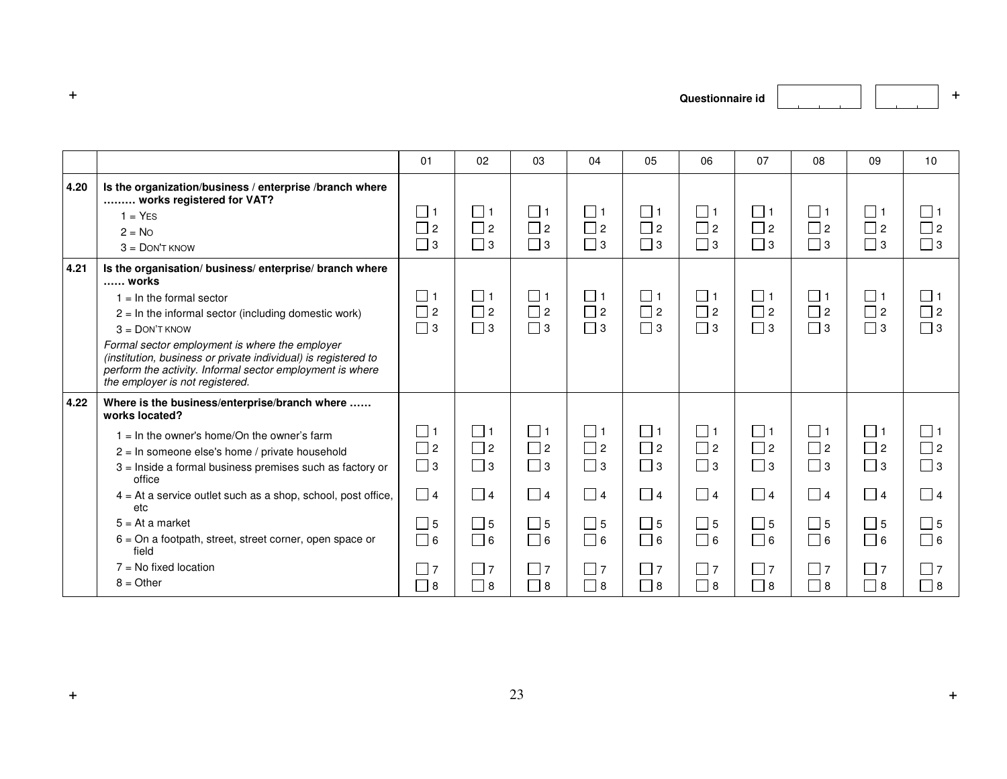**Questionnaire id**

| d<br>T |
|--------|
|--------|

|      |                                                                                                                                                                                                                                                                                                                                                                                                                                                                           | 01                                                                                                | 02                                                                                           | 03                                                                                              | 04                                                                                                                               | 05                                                                                           | 06                                                                                         | 07                                                                                           | 08                                                                                                 | 09                                                                                           | 10                                                                                                             |
|------|---------------------------------------------------------------------------------------------------------------------------------------------------------------------------------------------------------------------------------------------------------------------------------------------------------------------------------------------------------------------------------------------------------------------------------------------------------------------------|---------------------------------------------------------------------------------------------------|----------------------------------------------------------------------------------------------|-------------------------------------------------------------------------------------------------|----------------------------------------------------------------------------------------------------------------------------------|----------------------------------------------------------------------------------------------|--------------------------------------------------------------------------------------------|----------------------------------------------------------------------------------------------|----------------------------------------------------------------------------------------------------|----------------------------------------------------------------------------------------------|----------------------------------------------------------------------------------------------------------------|
| 4.20 | Is the organization/business / enterprise /branch where<br>works registered for VAT?<br>$1 = YES$<br>$2 = No$<br>$3 =$ DON'T KNOW                                                                                                                                                                                                                                                                                                                                         | ॒ । 1<br>$\overline{\phantom{0}}$ 2<br>$\Box$ 3                                                   | $\Box$ 1<br>$\Box$ 2<br>$\Box$ 3                                                             | $\Box$ 1<br>$\Box$ 2<br>$\Box$ 3                                                                | $\Box$ 1<br>$\Box$ 2<br>$\Box$ 3                                                                                                 | $\Box$ 1<br>$\Box$ 2<br>$\Box$ 3                                                             | □ 1<br>$\Box$ 2<br>$\Box$ 3                                                                | $\Box$ 1<br>$\Box$ 2<br>$\Box$ 3                                                             | $\Box$ 1<br>$ $   2<br>$\Box$ 3                                                                    | $\Box$ 1<br>$\Box$ 2<br>$\Box$ 3                                                             | $\overline{\phantom{a}}$<br>$\Box$ 2<br>$\Box$ 3                                                               |
| 4.21 | Is the organisation/business/enterprise/branch where<br>works<br>$1 = \ln \text{ the formal sector}$<br>$2 = \ln$ the informal sector (including domestic work)<br>$3 =$ DON'T KNOW<br>Formal sector employment is where the employer<br>(institution, business or private individual) is registered to<br>perform the activity. Informal sector employment is where<br>the employer is not registered.                                                                   | ו ⊡<br>$\sqsupset$ 2<br>$\Box$ 3                                                                  | $\Box$ 1<br>$\Box$ 2<br>$\Box$ 3                                                             | $\Box$ 1<br>$\Box$ 2<br>$\Box$ 3                                                                | $\Box$ 1<br>$\Box$ 2<br>$\Box$ 3                                                                                                 | $\Box$ 1<br>$\Box$ 2<br>$\Box$ 3                                                             | $\Box$ 1<br>$\Box$ 2<br>$\Box$ 3                                                           | $\Box$ 1<br>$\Box$ 2<br>$\Box$ 3                                                             | $\Box$ 1<br>$\Box$ 2<br>$\Box$ 3                                                                   | $\Box$ 1<br>$\Box$ 2<br>$\Box$ 3                                                             | - 11<br>□ 2<br>$\Box$ 3                                                                                        |
| 4.22 | Where is the business/enterprise/branch where<br>works located?<br>$1 = \ln \text{ the owner's home}/\text{On the owner's farm}$<br>$2 = \ln$ someone else's home / private household<br>3 = Inside a formal business premises such as factory or<br>office<br>$4 = At$ a service outlet such as a shop, school, post office,<br>etc<br>$5 = At a market$<br>$6$ = On a footpath, street, street corner, open space or<br>field<br>$7 = No$ fixed location<br>$8 = Other$ | $\sqcup$ 1<br>$\Box$ 2<br>$\Box$ 3<br>$\Box$ 4<br>$\square$ 5<br>$\Box$ 6<br>$\Box$ 7<br>$\Box$ 8 | $\Box$ 1<br>$\Box$ 2<br>$\Box$ 3<br>$\Box$ 4<br>$\Box$ 5<br>$\Box$ 6<br>$\Box$ 7<br>$\Box$ 8 | $\square$ 1<br>$\Box$ 2<br>$\Box$ 3<br>$\Box$ 4<br>$\Box$ 5<br>$\Box$ 6<br>$\Box$ 7<br>$\Box$ 8 | $\Box$ 1<br>$\overline{\phantom{a}}$ 2<br>$\Box$ 3<br>$\Box$ 4<br>$\overline{\phantom{0}}$ 5<br>$\Box$ 6<br>$\Box$ 7<br>$\Box$ 8 | $\Box$ 1<br>$\Box$ 2<br>$\Box$ 3<br>$\Box$ 4<br>$\Box$ 5<br>$\Box$ 6<br>$\Box$ 7<br>$\Box$ 8 | 囗 1<br>$\Box$ 2<br>$\Box$ 3<br>$\Box$ 4<br>$\square$ 5<br>$\Box$ 6<br>$\Box$ 7<br>$\Box$ 8 | $\Box$ 1<br>$\Box$ 2<br>$\Box$ 3<br>$\Box$ 4<br>$\Box$ 5<br>$\Box$ 6<br>$\Box$ 7<br>$\Box$ 8 | $\Box$ 1<br>$\Box$ 2<br>$\Box$ 3<br>$\Box$ 4<br>$\square$ 5<br>$\Box$ 6<br>$\Box$ 7<br>$\square$ 8 | $\Box$ 1<br>$\Box$ 2<br>$\Box$ 3<br>$\Box$ 4<br>$\Box$ 5<br>$\Box$ 6<br>$\Box$ 7<br>$\Box$ 8 | 1<br>$\Box$ 2<br>$\Box$ 3<br>$\Box$ 4<br>$\Box$ 5<br>$\Box$ 6<br>$\overline{17}$<br>$\overline{\phantom{0}}$ 8 |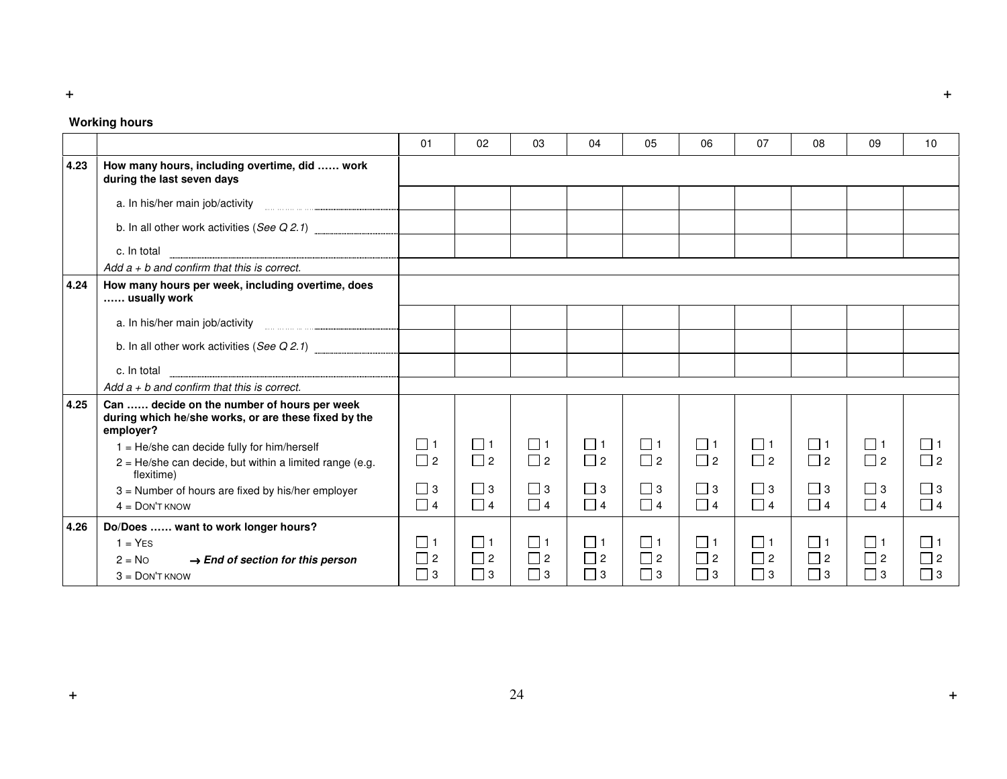## **Working hours**

|      |                                                                                                                  | 01       | 02       | 03        | 04          | 05       | 06       | 07       | 08       | 09       | 10          |
|------|------------------------------------------------------------------------------------------------------------------|----------|----------|-----------|-------------|----------|----------|----------|----------|----------|-------------|
| 4.23 | How many hours, including overtime, did  work<br>during the last seven days                                      |          |          |           |             |          |          |          |          |          |             |
|      | a. In his/her main job/activity                                                                                  |          |          |           |             |          |          |          |          |          |             |
|      |                                                                                                                  |          |          |           |             |          |          |          |          |          |             |
|      | c. In total                                                                                                      |          |          |           |             |          |          |          |          |          |             |
|      | Add $a + b$ and confirm that this is correct.                                                                    |          |          |           |             |          |          |          |          |          |             |
| 4.24 | How many hours per week, including overtime, does<br>usually work                                                |          |          |           |             |          |          |          |          |          |             |
|      | a. In his/her main job/activity                                                                                  |          |          |           |             |          |          |          |          |          |             |
|      | b. In all other work activities $(See Q 2.1)$                                                                    |          |          |           |             |          |          |          |          |          |             |
|      | c. In total                                                                                                      |          |          |           |             |          |          |          |          |          |             |
|      | Add $a + b$ and confirm that this is correct.                                                                    |          |          |           |             |          |          |          |          |          |             |
| 4.25 | Can  decide on the number of hours per week<br>during which he/she works, or are these fixed by the<br>employer? |          |          |           |             |          |          |          |          |          |             |
|      | $1 = He/she can decide fully for him/herself$                                                                    | $\Box$ 1 | $\Box$ 1 | $\Box$ 1  | $\Box$ 1    | $\Box$ 1 | $\Box$ 1 | $\Box$ 1 | $\Box$ 1 | $\Box$ 1 | $\Box$ 1    |
|      | $2 = He/she can decide, but within a limited range (e.g.,\n$<br>flexitime)                                       | $\Box$ 2 | $\Box$ 2 | $\Box$ 2  | $\Box$ 2    | $\Box$ 2 | $\Box$ 2 | $\Box$ 2 | $\Box$ 2 | $\Box$ 2 | $\Box$ 2    |
|      | 3 = Number of hours are fixed by his/her employer                                                                | $\Box$ 3 | $\Box$ 3 | $\Box$ 3  | $\Box$ 3    | $\Box$ 3 | $\Box$ 3 | $\Box$ 3 | $\Box$ 3 | $\Box$ 3 | $\Box$ 3    |
|      | $4 =$ DON'T KNOW                                                                                                 | $\Box$ 4 | $\Box$ 4 | $\Box$ 4  | $\Box$ 4    | $\Box$ 4 | $\Box$ 4 | $\Box$ 4 | $\Box$ 4 | $\Box$ 4 | $\Box$ 4    |
| 4.26 | Do/Does  want to work longer hours?                                                                              |          |          |           |             |          |          |          |          |          |             |
|      | $1 = Yes$                                                                                                        | $\Box$ 1 | $\Box$ 1 | $\vert$ 1 | $\square$ 1 | $\Box$ 1 | $\Box$ 1 | $\Box$ 1 | $\Box$ 1 | $\Box$ 1 | $\Box$ 1    |
|      | $2 = No$<br>$\rightarrow$ End of section for this person                                                         | $\Box$ 2 | $\Box$ 2 | $\Box$ 2  | $\Box$ 2    | $\Box$ 2 | $\Box$ 2 | $\Box$ 2 | $\Box$ 2 | $\Box$ 2 | $\square$ 2 |
|      | $3 =$ DON'T KNOW                                                                                                 | $\Box$ 3 | $\Box$ 3 | $\Box$ 3  | $\Box$ 3    | $\Box$ 3 | $\Box$ 3 | $\Box$ 3 | $\Box$ 3 | $\Box$ 3 | $\Box$ 3    |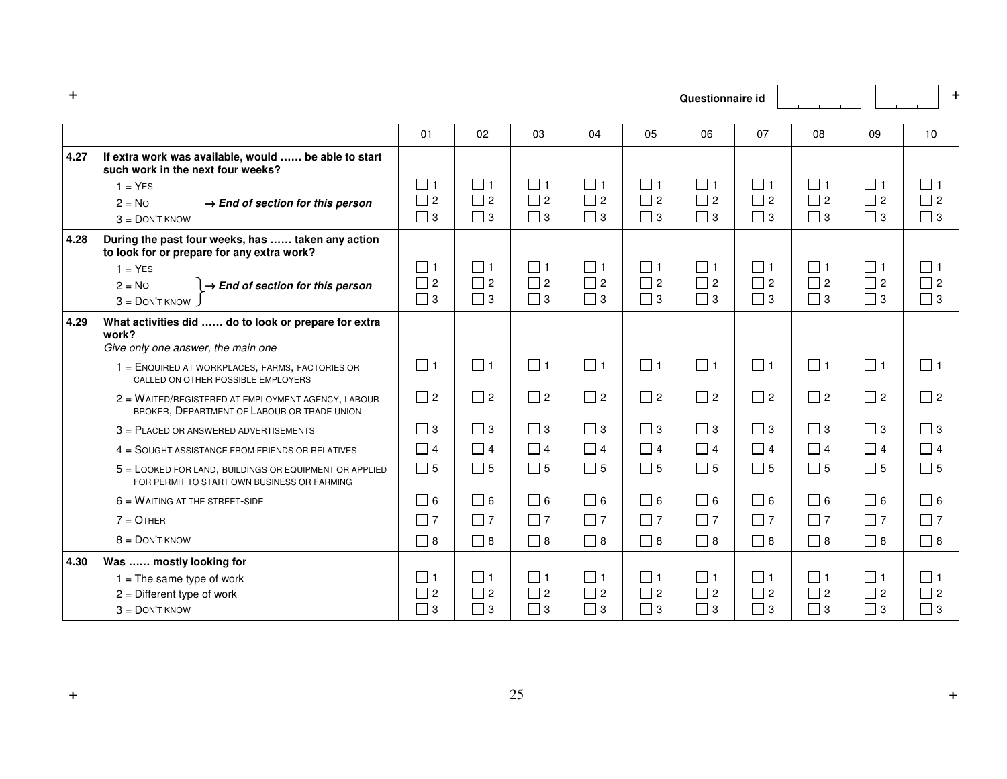**Questionnaire id**

|      |                                                                                                                                                                                                     | 01                               | 02 <sup>°</sup>                  | 03                               | 04                               | 05                               | 06                               | 07                               | 08                               | 09                               | 10                               |
|------|-----------------------------------------------------------------------------------------------------------------------------------------------------------------------------------------------------|----------------------------------|----------------------------------|----------------------------------|----------------------------------|----------------------------------|----------------------------------|----------------------------------|----------------------------------|----------------------------------|----------------------------------|
| 4.27 | If extra work was available, would  be able to start<br>such work in the next four weeks?<br>$1 = YES$<br>$2 = No$<br>$\rightarrow$ End of section for this person<br>$3 =$ DON'T KNOW              | $\Box$ 1<br>$\Box$ 2<br>$\Box$ 3 | $\Box$ 1<br>$\Box$ 2<br>$\Box$ 3 | $\Box$ 1<br>$\Box$ 2<br>$\Box$ 3 | $\Box$ 1<br>$\Box$ 2<br>$\Box$ 3 | $\Box$ 1<br>$\Box$ 2<br>$\Box$ 3 | $\Box$ 1<br>$\Box$ 2<br>$\Box$ 3 | $\Box$ 1<br>$\Box$ 2<br>$\Box$ 3 | $\Box$ 1<br>$\Box$ 2<br>$\Box$ 3 | $\Box$ 1<br>$\Box$ 2<br>$\Box$ 3 | $\Box$ 1<br>$\Box$ 2<br>$\Box$ 3 |
| 4.28 | During the past four weeks, has  taken any action<br>to look for or prepare for any extra work?<br>$1 = YES$<br>$2 = NQ$<br>$\rightarrow$ End of section for this person<br>$3 =$ DON'T KNOW $\int$ | $\Box$<br>$\Box$ 2<br>$\Box$ 3   | $\Box$ 1<br>$\Box$ 2<br>$\Box$ 3 | l 11<br>$\Box$ 2<br>$\Box$ 3     | $\Box$ 1<br>$\Box$ 2<br>$\Box$ 3 | ∐ 1<br>$\Box$ 2<br>$\Box$ 3      | l 11<br>$\Box$ 2<br>$\Box$ 3     | $\Box$ 1<br>$\Box$ 2<br>$\Box$ 3 | ∐ 1<br>$\Box$ 2<br>$\Box$ 3      | l 11<br>$\Box$ 2<br>$\Box$ 3     | $\Box$ 1<br>$\Box$ 2<br>$\Box$ 3 |
| 4.29 | What activities did  do to look or prepare for extra<br>work?<br>Give only one answer, the main one                                                                                                 |                                  |                                  |                                  |                                  |                                  |                                  |                                  |                                  |                                  |                                  |
|      | 1 = ENQUIRED AT WORKPLACES, FARMS, FACTORIES OR<br>CALLED ON OTHER POSSIBLE EMPLOYERS                                                                                                               | $\Box$ 1                         | $\Box$ 1                         | $\Box$ 1                         | $\Box$ 1                         | $\Box$ 1                         | $\Box$ 1                         | $\Box$ 1                         | $\Box$ 1                         | $\Box$ 1                         | $\Box$ 1                         |
|      | 2 = WAITED/REGISTERED AT EMPLOYMENT AGENCY, LABOUR<br>BROKER, DEPARTMENT OF LABOUR OR TRADE UNION                                                                                                   | $\Box$ 2                         | $\Box$ 2                         | $\Box$ 2                         | $\Box$ 2                         | $\Box$ 2                         | $\Box$ 2                         | $\Box$ 2                         | $\Box$ 2                         | $\Box$ 2                         | $\Box$ 2                         |
|      | $3 =$ PLACED OR ANSWERED ADVERTISEMENTS                                                                                                                                                             | $\Box$ 3                         | $\Box$ 3                         | $\Box$ 3                         | $\Box$ 3                         | $\Box$ 3                         | $\Box$ 3                         | $\Box$ 3                         | $\Box$ 3                         | $\Box$ 3                         | $\Box$ 3                         |
|      | 4 = SOUGHT ASSISTANCE FROM FRIENDS OR RELATIVES                                                                                                                                                     | $\Box$ 4                         | $\Box$ 4                         | $\Box$ 4                         | $\Box$ 4                         | $\Box$ 4                         | $\Box$ 4                         | $\Box$ 4                         | $\Box$ 4                         | $\Box$ 4                         | $\Box$ 4                         |
|      | 5 = LOOKED FOR LAND, BUILDINGS OR EQUIPMENT OR APPLIED<br>FOR PERMIT TO START OWN BUSINESS OR FARMING                                                                                               | $\Box$ 5                         | $\Box$ 5                         | $\Box$ 5                         | $\Box$ 5                         | $\Box$ 5                         | $\Box$ 5                         | $\Box$ 5                         | $\Box$ 5                         | $\Box$ 5                         | $\Box$ 5                         |
|      | $6 =$ Waiting at the street-side                                                                                                                                                                    | $\Box$ 6                         | $\Box$ 6                         | $\Box$ 6                         | $\Box$ 6                         | $\Box$ 6                         | $\Box$ 6                         | $\Box$ 6                         | $\Box$ 6                         | $\Box$ 6                         | $\Box$ 6                         |
|      | $7 = 0$ THER                                                                                                                                                                                        | $\Box$ 7                         | $\Box$ 7                         | $\Box$ 7                         | $\Box$ 7                         | $\Box$ 7                         | $\Box$ 7                         | $\Box$ 7                         | $\Box$ 7                         | $\Box$ 7                         | $\Box$ 7                         |
|      | $8 =$ DON'T KNOW                                                                                                                                                                                    | $\Box$ 8                         | $\Box$ 8                         | $\Box$ 8                         | $\Box$ 8                         | $\Box$ 8                         | $\Box$ 8                         | $\Box$ 8                         | $\Box$                           | $\Box$ 8                         | $\Box$ 8                         |
| 4.30 | Was  mostly looking for<br>$1 =$ The same type of work<br>$2 =$ Different type of work<br>$3 =$ DON'T KNOW                                                                                          | $\Box$<br>$\Box$ 2<br>$\Box$ 3   | $\Box$ 1<br>$\Box$ 2<br>$\Box$ 3 | $\Box$ 1<br>$\Box$ 2<br>$\Box$ 3 | $\Box$ 1<br>$\Box$ 2<br>$\Box$ 3 | $\Box$ 1<br>$\Box$ 2<br>$\Box$ 3 | $\Box$ 1<br>$\Box$ 2<br>$\Box$ 3 | $\Box$ 1<br>$\Box$ 2<br>$\Box$ 3 | $\Box$ 1<br>$\Box$ 2<br>$\Box$ 3 | $\Box$ 1<br>$\Box$ 2<br>$\Box$ 3 | $\Box$ 1<br>$\Box$ 2<br>$\Box$ 3 |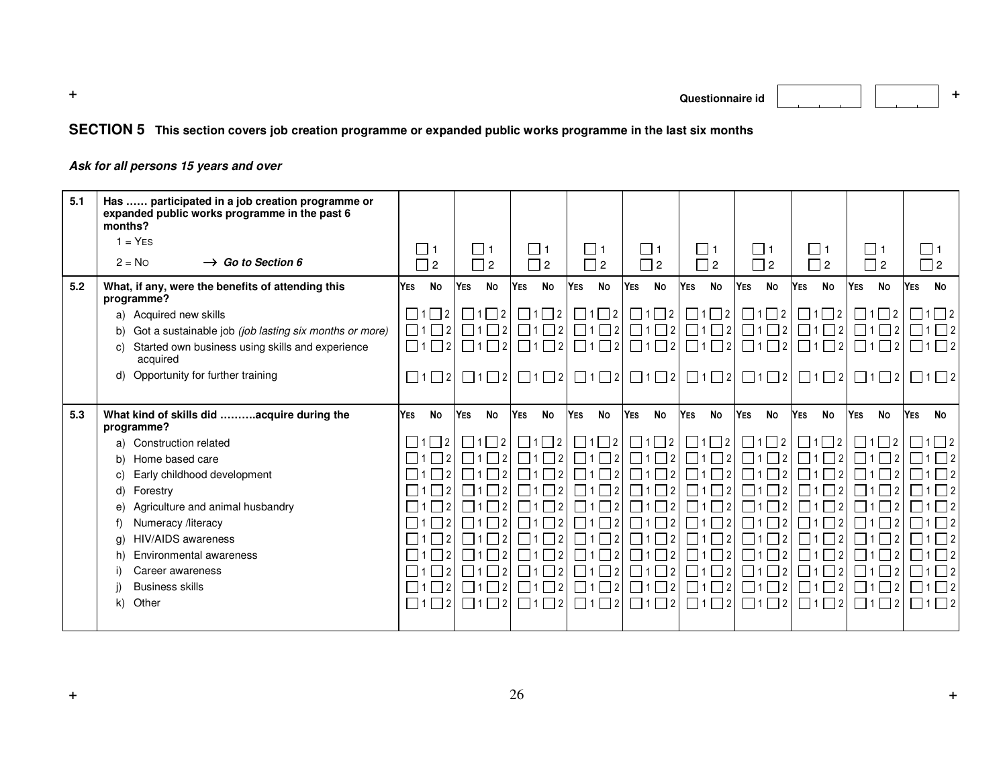**Questionnaire id**

## **<sup>+</sup>**

## $\sf{SECTION~5~}$  This section covers job creation programme or expanded public works programme in the last six months

#### *Ask for all persons 15 years and over*

| 5.1 | Has  participated in a job creation programme or<br>expanded public works programme in the past 6<br>months? |                                                                      |                                    |                                        |                                       |                            |                            |                                          |                   |                                                                                                                                                                        |                            |
|-----|--------------------------------------------------------------------------------------------------------------|----------------------------------------------------------------------|------------------------------------|----------------------------------------|---------------------------------------|----------------------------|----------------------------|------------------------------------------|-------------------|------------------------------------------------------------------------------------------------------------------------------------------------------------------------|----------------------------|
|     | $1 = YES$                                                                                                    | l 11                                                                 | $\vert$ 11                         | $\Box$ 1                               | l 11                                  | l 11                       | $\Box$ 1                   | ∐ 1                                      | $\Box$ 1          | $\Box$ 1                                                                                                                                                               | - 11                       |
|     | $2 = No$<br>$\rightarrow$ Go to Section 6                                                                    | $\Box$ 2                                                             | $\Box$ 2                           | $\Box$ 2                               | $\Box$ 2                              | $\Box$ 2                   | $\Box$ 2                   | $\Box$ 2                                 | $\Box$ 2          | $\Box$ 2                                                                                                                                                               | ヿ2                         |
| 5.2 | What, if any, were the benefits of attending this<br>programme?                                              | <b>No</b><br>YES                                                     | YES<br><b>No</b>                   | <b>YES</b><br><b>No</b>                | <b>No</b><br><b>YES</b>               | <b>YES</b><br><b>No</b>    | <b>No</b><br>Yes           | YES<br><b>No</b>                         | YES<br><b>No</b>  | YES<br><b>No</b>                                                                                                                                                       | YES<br><b>No</b>           |
|     | a) Acquired new skills                                                                                       | $\vert$   1 $\vert$   2                                              | $\vert$ 11   2                     | $\Box$ 1 $\Box$ 2                      | $\Box$ 1<br>$\Box$ 2                  | $\Box$ 1     2             | $\sqcap_1 \sqcap_2$        | $\Box$ 1 $\Box$ 2                        | 11112             | $\vert$ 2                                                                                                                                                              | 11   12                    |
|     | Got a sustainable job (job lasting six months or more)<br>b)                                                 | $\Box$ 1<br>$\Box$ 2                                                 | $\Box$ 1 $\Box$ 2                  | $\Box$ 1 $\Box$ 2                      | $\Box$ 1<br>$\Box$ 2                  | $\Box$ 1 $\Box$ 2          | $\Box$ 1 $\Box$ 2          | $\Box$ 1<br>$\Box$ 2                     | $\Box$ 1 $\Box$ 2 | $\Box$ 1<br>$\Box$ 2                                                                                                                                                   | $\Box$ 1<br>$\Box$ 2       |
|     | Started own business using skills and experience<br>C)<br>acquired                                           | $\Box$ 2<br>$\Box$ 1                                                 | $\Box$ 1 $\Box$ 2                  | $\overline{\phantom{0}}$ 2<br>$\Box$ 1 | $\Box$ 1<br>$\Box$ 2                  | $\Box$ 1 $\Box$ 2          | $\Box$ 1 $\Box$ 2          | $\Box$ 1<br>$\Box$ 2                     | $\Box$ 1 $\Box$ 2 | $\Box$ 1<br>$\Box$ 2                                                                                                                                                   | $\Box$ 1 $\Box$ 2          |
|     | d) Opportunity for further training                                                                          |                                                                      |                                    |                                        |                                       |                            |                            |                                          |                   | $\Box$ 1 \Box 2 $\Box$ 1 $\Box$ 2 $\Box$ 1 $\Box$ 2 $\Box$ 1 $\Box$ 2 $\Box$ 1 $\Box$ 2 $\Box$ 1 $\Box$ 2 $\Box$ 1 $\Box$ 2 $\Box$ 1 $\Box$ 2 $\Box$ 1 $\Box$ 2 $\Box$ | $\Box$ 1 $\Box$ 2          |
| 5.3 | What kind of skills did acquire during the<br>programme?                                                     | <b>No</b><br><b>YES</b>                                              | YES<br><b>No</b>                   | YES<br><b>No</b>                       | <b>YES</b><br>No                      | <b>YES</b><br>No           | <b>YES</b><br><b>No</b>    | YES<br>No                                | YES<br><b>No</b>  | YES<br><b>No</b>                                                                                                                                                       | <b>YES</b><br>No           |
|     | a) Construction related                                                                                      | $\vert$ 11 $\vert$ 2                                                 | $\vert$   2                        | $\Box$ 1 $\Box$ 2                      | $\Box$ 1<br>$\vert$ 12                | $\vert$   2                | $\sqcap$ 1 $\sqcap$ 2      | $\Box$ 1 $\Box$ 2                        |                   | $\frac{12}{2}$                                                                                                                                                         | $\vert$ $\vert$ 2          |
|     | Home based care<br>b)                                                                                        | $\Box$ 1<br>$\Box$ 2                                                 | $\vert 1 \vert$ $\vert 2 \vert$    | $\sqrt{2}$<br>$ $ 11                   | $\Box$ 1<br>$\Box$ 2                  | $\Box$ 1 $\Box$ 2          | $\Box$ 1 $\Box$ 2          | $\Box$ 1 $\Box$ 2                        | $\Box$ 1 $\Box$ 2 | $\Box$ 2                                                                                                                                                               | $\vert$   2                |
|     | Early childhood development<br>C)                                                                            | $\vert$ 1<br>$\mathcal{P}$                                           |                                    | $\frac{12}{2}$                         | $\blacksquare$<br>l 2                 | $\overline{2}$             | $\Box$ 2                   | $\blacksquare$<br>ر ا                    |                   |                                                                                                                                                                        | $\vert$ $\vert$ 2          |
|     | Forestry<br>d)                                                                                               | $\Box$ 1<br>$\Box$ 2                                                 | $\frac{1}{2}$<br>l 11              | $\overline{2}$<br>$\vert$ 1            | $\Box$ 2<br>$\Box$ 1                  | $\Box$ 1<br>$\overline{2}$ | $\Box$ 1 $\Box$ 2          | $\Box$ 1<br>$\Box$ 2                     | 11112             | $\overline{2}$<br>$\vert$ 1                                                                                                                                            | $\Box$ 2                   |
|     | Agriculture and animal husbandry                                                                             | $\Box$ 1<br>$\Box$ 2                                                 |                                    | $\vert$ 2                              | $\Box$ 2<br>  11                      | 2                          | $\Box$ 1 $\Box$ 2          | $\Box$<br>$\vert$   2                    |                   |                                                                                                                                                                        | $\Box$ 2                   |
|     | Numeracy /literacy                                                                                           | $\Box$ 1                                                             |                                    | $\Box$ 2                               | $\Box$<br>$\Box$ 2                    | 111                        | $\Box$ 2                   | $\blacksquare$                           |                   |                                                                                                                                                                        | $\Box$ 2                   |
|     | <b>HIV/AIDS</b> awareness<br>g)<br>Environmental awareness                                                   | $\Box$ 1<br>$\vert$ 12<br>$\Box$ 1<br>$\begin{array}{c} \end{array}$ | $\vert$ $\vert$ 2<br>$\frac{1}{2}$ | $\vert$ 2<br>$\vert$ 2                 | 2<br>l 11<br>$ $ 12<br>$\blacksquare$ | $\vert$ 2<br> 2            | 11112<br>$\Box$ 1 $\Box$ 2 | $\vert$ 11<br>$  \cdot  $<br>$\vert$   2 | $1$   $2$         | $\mathfrak{p}$<br>$\vert$ 1<br>$\vert$ 2                                                                                                                               | $\vert$   2<br>$\vert$   2 |
|     | h)<br>Career awareness<br>i)                                                                                 | ヿ1                                                                   |                                    | $\frac{12}{2}$                         | $\blacksquare$<br>$\frac{1}{2}$       | 111                        |                            | $\mathsf{L}$                             |                   |                                                                                                                                                                        | $\vert$ $\vert$ 2          |
|     | <b>Business skills</b>                                                                                       | $\Box$ 1<br>$\Box$ 2                                                 | $\vert$ $\vert$ 2                  | $\Box$ 2                               | $\Box$ 1<br>$\Box$ 2                  | $\Box$ 1 $\Box$ 2          | $\Box$ 1 $\Box$ 2          | $\Box$ 1<br>$\Box$ 2                     | $1 \mid$ 12       | $^-11$<br>$\vert$ 12                                                                                                                                                   | $\Box$ 1 $\Box$ 2          |
|     | Other<br>k)                                                                                                  | $\Box$ 1<br>$\Box$ 2                                                 | $\Box$ 1 $\Box$ 2                  | $\Box$ 2<br>$\Box$ 1 $\Box$            | $\Box$ 1<br>$\Box$ 2                  | $\Box$ 1 $\Box$ 2          | $\Box$ 1 $\Box$ 2          | $\Box$ 1<br>$\Box$ 2                     | $\Box$ 1 $\Box$ 2 | $\Box$ 1<br>$\Box$ 2                                                                                                                                                   | $\Box$ 1 $\Box$ 2          |
|     |                                                                                                              |                                                                      |                                    |                                        |                                       |                            |                            |                                          |                   |                                                                                                                                                                        |                            |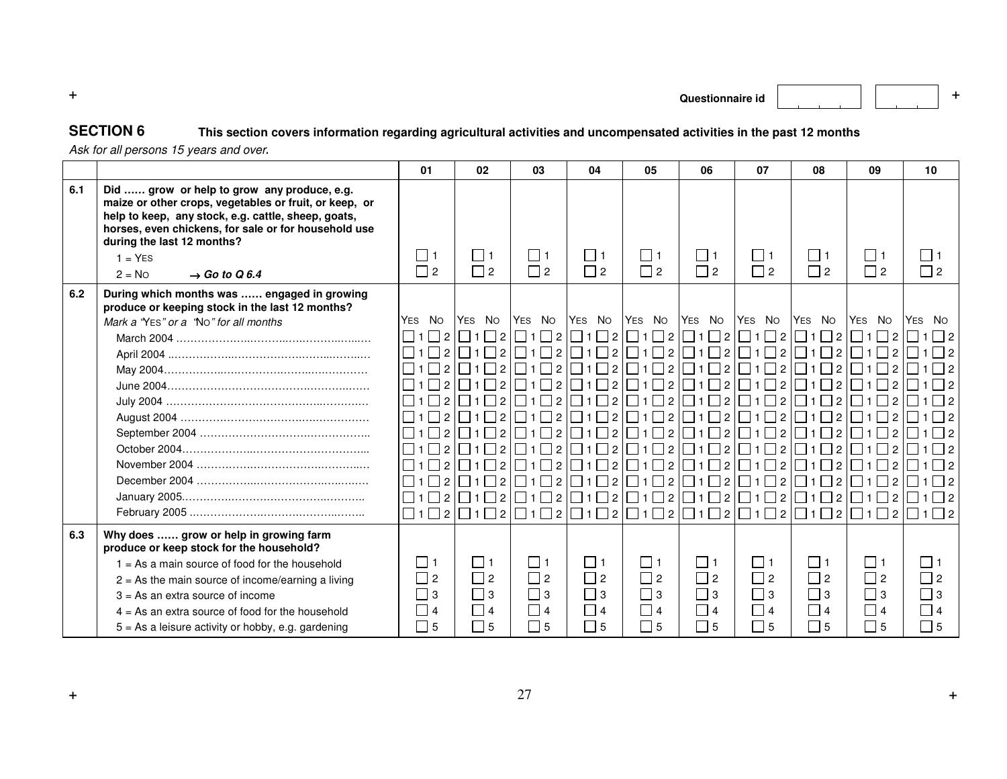**Questionnaire id**

### **<sup>+</sup>**

#### **SECTION** ${\sf N}$   $6$   $\hphantom{1}$  This section covers information regarding agricultural activities and uncompensated activities in the past 12 months

*Ask for all persons 15 years and over*

|     |                                                                                                                                                                                                                                                                                                          | 01                       | 02                       | 03                                               | 04                       | 05                                         | 06                   | 07                   | 08                   | 09                                                                                                                                                                                                                                                                                                                                          | 10                                                                                                                                                                    |
|-----|----------------------------------------------------------------------------------------------------------------------------------------------------------------------------------------------------------------------------------------------------------------------------------------------------------|--------------------------|--------------------------|--------------------------------------------------|--------------------------|--------------------------------------------|----------------------|----------------------|----------------------|---------------------------------------------------------------------------------------------------------------------------------------------------------------------------------------------------------------------------------------------------------------------------------------------------------------------------------------------|-----------------------------------------------------------------------------------------------------------------------------------------------------------------------|
| 6.1 | Did  grow or help to grow any produce, e.g.<br>maize or other crops, vegetables or fruit, or keep, or<br>help to keep, any stock, e.g. cattle, sheep, goats,<br>horses, even chickens, for sale or for household use<br>during the last 12 months?<br>$1 = Yes$<br>$2 = No$<br>$\rightarrow$ Go to Q 6.4 | $\Box$ 1<br>$\Box$ 2     | $\Box$ 1<br>$\Box$ 2     | $\Box$ 1<br>$\Box$ 2                             | $\Box$ 1<br>$\Box$ 2     | $\Box$ 1<br>$\Box$ 2                       | $\Box$ 1<br>$\Box$ 2 | $\Box$ 1<br>$\Box$ 2 | $\Box$ 1<br>$\Box$ 2 | $\Box$ 1<br>$\Box$ 2                                                                                                                                                                                                                                                                                                                        | - 11<br>□ 2                                                                                                                                                           |
| 6.2 | During which months was  engaged in growing<br>produce or keeping stock in the last 12 months?                                                                                                                                                                                                           |                          |                          |                                                  |                          |                                            |                      |                      |                      |                                                                                                                                                                                                                                                                                                                                             |                                                                                                                                                                       |
|     | Mark a "YES" or a "No" for all months                                                                                                                                                                                                                                                                    | YES NO                   | YES NO                   | YES NO YES NO YES NO YES NO YES NO YES NO YES NO |                          |                                            |                      |                      |                      | YES NO                                                                                                                                                                                                                                                                                                                                      | YES NO                                                                                                                                                                |
|     |                                                                                                                                                                                                                                                                                                          | $\Box$ 1 $\Box$ 2 $\Box$ | $\Box$ 1 $\Box$ 2        |                                                  |                          |                                            |                      |                      |                      |                                                                                                                                                                                                                                                                                                                                             | $\Box$ 1 \Box 2 \Box 1 \Box 2 \Box 1 \Box 2 \Box 1 \Box 2 \Box 1 \Box 2 \Box 1 \Box 2 \Box 1 \Box 2 \Box 1 \Box 2 \Box 1 \Box 2                                       |
|     |                                                                                                                                                                                                                                                                                                          | $\overline{2}$           | $1 \square 2$            | $\Box$ 1 $\Box$ 2                                |                          |                                            |                      |                      |                      | $\boxed{11} \boxed{2} \boxed{11} \boxed{2} \boxed{11} \boxed{2} \boxed{11} \boxed{12} \boxed{11} \boxed{2} \boxed{11} \boxed{2} \boxed{11} \boxed{2}$                                                                                                                                                                                       |                                                                                                                                                                       |
|     |                                                                                                                                                                                                                                                                                                          | $\Box$ 1<br>$\Box$ 2     | $\Box$ 1 $\Box$ 2        |                                                  |                          |                                            |                      |                      |                      |                                                                                                                                                                                                                                                                                                                                             | $\Box$ 1\Box2\Box1 $\Box$ 1 $\Box$ 2 $\Box$ 1 $\Box$ 1 $\Box$ 2 $\Box$ 1 $\Box$ 2 $\Box$ 1 $\Box$ 1 $\Box$ 1 $\Box$ 2 $\Box$ 1 $\Box$ 2                               |
|     |                                                                                                                                                                                                                                                                                                          | $\overline{2}$           | $\Box$ 1 $\Box$ 2 $\Box$ |                                                  |                          |                                            |                      |                      |                      | $\Box$ 1 \Box 2 \Box 1 \Box 2 \Box 1 \Box 2 \Box 1 \Box 2 \Box 1 \Box 2 \Box 1 \Box 2 \Box 1 \Box 2 \Box 1 \Box 2 \Box                                                                                                                                                                                                                      | $\Box$ 1 $\Box$ 2                                                                                                                                                     |
|     |                                                                                                                                                                                                                                                                                                          | $\Box$ 1<br>$\Box$ 2     | $\Box$ 1 $\Box$ 2        |                                                  |                          |                                            |                      |                      |                      |                                                                                                                                                                                                                                                                                                                                             | $\Box$ 1 \Box 2 \vert \Box 1 $\Box$ 2 $\vert \Box$ 1 $\Box$ 2 $\vert \Box$ 1 $\Box$ 2 $\vert \Box$ 1 $\Box$ 2 $\vert \Box$ 1 $\Box$ 2 $\vert \Box$ 1 $\Box$ 2 $\vert$ |
|     |                                                                                                                                                                                                                                                                                                          | $\overline{2}$           | ヿ2                       | $\Box$ 1 $\Box$ 2                                | $\Box$ 1 $\Box$ 2 $\Box$ | $1 \square 2$                              |                      |                      |                      | $\Box$ 1 $\Box$ 2 $\Box$                                                                                                                                                                                                                                                                                                                    |                                                                                                                                                                       |
|     |                                                                                                                                                                                                                                                                                                          | $\overline{2}$           | $\Box$ 2                 | $\Box$ 1 $\Box$ 2 $\Box$                         |                          | $\Box$ 1 $\Box$ 2 $\Box$ 1 $\Box$ 2 $\Box$ |                      |                      |                      | $\Box$ 1 $\Box$ 2 $\Box$                                                                                                                                                                                                                                                                                                                    | $1\Box 2$                                                                                                                                                             |
|     |                                                                                                                                                                                                                                                                                                          | $\Box$ 2                 | $1 \square 2$            |                                                  |                          |                                            |                      |                      |                      | $\Box$ 1\Box2\Box1 $\Box$ 1 $\Box$ 1 $\Box$ 1 $\Box$ 2 $\Box$ 1 $\Box$ 2 $\Box$ 1 $\Box$ 1 $\Box$ 2 $\Box$ 1 $\Box$ 2 $\Box$ 1 $\Box$ 2 $\Box$ 1 $\Box$ 2 $\Box$ 1 $\Box$ 2 $\Box$ 1 $\Box$ 2 $\Box$ 1 $\Box$ 2 $\Box$ 1 $\Box$ 2 $\Box$ 1 $\Box$ 2 $\Box$ 1 $\Box$ 2 $\Box$ 1 $\Box$ 2 $\Box$ 1 $\Box$ 2 $\Box$ 1 $\Box$ 2 $\Box$ 1 $\Box$ | $\Box$ 1 $\Box$ 2                                                                                                                                                     |
|     |                                                                                                                                                                                                                                                                                                          | I⊟ 1<br>$\overline{2}$   | $1 \square 2$            |                                                  |                          |                                            |                      |                      |                      |                                                                                                                                                                                                                                                                                                                                             | $\Box$ 1 \Box 2 \vert \Box1 $\Box$ 2 $\vert \Box$ 1 $\Box$ 2 $\vert \Box$ 1 $\Box$ 2 $\vert \Box$ 1 $\Box$ 2 $\vert \Box$ 1 $\Box$ 2 $\vert \Box$ 1 $\Box$ 2 $\vert$  |
|     |                                                                                                                                                                                                                                                                                                          | $\mathcal{P}$            | $\Box$ 2                 | $\Box$ 1 $\Box$ 2                                | $\Box$ 1 $\Box$ 2 $\Box$ | $1 \square 2$                              |                      |                      |                      |                                                                                                                                                                                                                                                                                                                                             | $\Box$ 1 $\Box$ 2                                                                                                                                                     |
|     |                                                                                                                                                                                                                                                                                                          | $\Box$ 2                 | $\Box$ 1 $\Box$ 2 $\Box$ |                                                  |                          |                                            |                      |                      |                      |                                                                                                                                                                                                                                                                                                                                             | $\Box$ 1 \Box 2 \vert \Box 1 $\Box$ 2 $\vert \Box$ 1 $\Box$ 2 $\vert \Box$ 1 $\Box$ 2 $\vert \Box$ 1 $\Box$ 2 $\vert \Box$ 1 $\Box$ 2 $\vert \Box$ 1 $\Box$ 2 $\vert$ |
|     |                                                                                                                                                                                                                                                                                                          |                          |                          |                                                  |                          |                                            |                      |                      |                      |                                                                                                                                                                                                                                                                                                                                             |                                                                                                                                                                       |
| 6.3 | Why does  grow or help in growing farm<br>produce or keep stock for the household?                                                                                                                                                                                                                       |                          |                          |                                                  |                          |                                            |                      |                      |                      |                                                                                                                                                                                                                                                                                                                                             |                                                                                                                                                                       |
|     | $1 = As$ a main source of food for the household                                                                                                                                                                                                                                                         | $\Box$ 1                 | $\mathsf{L}$ 11          | $\Box$ 1                                         | $\Box$ 1                 | $\Box$ 1                                   | $\Box$ 1             | $\Box$ 1             | $\Box$ 1             | $\Box$ 1                                                                                                                                                                                                                                                                                                                                    | $\overline{11}$                                                                                                                                                       |
|     | $2 = As$ the main source of income/earning a living                                                                                                                                                                                                                                                      | $\Box$ 2                 | $\Box$ 2                 | $\Box$ 2                                         | $\Box$ 2                 | $\Box$ 2                                   | $\Box$ 2             | $\Box$ 2             | $\Box$ 2             | $\Box$ 2                                                                                                                                                                                                                                                                                                                                    | $\Box$ 2                                                                                                                                                              |
|     | $3 = As$ an extra source of income                                                                                                                                                                                                                                                                       | $\Box$ 3                 | $\Box$ 3                 | $\Box$ 3                                         | □ 3                      | $\Box$ 3                                   | $\Box$ 3             | $\Box$ 3             | $\Box$ 3             | $\Box$ 3                                                                                                                                                                                                                                                                                                                                    | — 1 з                                                                                                                                                                 |
|     | $4 = As$ an extra source of food for the household                                                                                                                                                                                                                                                       | 4                        | $\vert$ 4                | $\Box$ 4                                         | $\blacksquare$           | $\Box$ 4                                   | $\Box$ 4             | $\Box$ 4             | $\Box$ 4             | $\Box$ 4                                                                                                                                                                                                                                                                                                                                    | □ 4                                                                                                                                                                   |
|     | $5 = As$ a leisure activity or hobby, e.g. gardening                                                                                                                                                                                                                                                     | $\Box$ 5                 | l 15                     | $\square$ 5                                      | $\Box$ 5                 | l 15                                       | $\Box$ 5             | $\Box$ 5             | $\Box$ 5             | $\Box$ 5                                                                                                                                                                                                                                                                                                                                    | l 15                                                                                                                                                                  |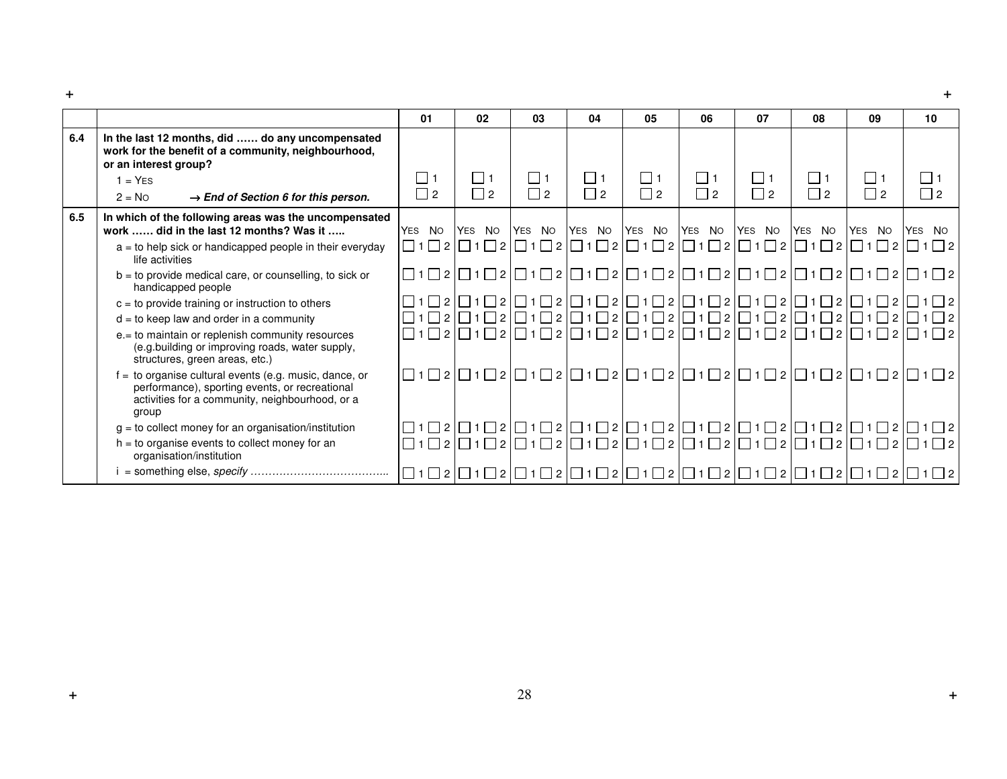|     |                                                                                                                                                                                                              | 01                   | 02                   | 03                                                                                                                                                                                                                                     | 04                                               | 05                   | 06                   | 07                   | 08                   | 09                    | 10                   |
|-----|--------------------------------------------------------------------------------------------------------------------------------------------------------------------------------------------------------------|----------------------|----------------------|----------------------------------------------------------------------------------------------------------------------------------------------------------------------------------------------------------------------------------------|--------------------------------------------------|----------------------|----------------------|----------------------|----------------------|-----------------------|----------------------|
| 6.4 | In the last 12 months, did  do any uncompensated<br>work for the benefit of a community, neighbourhood,<br>or an interest group?<br>$1 = YES$<br>$\rightarrow$ End of Section 6 for this person.<br>$2 = No$ | $\Box$ 1<br>$\Box$ 2 | $\Box$ 1<br>$\Box$ 2 | $\Box$ 1<br>$\Box$ 2                                                                                                                                                                                                                   | $\Box$ 1<br>$\Box$ 2                             | $\Box$ 1<br>$\Box$ 2 | $\Box$ 1<br>$\Box$ 2 | $\Box$ 1<br>$\Box$ 2 | $\Box$ 1<br>$\Box$ 2 | $\vert$ 1<br>$\Box$ 2 | $\Box$ 1<br>$\Box$ 2 |
|     |                                                                                                                                                                                                              |                      |                      |                                                                                                                                                                                                                                        |                                                  |                      |                      |                      |                      |                       |                      |
| 6.5 | In which of the following areas was the uncompensated<br>work  did in the last 12 months? Was it<br>$a =$ to help sick or handicapped people in their everyday<br>life activities                            | YES NO YES NO        |                      | YES NO<br>$\Box$ 1 \Box 2 \Box 1 \Box 2 \Box 1 \Box 2 \Box 1 \Box 2 \Box 1 \Box 2 \Box 1 \Box 2 \Box 1 \Box 2 \Box 1 \Box 2 \Box 1 \Box 2 \Box 1 \Box 2 \Box 1 \Box 2                                                                  | YES NO YES NO YES NO YES NO YES NO YES NO YES NO |                      |                      |                      |                      |                       | YES NO               |
|     | $b =$ to provide medical care, or counselling, to sick or<br>handicapped people                                                                                                                              |                      |                      | $\boxed{ \Box 1 \Box 2 \Box 1 \Box 2 \Box 1 \Box 2 \Box 1 \Box 2 \Box 1 \Box 2 \Box 1 \Box 2 \Box 1 \Box 2 \Box 1 \Box 2 \Box 1 \Box 2 \Box 1 \Box 2 \Box 1 \Box 2}}$                                                                  |                                                  |                      |                      |                      |                      |                       |                      |
|     | $c =$ to provide training or instruction to others                                                                                                                                                           |                      |                      | $\Box$ 1 \Box 2 \vert \Box1 \Box 2 \vert \Box1 \Box 2 \vert \Box1 \Box 2 \vert \Box1 \Box 2 \vert \Box1 \Box 2 \vert \Box1 \Box 2 \vert \Box1 \Box 2 \vert \Box1 \Box 2 \vert \Box1 \Box 2                                             |                                                  |                      |                      |                      |                      |                       |                      |
|     | $d =$ to keep law and order in a community                                                                                                                                                                   |                      |                      | $\boxed{ \square 1 \square 2 \square 1 \square 2 \square 1 \square 2 \square 1 \square 2 \square 1 \square 2 \square 1 \square 2 \square 1 \square 2 \square 1 \square 2 \square 1 \square 2 \square 1 \square 2 \square 1 \square 2}$ |                                                  |                      |                      |                      |                      |                       |                      |
|     | e.= to maintain or replenish community resources<br>(e.g.building or improving roads, water supply,<br>structures, green areas, etc.)                                                                        |                      |                      |                                                                                                                                                                                                                                        |                                                  |                      |                      |                      |                      |                       |                      |
|     | $f =$ to organise cultural events (e.g. music, dance, or<br>performance), sporting events, or recreational<br>activities for a community, neighbourhood, or a<br>group                                       |                      |                      | $\boxed{ \square 1 \square 2 \square 1 \square 2 \square 1 \square 2 \square 1 \square 2 \square 1 \square 2 \square 1 \square 2 \square 1 \square 2 \square 1 \square 2 \square 1 \square 2 \square 1 \square 2 \square 1 \square 2}$ |                                                  |                      |                      |                      |                      |                       |                      |
|     | $g =$ to collect money for an organisation/institution                                                                                                                                                       |                      |                      |                                                                                                                                                                                                                                        |                                                  |                      |                      |                      |                      |                       |                      |
|     | $h =$ to organise events to collect money for an<br>organisation/institution                                                                                                                                 |                      |                      | $\boxed{ \square 1 \square 2 \square 1 \square 2 \square 1 \square 2 \square 1 \square 2 \square 1 \square 2 \square 1 \square 2 \square 1 \square 2 \square 1 \square 2 \square 1 \square 2 \square 1 \square 2 \square 1 \square 2}$ |                                                  |                      |                      |                      |                      |                       |                      |
|     |                                                                                                                                                                                                              |                      |                      | $\boxed{ \square 1 \square 2 \square 1 \square 2 \square 1 \square 2 \square 1 \square 2 \square 1 \square 2 \square 1 \square 2 \square 1 \square 2 \square 1 \square 2 \square 1 \square 2 \square 1 \square 2 \square 1 \square 2}$ |                                                  |                      |                      |                      |                      |                       |                      |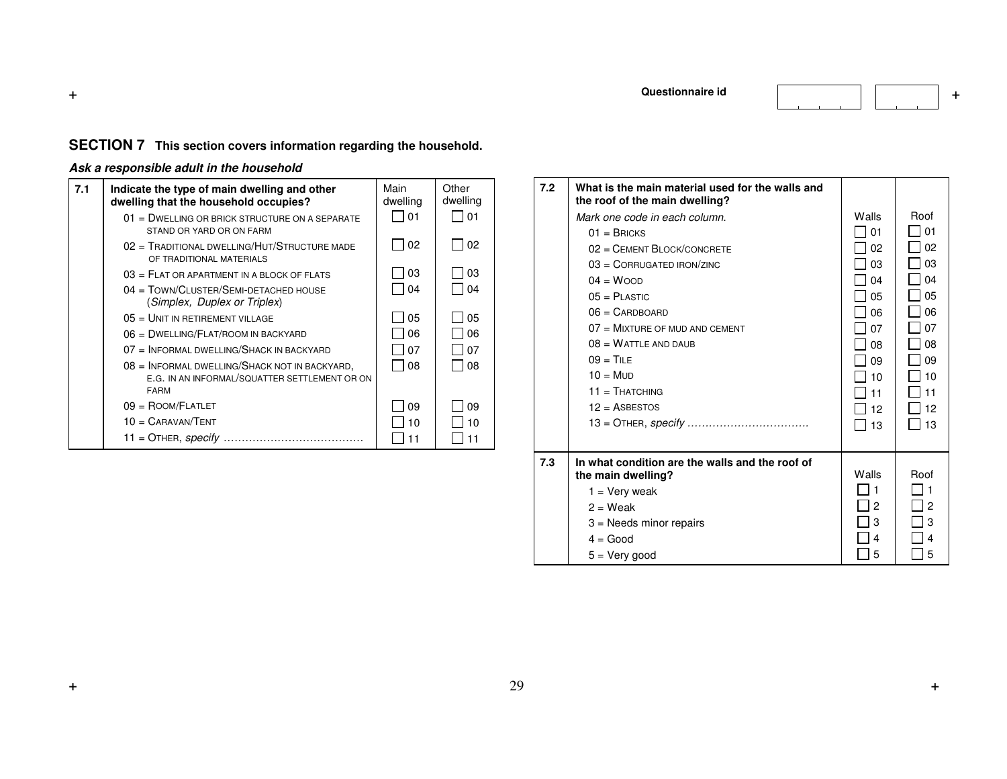**Questionnaire id <sup>+</sup>**

### **SECTION 7 This section covers information regarding the household.**

#### *Ask <sup>a</sup> responsible adult in the household*

| 7.1 | Indicate the type of main dwelling and other<br>dwelling that the household occupies?<br>$01 =$ DWELLING OR BRICK STRUCTURE ON A SEPARATE | Main<br>dwelling<br>l 01 | Other<br>dwelling<br>01 |
|-----|-------------------------------------------------------------------------------------------------------------------------------------------|--------------------------|-------------------------|
|     | STAND OR YARD OR ON FARM<br>02 = TRADITIONAL DWELLING/HUT/STRUCTURE MADE                                                                  | 02                       | $\overline{0}$          |
|     | OF TRADITIONAL MATERIALS                                                                                                                  |                          |                         |
|     | $03$ = FLAT OR APARTMENT IN A BLOCK OF FLATS                                                                                              | 03                       | 03                      |
|     | $04 = Town/CLUSTER/SEM-DETACHED HOUSE$<br>(Simplex, Duplex or Triplex)                                                                    | 04                       | l 04                    |
|     | $05 =$ UNIT IN RETIREMENT VILLAGE                                                                                                         | 05                       | 05                      |
|     | $06 =$ DWELLING/FLAT/ROOM IN BACKYARD                                                                                                     | 06                       | 06                      |
|     | 07 = INFORMAL DWELLING/SHACK IN BACKYARD                                                                                                  | 07                       | 07                      |
|     | 08 = INFORMAL DWELLING/SHACK NOT IN BACKYARD,<br>E.G. IN AN INFORMAL/SQUATTER SETTLEMENT OR ON<br><b>FARM</b>                             | 08                       | <b>108</b>              |
|     | $09 =$ ROOM/FLATLET                                                                                                                       | 09                       | 09                      |
|     | $10 =$ CARAVAN/TENT                                                                                                                       | 10                       | 10                      |
|     |                                                                                                                                           |                          |                         |

| 7.2 | What is the main material used for the walls and<br>the roof of the main dwelling? |       |      |
|-----|------------------------------------------------------------------------------------|-------|------|
|     | Mark one code in each column.                                                      | Walls | Roof |
|     | $01 =$ BRICKS                                                                      | 01    | 01   |
|     | 02 = CEMENT BLOCK/CONCRETE                                                         | 02    | 02   |
|     | $03 = \text{CORRUGATED IRON/ZINC}$                                                 | 03    | 03   |
|     | $04 = W$ OOD                                                                       | 04    | 04   |
|     | $05 =$ PLASTIC                                                                     | 05    | 05   |
|     | $06 =$ CARDBOARD                                                                   | 06    | 06   |
|     | $07 =$ MIXTURE OF MUD AND CEMENT                                                   | 07    | 07   |
|     | $08 = \text{WATE}$ and DAUB                                                        | 08    | 08   |
|     | $09 =$ TILE                                                                        | 09    | 09   |
|     | $10 = MUD$                                                                         | 10    | 10   |
|     | $11 = THATCHING$                                                                   | 11    | 11   |
|     | $12 =$ ASBESTOS                                                                    | 12    | 12   |
|     |                                                                                    | 13    | 13   |
|     |                                                                                    |       |      |
| 7.3 | In what condition are the walls and the roof of                                    |       |      |
|     | the main dwelling?                                                                 | Walls | Roof |
|     | $1 = Very weak$                                                                    | 1     |      |
|     | $2 = \text{Weak}$                                                                  | 2     | 2    |
|     | $3$ = Needs minor repairs                                                          | 3     | З    |
|     | $4 = Good$                                                                         | 4     | 4    |
|     | $5 =$ Very good                                                                    | 5     | 5    |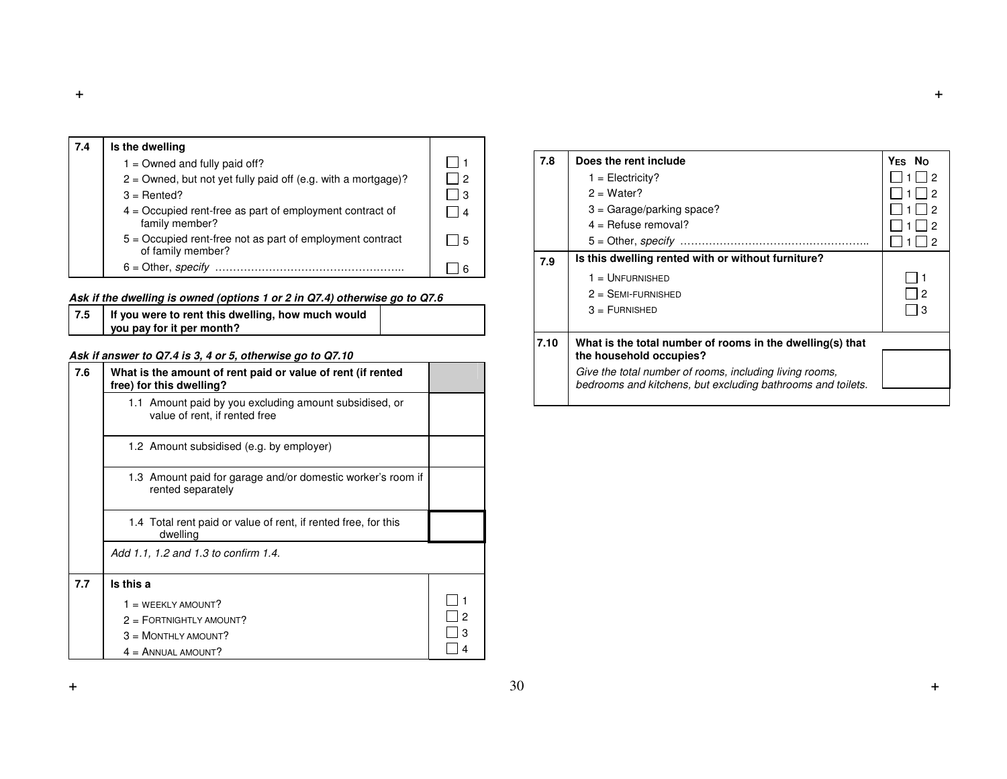| 7.4 | Is the dwelling                                                                  |   |
|-----|----------------------------------------------------------------------------------|---|
|     | $1 =$ Owned and fully paid off?                                                  |   |
|     | 2 = Owned, but not yet fully paid off (e.g. with a mortgage)?                    |   |
|     | $3 =$ Rented?                                                                    |   |
|     | $4 =$ Occupied rent-free as part of employment contract of<br>family member?     |   |
|     | $5 =$ Occupied rent-free not as part of employment contract<br>of family member? | 5 |
|     | $6 =$ Other, <i>specify</i>                                                      |   |

#### *Ask if the dwelling is owned (options 1 or 2 in Q7.4) otherwise go to Q7.6*

| 7.5 | If you were to rent this dwelling, how much would |  |
|-----|---------------------------------------------------|--|
|     | you pay for it per month?                         |  |

#### *Ask if answer to Q7.4 is 3, 4 or 5, otherwise go to Q7.10*

| 7.6 | What is the amount of rent paid or value of rent (if rented<br>free) for this dwelling? |  |
|-----|-----------------------------------------------------------------------------------------|--|
|     | 1.1 Amount paid by you excluding amount subsidised, or<br>value of rent, if rented free |  |
|     | 1.2 Amount subsidised (e.g. by employer)                                                |  |
|     | 1.3 Amount paid for garage and/or domestic worker's room if<br>rented separately        |  |
|     | 1.4 Total rent paid or value of rent, if rented free, for this<br>dwelling              |  |
|     | Add 1.1, 1.2 and 1.3 to confirm 1.4.                                                    |  |
| 7.7 | Is this a                                                                               |  |
|     | $1 = WEEKLY AMQUNT?$                                                                    |  |
|     | $2 =$ FORTNIGHTLY AMOUNT?                                                               |  |
|     | $3 =$ MONTHLY AMOUNT?                                                                   |  |
|     | $4 =$ ANNUAL AMOUNT?                                                                    |  |

| 7.8  | Does the rent include                                                                                                  | YES No |
|------|------------------------------------------------------------------------------------------------------------------------|--------|
|      | $1 =$ Electricity?                                                                                                     |        |
|      | $2 = Water?$                                                                                                           |        |
|      | $3 = \text{Garage}/\text{parking space}$ ?                                                                             |        |
|      | $4 =$ Refuse removal?                                                                                                  |        |
|      |                                                                                                                        |        |
| 7.9  | Is this dwelling rented with or without furniture?                                                                     |        |
|      | $1 =$ UNFURNISHED                                                                                                      |        |
|      | $2 =$ SEMI-FURNISHED                                                                                                   |        |
|      | $3 =$ FURNISHED                                                                                                        |        |
|      |                                                                                                                        |        |
| 7.10 | What is the total number of rooms in the dwelling(s) that                                                              |        |
|      | the household occupies?                                                                                                |        |
|      | Give the total number of rooms, including living rooms,<br>bedrooms and kitchens, but excluding bathrooms and toilets. |        |
|      |                                                                                                                        |        |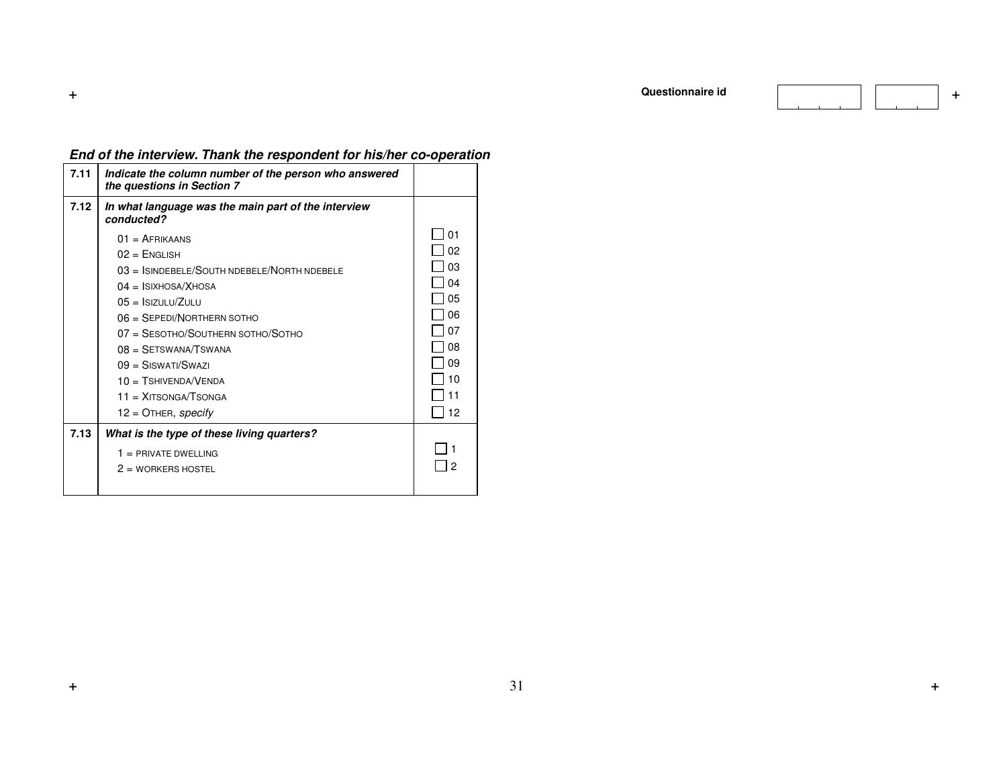**Questionnaire id <sup>+</sup>**

| 7.11 | Indicate the column number of the person who answered<br>the questions in Section 7                                                                                                                                                                                                                                                   |                                                                      |
|------|---------------------------------------------------------------------------------------------------------------------------------------------------------------------------------------------------------------------------------------------------------------------------------------------------------------------------------------|----------------------------------------------------------------------|
| 7.12 | In what language was the main part of the interview<br>conducted?                                                                                                                                                                                                                                                                     |                                                                      |
|      | $01 = AFRIKAANS$<br>$02$ = ENGLISH<br>$03 =$ ISINDEBELE/SOUTH NDEBELE/NORTH NDEBELE<br>$04 =$ ISIXHOSA/XHOSA<br>$05 =$ Isizulu/Zulu<br>$06 =$ SEPEDI/NORTHERN SOTHO<br>07 = SESOTHO/SOUTHERN SOTHO/SOTHO<br>$08 =$ SETSWANA/TSWANA<br>$09 =$ SISWATI/SWAZI<br>$10 =$ TSHIVENDA/VENDA<br>11 = XITSONGA/TSONGA<br>$12 =$ OTHER, specify | 01<br>02<br>03<br>04<br>05<br>06<br>07<br>08<br>09<br>10<br>11<br>12 |
| 7.13 | What is the type of these living quarters?<br>$1 =$ PRIVATE DWELLING<br>$2 = WORKERS HOSTEL$                                                                                                                                                                                                                                          | $\frac{12}{2}$                                                       |

#### *End of the interview. Thank the respondent for his/her co-operation*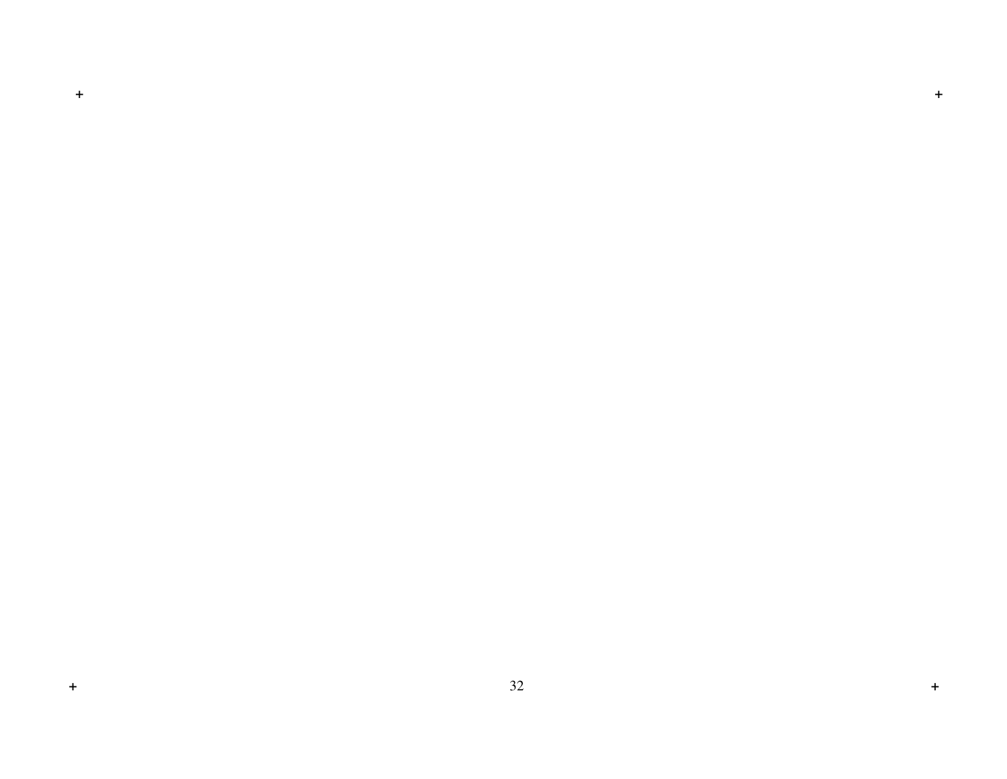**++**